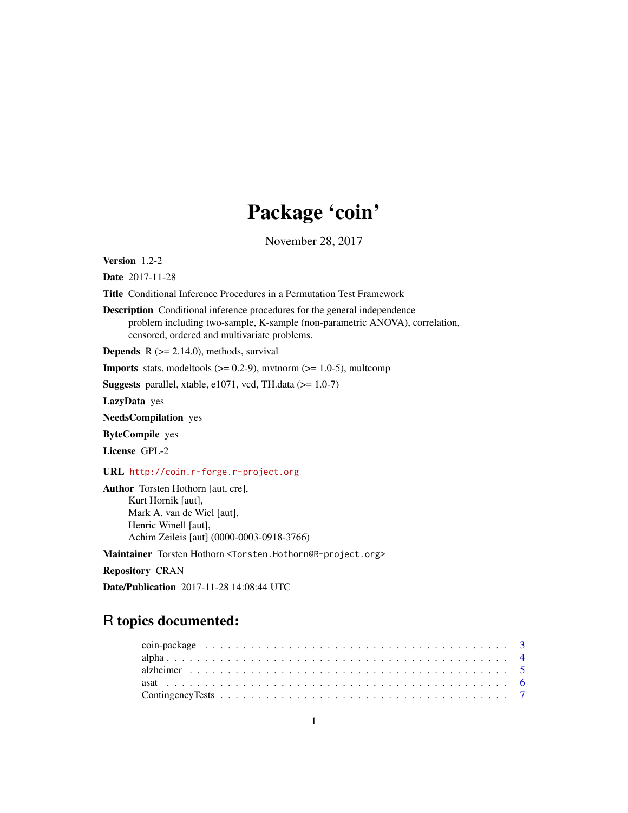# Package 'coin'

November 28, 2017

<span id="page-0-0"></span>Version 1.2-2

Date 2017-11-28

Title Conditional Inference Procedures in a Permutation Test Framework

Description Conditional inference procedures for the general independence problem including two-sample, K-sample (non-parametric ANOVA), correlation, censored, ordered and multivariate problems.

**Depends**  $R$  ( $>= 2.14.0$ ), methods, survival

**Imports** stats, modeltools  $(>= 0.2-9)$ , mvtnorm  $(>= 1.0-5)$ , multcomp

Suggests parallel, xtable, e1071, vcd, TH.data  $(>= 1.0-7)$ 

LazyData yes

NeedsCompilation yes

ByteCompile yes

License GPL-2

URL <http://coin.r-forge.r-project.org>

Author Torsten Hothorn [aut, cre], Kurt Hornik [aut], Mark A. van de Wiel [aut], Henric Winell [aut], Achim Zeileis [aut] (0000-0003-0918-3766)

Maintainer Torsten Hothorn <Torsten.Hothorn@R-project.org>

Repository CRAN

Date/Publication 2017-11-28 14:08:44 UTC

# R topics documented: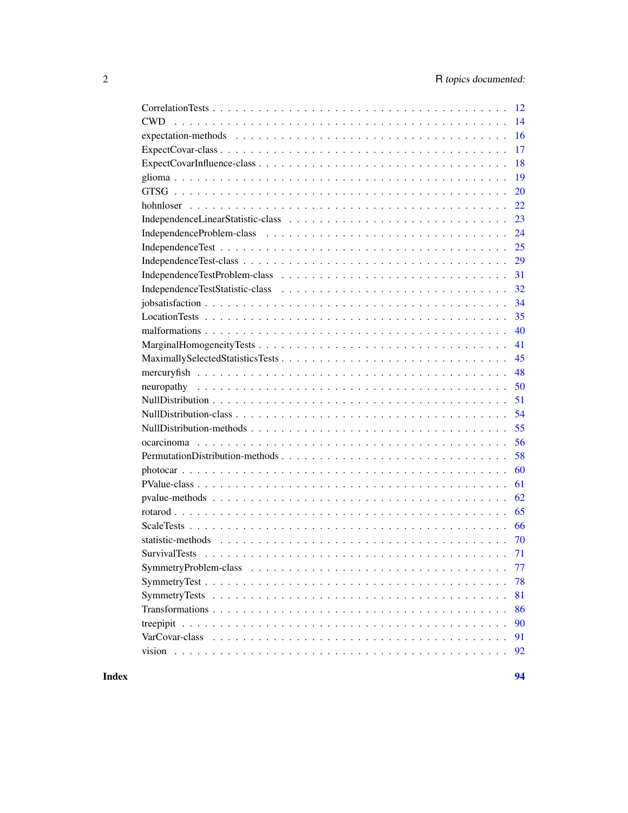|                                 | 12 |
|---------------------------------|----|
| CWD.                            | 14 |
|                                 | 16 |
|                                 | 17 |
|                                 | 18 |
|                                 | 19 |
|                                 | 20 |
|                                 | 22 |
|                                 | 23 |
|                                 | 24 |
|                                 | 25 |
|                                 | 29 |
|                                 | 31 |
|                                 | 32 |
|                                 | 34 |
|                                 | 35 |
|                                 | 40 |
|                                 | 41 |
|                                 | 45 |
|                                 | 48 |
|                                 | 50 |
|                                 | 51 |
|                                 | 54 |
|                                 | 55 |
|                                 | 56 |
| PermutationDistribution-methods | 58 |
|                                 | 60 |
|                                 | 61 |
|                                 | 62 |
|                                 | 65 |
|                                 | 66 |
|                                 | 70 |
|                                 | 71 |
|                                 | 77 |
|                                 | 78 |
|                                 | 81 |
|                                 | 86 |
|                                 | 90 |
|                                 | 91 |
|                                 | 92 |
|                                 |    |

**Index** [94](#page-93-0)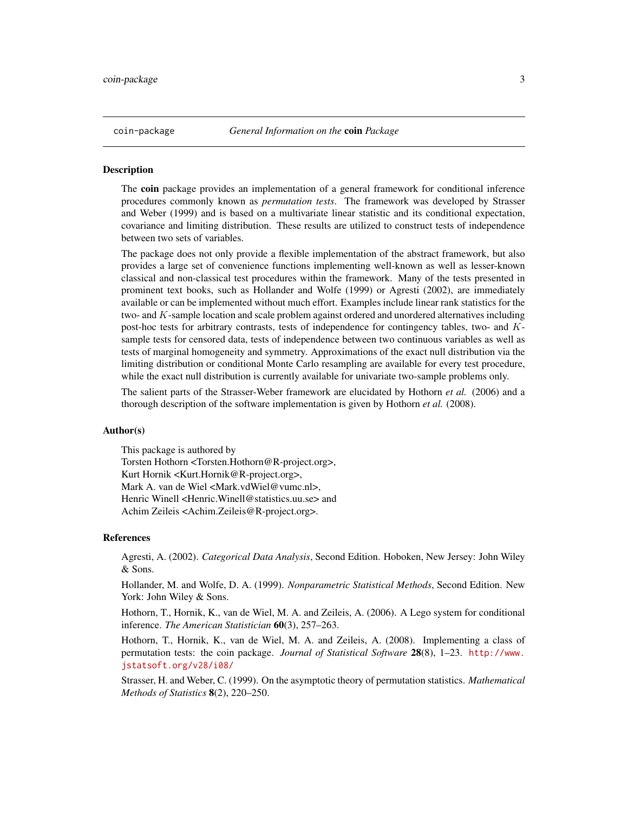#### <span id="page-2-0"></span>Description

The **coin** package provides an implementation of a general framework for conditional inference procedures commonly known as *permutation tests*. The framework was developed by Strasser and Weber (1999) and is based on a multivariate linear statistic and its conditional expectation, covariance and limiting distribution. These results are utilized to construct tests of independence between two sets of variables.

The package does not only provide a flexible implementation of the abstract framework, but also provides a large set of convenience functions implementing well-known as well as lesser-known classical and non-classical test procedures within the framework. Many of the tests presented in prominent text books, such as Hollander and Wolfe (1999) or Agresti (2002), are immediately available or can be implemented without much effort. Examples include linear rank statistics for the two- and K-sample location and scale problem against ordered and unordered alternatives including post-hoc tests for arbitrary contrasts, tests of independence for contingency tables, two- and Ksample tests for censored data, tests of independence between two continuous variables as well as tests of marginal homogeneity and symmetry. Approximations of the exact null distribution via the limiting distribution or conditional Monte Carlo resampling are available for every test procedure, while the exact null distribution is currently available for univariate two-sample problems only.

The salient parts of the Strasser-Weber framework are elucidated by Hothorn *et al.* (2006) and a thorough description of the software implementation is given by Hothorn *et al.* (2008).

# Author(s)

This package is authored by Torsten Hothorn <Torsten.Hothorn@R-project.org>, Kurt Hornik <Kurt.Hornik@R-project.org>, Mark A. van de Wiel <Mark.vdWiel@vumc.nl>, Henric Winell <Henric.Winell@statistics.uu.se> and Achim Zeileis <Achim.Zeileis@R-project.org>.

#### References

Agresti, A. (2002). *Categorical Data Analysis*, Second Edition. Hoboken, New Jersey: John Wiley & Sons.

Hollander, M. and Wolfe, D. A. (1999). *Nonparametric Statistical Methods*, Second Edition. New York: John Wiley & Sons.

Hothorn, T., Hornik, K., van de Wiel, M. A. and Zeileis, A. (2006). A Lego system for conditional inference. *The American Statistician* 60(3), 257–263.

Hothorn, T., Hornik, K., van de Wiel, M. A. and Zeileis, A. (2008). Implementing a class of permutation tests: the coin package. *Journal of Statistical Software* 28(8), 1–23. [http://www.](http://www.jstatsoft.org/v28/i08/) [jstatsoft.org/v28/i08/](http://www.jstatsoft.org/v28/i08/)

Strasser, H. and Weber, C. (1999). On the asymptotic theory of permutation statistics. *Mathematical Methods of Statistics* 8(2), 220–250.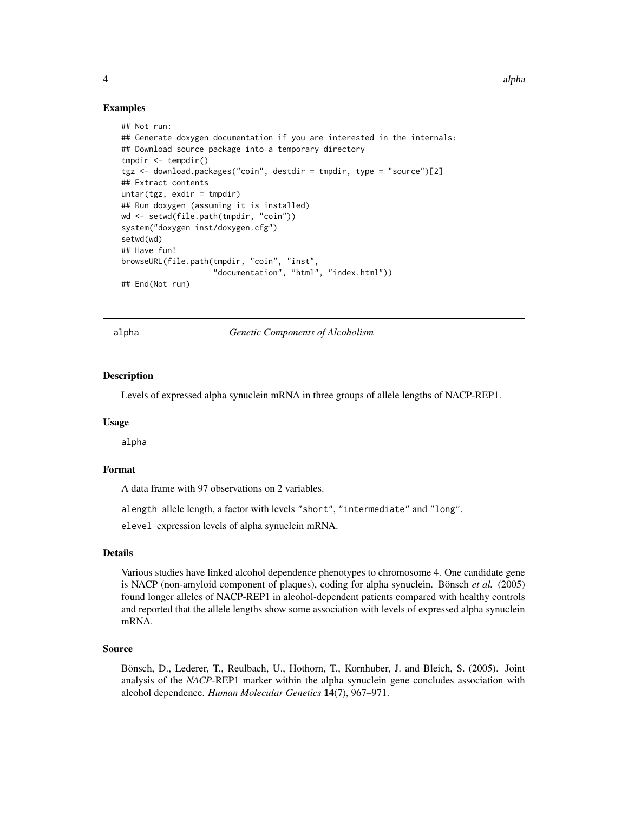#### 4 alpha

# Examples

```
## Not run:
## Generate doxygen documentation if you are interested in the internals:
## Download source package into a temporary directory
tmpdir <- tempdir()
tgz <- download.packages("coin", destdir = tmpdir, type = "source")[2]
## Extract contents
untar(tgz, exdir = tmpdir)## Run doxygen (assuming it is installed)
wd <- setwd(file.path(tmpdir, "coin"))
system("doxygen inst/doxygen.cfg")
setwd(wd)
## Have fun!
browseURL(file.path(tmpdir, "coin", "inst",
                    "documentation", "html", "index.html"))
## End(Not run)
```
alpha *Genetic Components of Alcoholism*

#### **Description**

Levels of expressed alpha synuclein mRNA in three groups of allele lengths of NACP-REP1.

#### Usage

alpha

# Format

A data frame with 97 observations on 2 variables.

alength allele length, a factor with levels "short", "intermediate" and "long".

elevel expression levels of alpha synuclein mRNA.

# Details

Various studies have linked alcohol dependence phenotypes to chromosome 4. One candidate gene is NACP (non-amyloid component of plaques), coding for alpha synuclein. Bönsch *et al.* (2005) found longer alleles of NACP-REP1 in alcohol-dependent patients compared with healthy controls and reported that the allele lengths show some association with levels of expressed alpha synuclein mRNA.

# Source

Bönsch, D., Lederer, T., Reulbach, U., Hothorn, T., Kornhuber, J. and Bleich, S. (2005). Joint analysis of the *NACP*-REP1 marker within the alpha synuclein gene concludes association with alcohol dependence. *Human Molecular Genetics* 14(7), 967–971.

<span id="page-3-0"></span>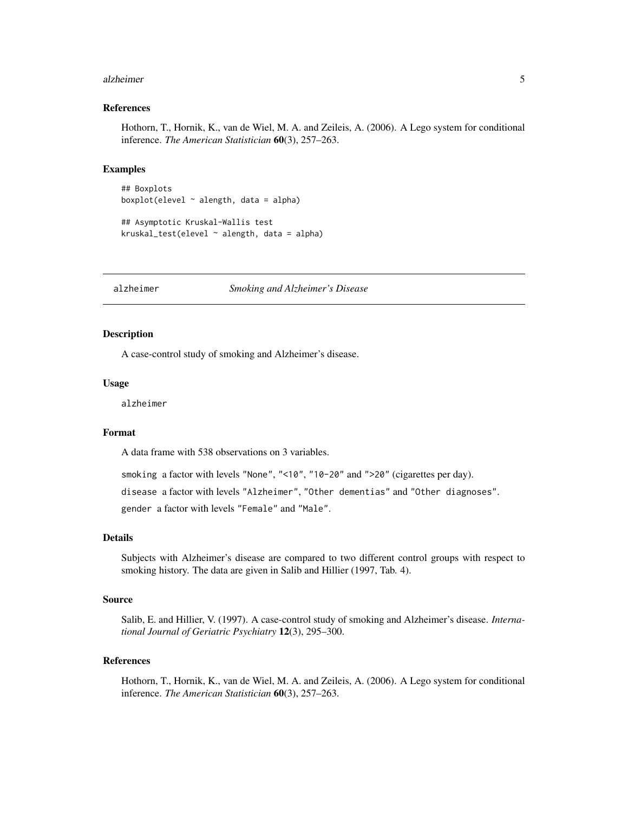#### <span id="page-4-0"></span>alzheimer 5

### References

Hothorn, T., Hornik, K., van de Wiel, M. A. and Zeileis, A. (2006). A Lego system for conditional inference. *The American Statistician* 60(3), 257–263.

# Examples

```
## Boxplots
boxplot(elevel \sim alength, data = alpha)
```

```
## Asymptotic Kruskal-Wallis test
kruskal_test(elevel ~ a length, data = alpha)
```
alzheimer *Smoking and Alzheimer's Disease*

# Description

A case-control study of smoking and Alzheimer's disease.

#### Usage

alzheimer

# Format

A data frame with 538 observations on 3 variables.

smoking a factor with levels "None", "<10", "10-20" and ">20" (cigarettes per day).

disease a factor with levels "Alzheimer", "Other dementias" and "Other diagnoses".

gender a factor with levels "Female" and "Male".

# Details

Subjects with Alzheimer's disease are compared to two different control groups with respect to smoking history. The data are given in Salib and Hillier (1997, Tab. 4).

# Source

Salib, E. and Hillier, V. (1997). A case-control study of smoking and Alzheimer's disease. *International Journal of Geriatric Psychiatry* 12(3), 295–300.

# References

Hothorn, T., Hornik, K., van de Wiel, M. A. and Zeileis, A. (2006). A Lego system for conditional inference. *The American Statistician* 60(3), 257–263.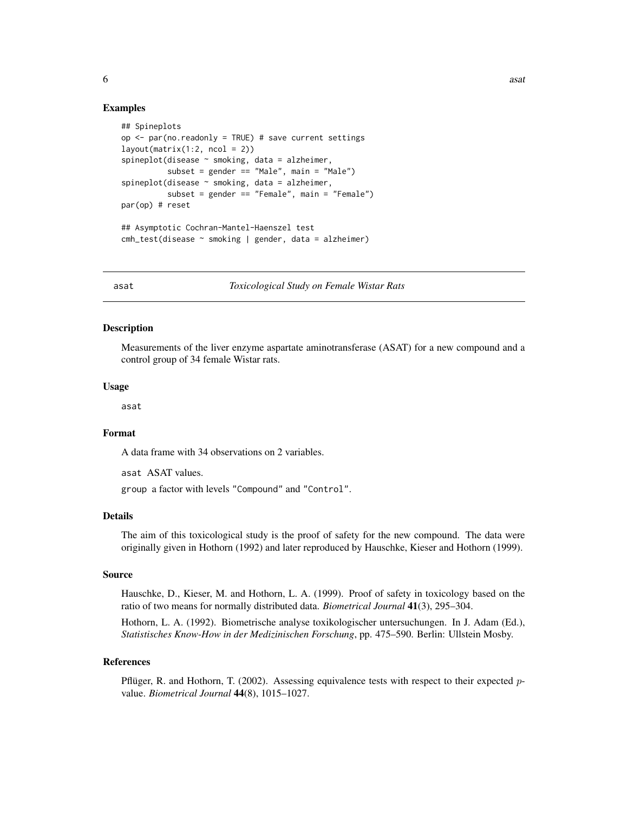# Examples

```
## Spineplots
op \leq par(no.readonly = TRUE) # save current settings
layout(matrix(1:2, ncol = 2))spineplot(disease ~ smoking, data = alzheimer,
          subset = gender == "Male", main = "Male")
spineplot(disease ~ smoking, data = alzheimer,
          subset = gender == "Female", main = "Female")
par(op) # reset
## Asymptotic Cochran-Mantel-Haenszel test
cmh_test(disease ~ smoking | gender, data = alzheimer)
```
asat *Toxicological Study on Female Wistar Rats*

# Description

Measurements of the liver enzyme aspartate aminotransferase (ASAT) for a new compound and a control group of 34 female Wistar rats.

#### Usage

asat

# Format

A data frame with 34 observations on 2 variables.

asat ASAT values.

group a factor with levels "Compound" and "Control".

#### Details

The aim of this toxicological study is the proof of safety for the new compound. The data were originally given in Hothorn (1992) and later reproduced by Hauschke, Kieser and Hothorn (1999).

#### Source

Hauschke, D., Kieser, M. and Hothorn, L. A. (1999). Proof of safety in toxicology based on the ratio of two means for normally distributed data. *Biometrical Journal* 41(3), 295–304.

Hothorn, L. A. (1992). Biometrische analyse toxikologischer untersuchungen. In J. Adam (Ed.), *Statistisches Know-How in der Medizinischen Forschung*, pp. 475–590. Berlin: Ullstein Mosby.

# References

Pflüger, R. and Hothorn, T. (2002). Assessing equivalence tests with respect to their expected  $p$ value. *Biometrical Journal* 44(8), 1015–1027.

<span id="page-5-0"></span> $\frac{6}{100}$  as a set of  $\frac{6}{100}$  and  $\frac{6}{100}$  and  $\frac{1}{100}$  and  $\frac{1}{100}$  and  $\frac{1}{100}$  and  $\frac{1}{100}$  and  $\frac{1}{100}$  and  $\frac{1}{100}$  and  $\frac{1}{100}$  and  $\frac{1}{100}$  and  $\frac{1}{100}$  and  $\frac{1}{100}$  and  $\frac{1$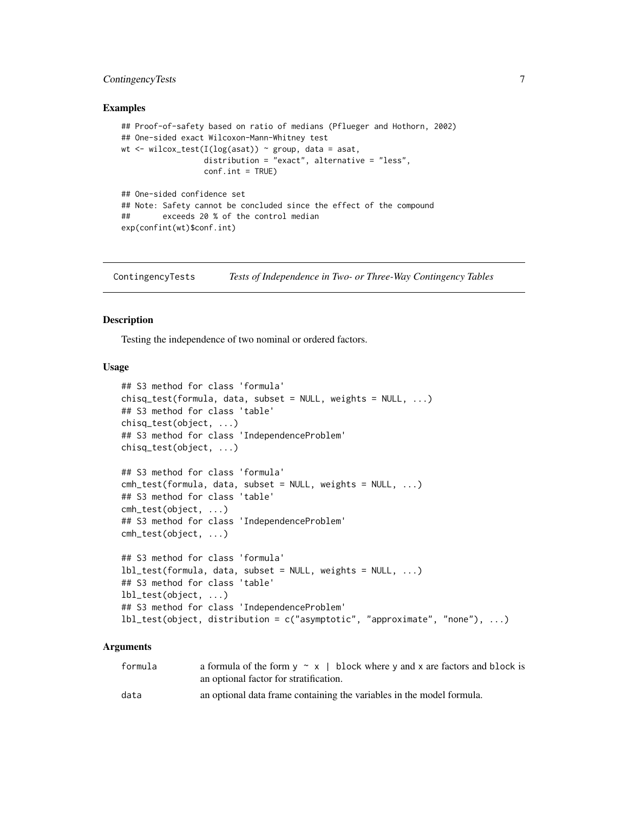# <span id="page-6-0"></span>ContingencyTests 7

### Examples

```
## Proof-of-safety based on ratio of medians (Pflueger and Hothorn, 2002)
## One-sided exact Wilcoxon-Mann-Whitney test
wt \le wilcox_test(I(log(asat)) \sim group, data = asat,
                 distribution = "exact", alternative = "less",
                  conf.int = TRUE)
## One-sided confidence set
## Note: Safety cannot be concluded since the effect of the compound
## exceeds 20 % of the control median
```
ContingencyTests *Tests of Independence in Two- or Three-Way Contingency Tables*

# **Description**

exp(confint(wt)\$conf.int)

Testing the independence of two nominal or ordered factors.

# Usage

```
## S3 method for class 'formula'
chisq_test(formula, data, subset = NULL, weights = NULL, ...)
## S3 method for class 'table'
chisq_test(object, ...)
## S3 method for class 'IndependenceProblem'
chisq_test(object, ...)
## S3 method for class 'formula'
cmh_test(formula, data, subset = NULL, weights = NULL, ...)
## S3 method for class 'table'
cmh_test(object, ...)
## S3 method for class 'IndependenceProblem'
cmh_test(object, ...)
## S3 method for class 'formula'
lbl_test(formula, data, subset = NULL, weights = NULL, ...)
## S3 method for class 'table'
lbl_test(object, ...)
## S3 method for class 'IndependenceProblem'
lbl_test(object, distribution = c("asymptotic", "approximate", "none"), ...)
```
#### Arguments

| formula | a formula of the form $y \sim x$   block where y and x are factors and block is<br>an optional factor for stratification. |
|---------|---------------------------------------------------------------------------------------------------------------------------|
| data    | an optional data frame containing the variables in the model formula.                                                     |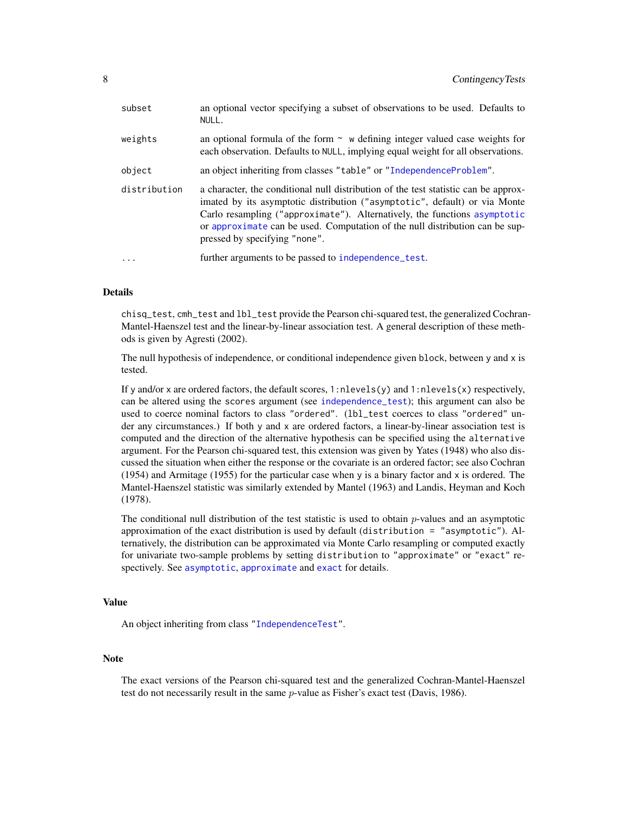| subset       | an optional vector specifying a subset of observations to be used. Defaults to<br>NULL.                                                                                                                                                                                                                                                                         |
|--------------|-----------------------------------------------------------------------------------------------------------------------------------------------------------------------------------------------------------------------------------------------------------------------------------------------------------------------------------------------------------------|
| weights      | an optional formula of the form $\sim$ w defining integer valued case weights for<br>each observation. Defaults to NULL, implying equal weight for all observations.                                                                                                                                                                                            |
| object       | an object inheriting from classes "table" or "IndependenceProblem".                                                                                                                                                                                                                                                                                             |
| distribution | a character, the conditional null distribution of the test statistic can be approx-<br>imated by its asymptotic distribution ("asymptotic", default) or via Monte<br>Carlo resampling ("approximate"). Alternatively, the functions asymptotic<br>or approximate can be used. Computation of the null distribution can be sup-<br>pressed by specifying "none". |
| $\cdot$      | further arguments to be passed to independence_test.                                                                                                                                                                                                                                                                                                            |
|              |                                                                                                                                                                                                                                                                                                                                                                 |

# Details

chisq\_test, cmh\_test and lbl\_test provide the Pearson chi-squared test, the generalized Cochran-Mantel-Haenszel test and the linear-by-linear association test. A general description of these methods is given by Agresti (2002).

The null hypothesis of independence, or conditional independence given block, between y and x is tested.

If y and/or x are ordered factors, the default scores,  $1:$ nlevels(y) and  $1:$ nlevels(x) respectively, can be altered using the scores argument (see [independence\\_test](#page-24-1)); this argument can also be used to coerce nominal factors to class "ordered". (lbl\_test coerces to class "ordered" under any circumstances.) If both y and x are ordered factors, a linear-by-linear association test is computed and the direction of the alternative hypothesis can be specified using the alternative argument. For the Pearson chi-squared test, this extension was given by Yates (1948) who also discussed the situation when either the response or the covariate is an ordered factor; see also Cochran (1954) and Armitage (1955) for the particular case when y is a binary factor and x is ordered. The Mantel-Haenszel statistic was similarly extended by Mantel (1963) and Landis, Heyman and Koch (1978).

The conditional null distribution of the test statistic is used to obtain  $p$ -values and an asymptotic approximation of the exact distribution is used by default (distribution = "asymptotic"). Alternatively, the distribution can be approximated via Monte Carlo resampling or computed exactly for univariate two-sample problems by setting distribution to "approximate" or "exact" respectively. See [asymptotic](#page-50-1), [approximate](#page-50-1) and [exact](#page-50-1) for details.

#### Value

An object inheriting from class ["IndependenceTest"](#page-28-1).

# Note

The exact versions of the Pearson chi-squared test and the generalized Cochran-Mantel-Haenszel test do not necessarily result in the same  $p$ -value as Fisher's exact test (Davis, 1986).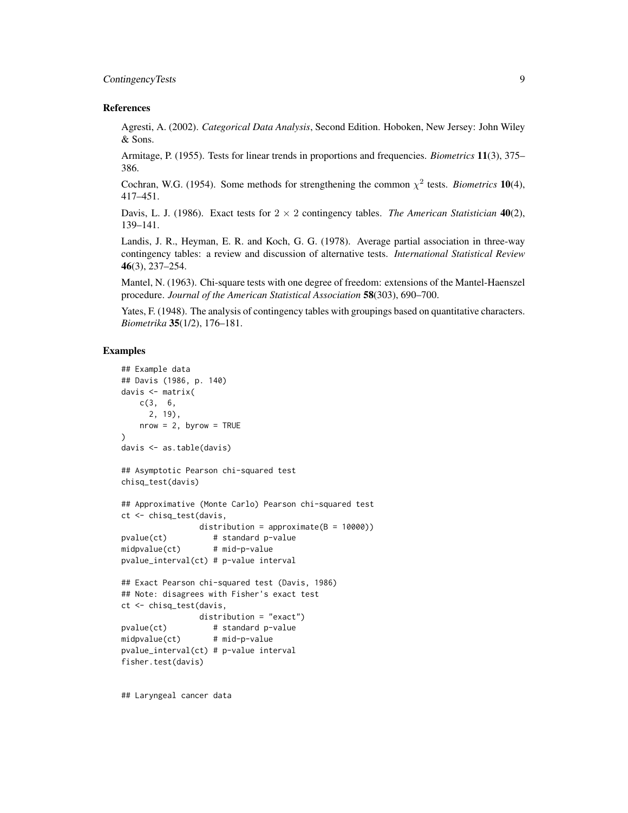# ContingencyTests 9

### References

Agresti, A. (2002). *Categorical Data Analysis*, Second Edition. Hoboken, New Jersey: John Wiley & Sons.

Armitage, P. (1955). Tests for linear trends in proportions and frequencies. *Biometrics* 11(3), 375– 386.

Cochran, W.G. (1954). Some methods for strengthening the common  $\chi^2$  tests. *Biometrics* 10(4), 417–451.

Davis, L. J. (1986). Exact tests for  $2 \times 2$  contingency tables. *The American Statistician* 40(2), 139–141.

Landis, J. R., Heyman, E. R. and Koch, G. G. (1978). Average partial association in three-way contingency tables: a review and discussion of alternative tests. *International Statistical Review* 46(3), 237–254.

Mantel, N. (1963). Chi-square tests with one degree of freedom: extensions of the Mantel-Haenszel procedure. *Journal of the American Statistical Association* 58(303), 690–700.

Yates, F. (1948). The analysis of contingency tables with groupings based on quantitative characters. *Biometrika* 35(1/2), 176–181.

# Examples

```
## Example data
## Davis (1986, p. 140)
davis <- matrix(
   c(3, 6,
     2, 19),
   nrow = 2, byrow = TRUE
)
davis <- as.table(davis)
## Asymptotic Pearson chi-squared test
chisq_test(davis)
## Approximative (Monte Carlo) Pearson chi-squared test
ct <- chisq_test(davis,
                distribution = approximate(B = 10000))
pvalue(ct) # standard p-value
midpvalue(ct) # mid-p-value
pvalue_interval(ct) # p-value interval
## Exact Pearson chi-squared test (Davis, 1986)
## Note: disagrees with Fisher's exact test
ct <- chisq_test(davis,
               distribution = "exact")
pvalue(ct) # standard p-value
midpvalue(ct) # mid-p-value
pvalue_interval(ct) # p-value interval
fisher.test(davis)
```
## Laryngeal cancer data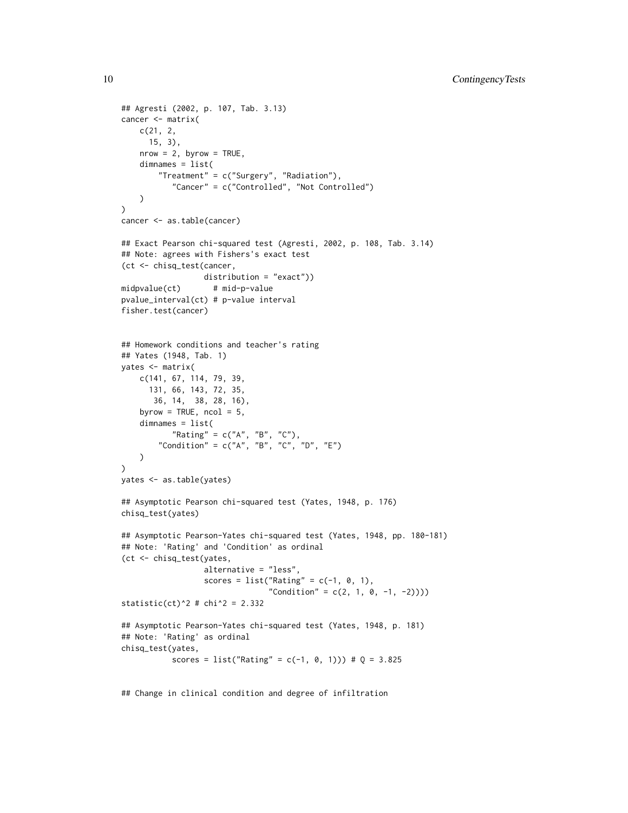```
## Agresti (2002, p. 107, Tab. 3.13)
cancer <- matrix(
   c(21, 2,
     15, 3),
   nrow = 2, byrow = TRUE,
   dimnames = list(
        "Treatment" = c("Surgery", "Radiation"),
           "Cancer" = c("Controlled", "Not Controlled")
   \lambda\mathcal{L}cancer <- as.table(cancer)
## Exact Pearson chi-squared test (Agresti, 2002, p. 108, Tab. 3.14)
## Note: agrees with Fishers's exact test
(ct <- chisq_test(cancer,
                  distribution = "exact"))
midpvalue(ct) # mid-p-value
pvalue_interval(ct) # p-value interval
fisher.test(cancer)
## Homework conditions and teacher's rating
## Yates (1948, Tab. 1)
yates <- matrix(
   c(141, 67, 114, 79, 39,
     131, 66, 143, 72, 35,
       36, 14, 38, 28, 16),
    byrow = TRUE, ncol = 5,
    dimnames = list(
           "Rating" = c("A", "B", "C"),
        "Condition" = c("A", "B", "C", "D", "E"))
)
yates <- as.table(yates)
## Asymptotic Pearson chi-squared test (Yates, 1948, p. 176)
chisq_test(yates)
## Asymptotic Pearson-Yates chi-squared test (Yates, 1948, pp. 180-181)
## Note: 'Rating' and 'Condition' as ordinal
(ct <- chisq_test(yates,
                  alternative = "less",
                  scores = list("Rating" = c(-1, 0, 1),
                                "Condition" = c(2, 1, 0, -1, -2)))
statistic(ct)^2 # chi^2 = 2.332## Asymptotic Pearson-Yates chi-squared test (Yates, 1948, p. 181)
## Note: 'Rating' as ordinal
chisq_test(yates,
           scores = list("Rating" = c(-1, 0, 1)) # Q = 3.825
```
## Change in clinical condition and degree of infiltration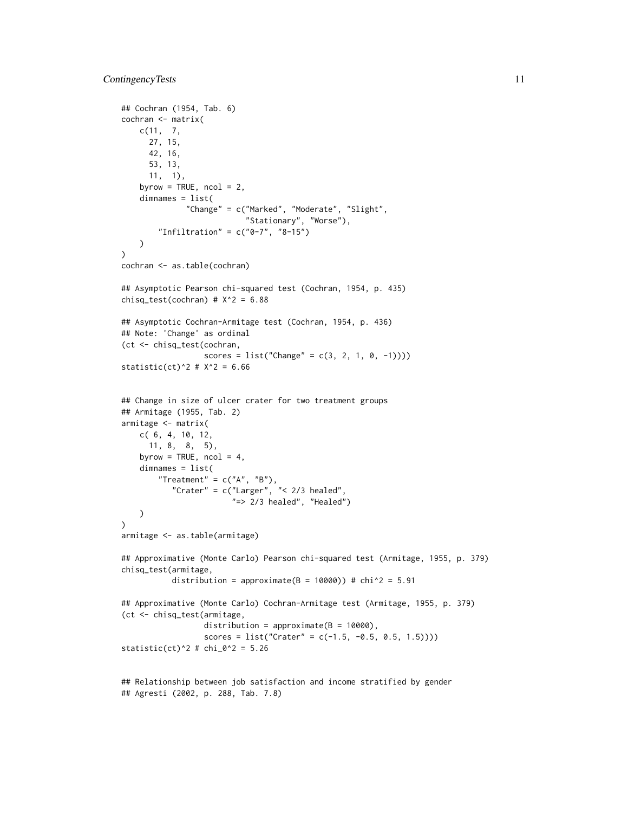```
## Cochran (1954, Tab. 6)
cochran <- matrix(
   c(11, 7,
     27, 15,
     42, 16,
      53, 13,
     11, 1),
    byrow = TRUE, ncol = 2,
    dimnames = list(
              "Change" = c("Marked", "Moderate", "Slight",
                           "Stationary", "Worse"),
        "Infiltration" = c("0-7", "8-15")
   )
)
cochran <- as.table(cochran)
## Asymptotic Pearson chi-squared test (Cochran, 1954, p. 435)
chisq_test(cochran) #X^2 = 6.88## Asymptotic Cochran-Armitage test (Cochran, 1954, p. 436)
## Note: 'Change' as ordinal
(ct <- chisq_test(cochran,
                  scores = list("Change" = c(3, 2, 1, 0, -1))))statistic(ct)^2 # X^2 = 6.66
## Change in size of ulcer crater for two treatment groups
## Armitage (1955, Tab. 2)
armitage <- matrix(
   c( 6, 4, 10, 12,
     11, 8, 8, 5),
   byrow = TRUE, ncol = 4,
    dimnames = list(
        "Treatment" = c("A", "B"),
           "Crater" = c("Larger", "< 2/3 healed",
                        "=> 2/3 healed", "Healed")
   )
\lambdaarmitage <- as.table(armitage)
## Approximative (Monte Carlo) Pearson chi-squared test (Armitage, 1955, p. 379)
chisq_test(armitage,
           distribution = approximate(B = 10000)) # chi^2 = 5.91
## Approximative (Monte Carlo) Cochran-Armitage test (Armitage, 1955, p. 379)
(ct <- chisq_test(armitage,
                  distribution = approximate(B = 10000),
                  scores = list("Crater" = c(-1.5, -0.5, 0.5, 1.5))))statistic(ct)^2 # chi_0^2 = 5.26
```

```
## Relationship between job satisfaction and income stratified by gender
## Agresti (2002, p. 288, Tab. 7.8)
```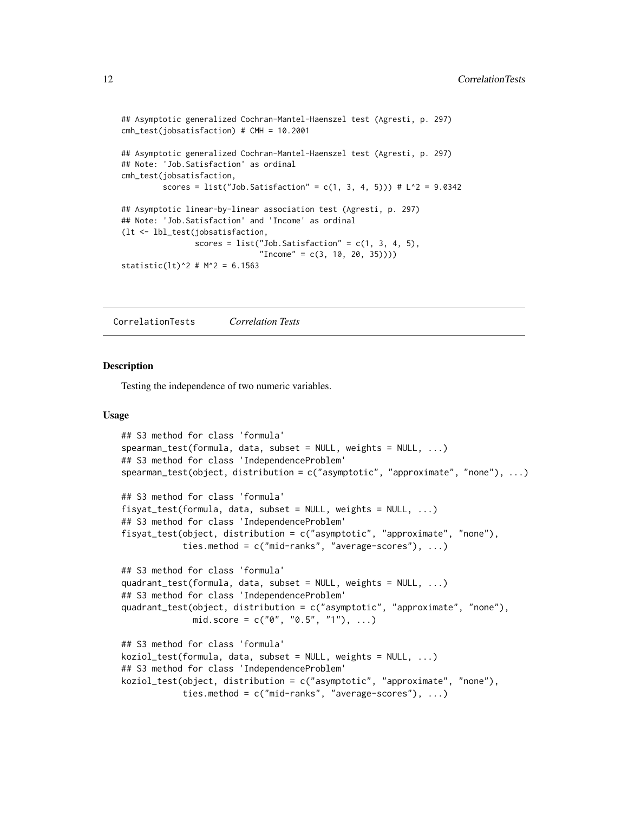```
## Asymptotic generalized Cochran-Mantel-Haenszel test (Agresti, p. 297)
cmh_test(jobsatisfaction) # CMH = 10.2001
## Asymptotic generalized Cochran-Mantel-Haenszel test (Agresti, p. 297)
## Note: 'Job.Satisfaction' as ordinal
cmh_test(jobsatisfaction,
        scores = list("Job.Satisfaction" = c(1, 3, 4, 5))) # L^2 = 9.0342
## Asymptotic linear-by-linear association test (Agresti, p. 297)
## Note: 'Job.Satisfaction' and 'Income' as ordinal
(lt <- lbl_test(jobsatisfaction,
                scores = list("Job.Satisfaction" = c(1, 3, 4, 5),"Income" = c(3, 10, 20, 35))))statistic(lt)^2 # M^2 = 6.1563
```
CorrelationTests *Correlation Tests*

# Description

Testing the independence of two numeric variables.

### Usage

```
## S3 method for class 'formula'
spearman_test(formula, data, subset = NULL, weights = NULL, ...)
## S3 method for class 'IndependenceProblem'
spearman_test(object, distribution = c("asymptotic", "approximate", "none"), ...)
## S3 method for class 'formula'
fisyat_test(formula, data, subset = NULL, weights = NULL, ...)
## S3 method for class 'IndependenceProblem'
fisyat_test(object, distribution = c("asymptotic", "approximate", "none"),
            ties.method = c("mid-ranks", "average-scores"), ...)
## S3 method for class 'formula'
quadrant_test(formula, data, subset = NULL, weights = NULL, ...)
## S3 method for class 'IndependenceProblem'
quadrant_test(object, distribution = c("asymptotic", "approximate", "none"),
              mid.score = c("0", "0.5", "1"), ...)
## S3 method for class 'formula'
koziol_test(formula, data, subset = NULL, weights = NULL, ...)
## S3 method for class 'IndependenceProblem'
koziol_test(object, distribution = c("asymptotic", "approximate", "none"),
            ties.method = c("mid-ranks", "average-scores"), ...)
```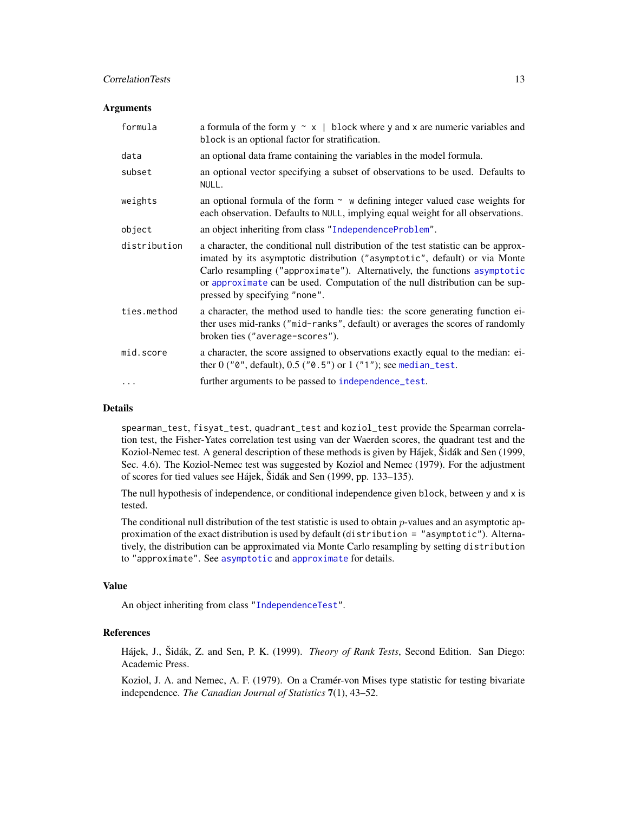# **CorrelationTests** 13

### **Arguments**

| formula      | a formula of the form $y \sim x$   block where y and x are numeric variables and<br>block is an optional factor for stratification.                                                                                                                                                                                                                             |
|--------------|-----------------------------------------------------------------------------------------------------------------------------------------------------------------------------------------------------------------------------------------------------------------------------------------------------------------------------------------------------------------|
| data         | an optional data frame containing the variables in the model formula.                                                                                                                                                                                                                                                                                           |
| subset       | an optional vector specifying a subset of observations to be used. Defaults to<br>NULL.                                                                                                                                                                                                                                                                         |
| weights      | an optional formula of the form $\sim$ w defining integer valued case weights for<br>each observation. Defaults to NULL, implying equal weight for all observations.                                                                                                                                                                                            |
| object       | an object inheriting from class "IndependenceProblem".                                                                                                                                                                                                                                                                                                          |
| distribution | a character, the conditional null distribution of the test statistic can be approx-<br>imated by its asymptotic distribution ("asymptotic", default) or via Monte<br>Carlo resampling ("approximate"). Alternatively, the functions asymptotic<br>or approximate can be used. Computation of the null distribution can be sup-<br>pressed by specifying "none". |
| ties.method  | a character, the method used to handle ties: the score generating function ei-<br>ther uses mid-ranks ("mid-ranks", default) or averages the scores of randomly<br>broken ties ("average-scores").                                                                                                                                                              |
| mid.score    | a character, the score assigned to observations exactly equal to the median: ei-<br>ther $0$ (" $0$ ", default), $0.5$ (" $0.5$ ") or $1$ (" $1$ "); see median_test.                                                                                                                                                                                           |
| $\ddotsc$    | further arguments to be passed to independence_test.                                                                                                                                                                                                                                                                                                            |

#### Details

spearman\_test, fisyat\_test, quadrant\_test and koziol\_test provide the Spearman correlation test, the Fisher-Yates correlation test using van der Waerden scores, the quadrant test and the Koziol-Nemec test. A general description of these methods is given by Hájek, Šidák and Sen (1999, Sec. 4.6). The Koziol-Nemec test was suggested by Koziol and Nemec (1979). For the adjustment of scores for tied values see Hájek, Šidák and Sen (1999, pp. 133–135).

The null hypothesis of independence, or conditional independence given block, between y and x is tested.

The conditional null distribution of the test statistic is used to obtain p-values and an asymptotic approximation of the exact distribution is used by default (distribution = "asymptotic"). Alternatively, the distribution can be approximated via Monte Carlo resampling by setting distribution to "approximate". See [asymptotic](#page-50-1) and [approximate](#page-50-1) for details.

# Value

An object inheriting from class ["IndependenceTest"](#page-28-1).

# References

Hájek, J., Šidák, Z. and Sen, P. K. (1999). *Theory of Rank Tests*, Second Edition. San Diego: Academic Press.

Koziol, J. A. and Nemec, A. F. (1979). On a Cramér-von Mises type statistic for testing bivariate independence. *The Canadian Journal of Statistics* 7(1), 43–52.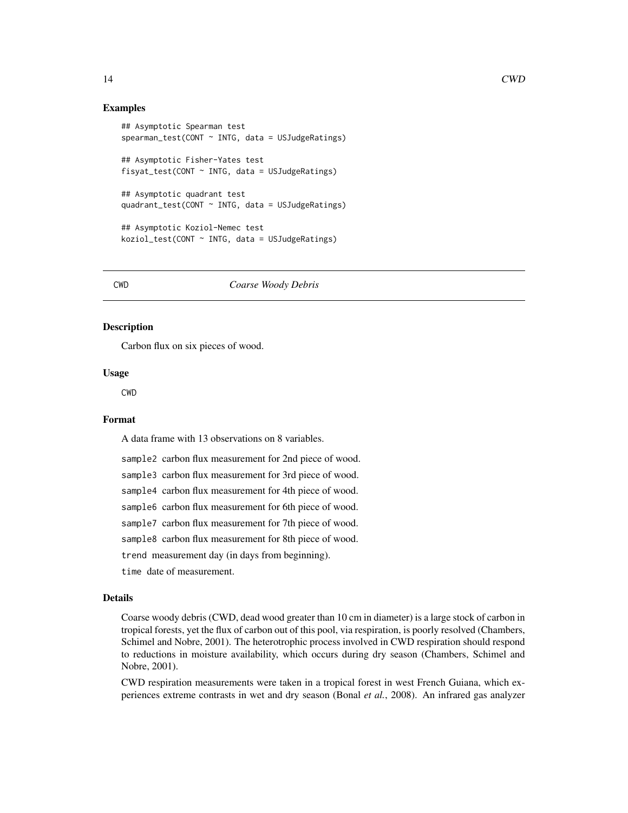# <span id="page-13-0"></span>Examples

```
## Asymptotic Spearman test
spearman_test(CONT ~ INTG, data = USJudgeRatings)## Asymptotic Fisher-Yates test
fisyat_test(CONT ~ INTG, data = USJudgeRatings)
## Asymptotic quadrant test
quadrant_test(CONT ~ INTG, data = USJudgeRatings)
## Asymptotic Koziol-Nemec test
koziol_test(CONT ~ INTG, data = USJudgeRatings)
```
#### CWD *Coarse Woody Debris*

### Description

Carbon flux on six pieces of wood.

# Usage

CWD

#### Format

A data frame with 13 observations on 8 variables.

sample2 carbon flux measurement for 2nd piece of wood. sample3 carbon flux measurement for 3rd piece of wood. sample4 carbon flux measurement for 4th piece of wood. sample6 carbon flux measurement for 6th piece of wood. sample7 carbon flux measurement for 7th piece of wood. sample8 carbon flux measurement for 8th piece of wood. trend measurement day (in days from beginning). time date of measurement.

# Details

Coarse woody debris (CWD, dead wood greater than 10 cm in diameter) is a large stock of carbon in tropical forests, yet the flux of carbon out of this pool, via respiration, is poorly resolved (Chambers, Schimel and Nobre, 2001). The heterotrophic process involved in CWD respiration should respond to reductions in moisture availability, which occurs during dry season (Chambers, Schimel and Nobre, 2001).

CWD respiration measurements were taken in a tropical forest in west French Guiana, which experiences extreme contrasts in wet and dry season (Bonal *et al.*, 2008). An infrared gas analyzer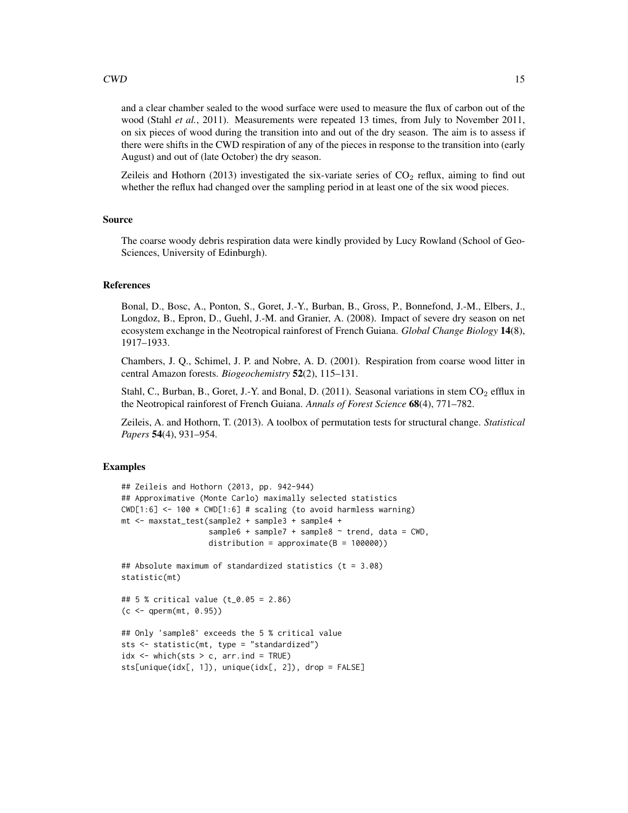# $\text{CWD}$  15

and a clear chamber sealed to the wood surface were used to measure the flux of carbon out of the wood (Stahl *et al.*, 2011). Measurements were repeated 13 times, from July to November 2011, on six pieces of wood during the transition into and out of the dry season. The aim is to assess if there were shifts in the CWD respiration of any of the pieces in response to the transition into (early August) and out of (late October) the dry season.

Zeileis and Hothorn (2013) investigated the six-variate series of  $CO<sub>2</sub>$  reflux, aiming to find out whether the reflux had changed over the sampling period in at least one of the six wood pieces.

# Source

The coarse woody debris respiration data were kindly provided by Lucy Rowland (School of Geo-Sciences, University of Edinburgh).

# References

Bonal, D., Bosc, A., Ponton, S., Goret, J.-Y., Burban, B., Gross, P., Bonnefond, J.-M., Elbers, J., Longdoz, B., Epron, D., Guehl, J.-M. and Granier, A. (2008). Impact of severe dry season on net ecosystem exchange in the Neotropical rainforest of French Guiana. *Global Change Biology* 14(8), 1917–1933.

Chambers, J. Q., Schimel, J. P. and Nobre, A. D. (2001). Respiration from coarse wood litter in central Amazon forests. *Biogeochemistry* 52(2), 115–131.

Stahl, C., Burban, B., Goret, J.-Y. and Bonal, D. (2011). Seasonal variations in stem  $CO<sub>2</sub>$  efflux in the Neotropical rainforest of French Guiana. *Annals of Forest Science* 68(4), 771–782.

Zeileis, A. and Hothorn, T. (2013). A toolbox of permutation tests for structural change. *Statistical Papers* 54(4), 931–954.

### Examples

```
## Zeileis and Hothorn (2013, pp. 942-944)
## Approximative (Monte Carlo) maximally selected statistics
CWD[1:6] \leq 100 \times CWD[1:6] \# scaling (to avoid harmless warning)mt <- maxstat_test(sample2 + sample3 + sample4 +
                   sample6 + sample7 + sample8 \sim trend, data = CWD,
                   distribution = approximate(B = 100000))
## Absolute maximum of standardized statistics (t = 3.08)
statistic(mt)
## 5 % critical value (t_0.05 = 2.86)
(c <- qperm(mt, 0.95))
## Only 'sample8' exceeds the 5 % critical value
sts <- statistic(mt, type = "standardized")
idx \leq which (sts > c, arr.ind = TRUE)sts[unique(idx[, 1]), unique(idx[, 2]), drop = FALSE]
```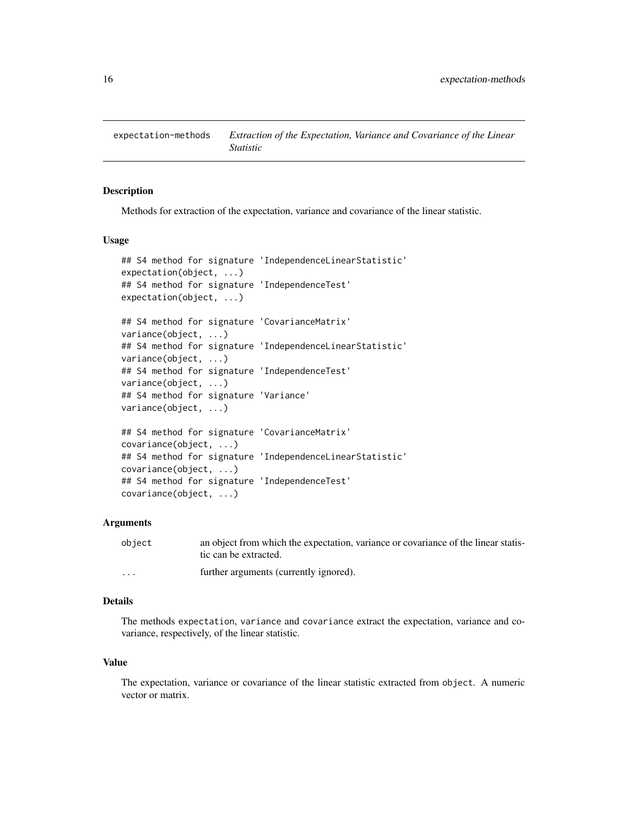<span id="page-15-0"></span>

# <span id="page-15-1"></span>Description

Methods for extraction of the expectation, variance and covariance of the linear statistic.

#### Usage

```
## S4 method for signature 'IndependenceLinearStatistic'
expectation(object, ...)
## S4 method for signature 'IndependenceTest'
expectation(object, ...)
## S4 method for signature 'CovarianceMatrix'
variance(object, ...)
## S4 method for signature 'IndependenceLinearStatistic'
variance(object, ...)
## S4 method for signature 'IndependenceTest'
variance(object, ...)
## S4 method for signature 'Variance'
variance(object, ...)
## S4 method for signature 'CovarianceMatrix'
covariance(object, ...)
## S4 method for signature 'IndependenceLinearStatistic'
covariance(object, ...)
## S4 method for signature 'IndependenceTest'
```
#### Arguments

covariance(object, ...)

| object  | an object from which the expectation, variance or covariance of the linear statis- |
|---------|------------------------------------------------------------------------------------|
|         | tic can be extracted.                                                              |
| $\cdot$ | further arguments (currently ignored).                                             |

#### Details

The methods expectation, variance and covariance extract the expectation, variance and covariance, respectively, of the linear statistic.

# Value

The expectation, variance or covariance of the linear statistic extracted from object. A numeric vector or matrix.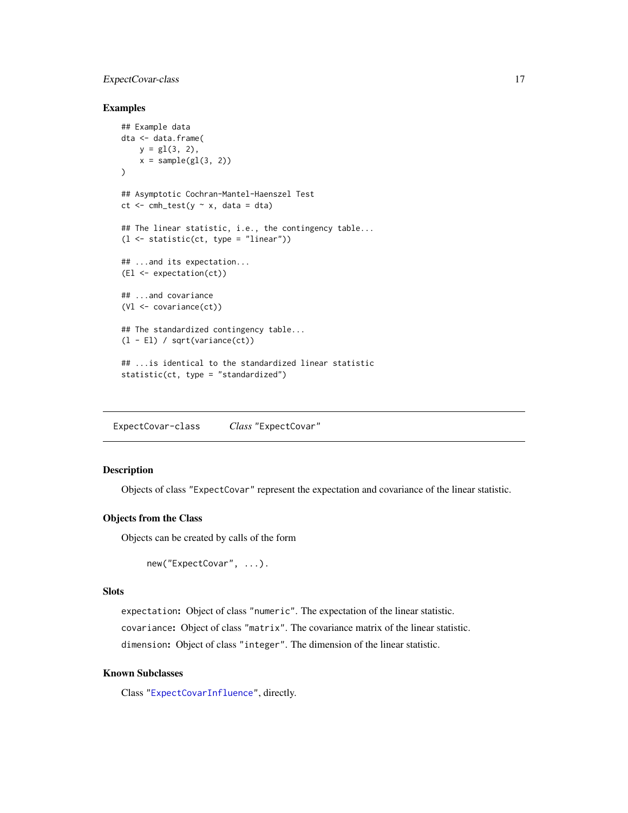# <span id="page-16-0"></span>ExpectCovar-class 17

# Examples

```
## Example data
dta <- data.frame(
    y = g1(3, 2),
    x = sample(g1(3, 2))\mathcal{L}## Asymptotic Cochran-Mantel-Haenszel Test
ct \leq cmh_test(y \sim x, data = dta)
## The linear statistic, i.e., the contingency table...
(l <- statistic(ct, type = "linear"))
## ...and its expectation...
(El <- expectation(ct))
## ...and covariance
(Vl <- covariance(ct))
## The standardized contingency table...
(l - El) / sqrt(variance(ct))
## ...is identical to the standardized linear statistic
statistic(ct, type = "standardized")
```
<span id="page-16-1"></span>ExpectCovar-class *Class* "ExpectCovar"

# Description

Objects of class "ExpectCovar" represent the expectation and covariance of the linear statistic.

### Objects from the Class

Objects can be created by calls of the form

```
new("ExpectCovar", ...).
```
# **Slots**

expectation: Object of class "numeric". The expectation of the linear statistic.

covariance: Object of class "matrix". The covariance matrix of the linear statistic. dimension: Object of class "integer". The dimension of the linear statistic.

# Known Subclasses

Class ["ExpectCovarInfluence"](#page-17-1), directly.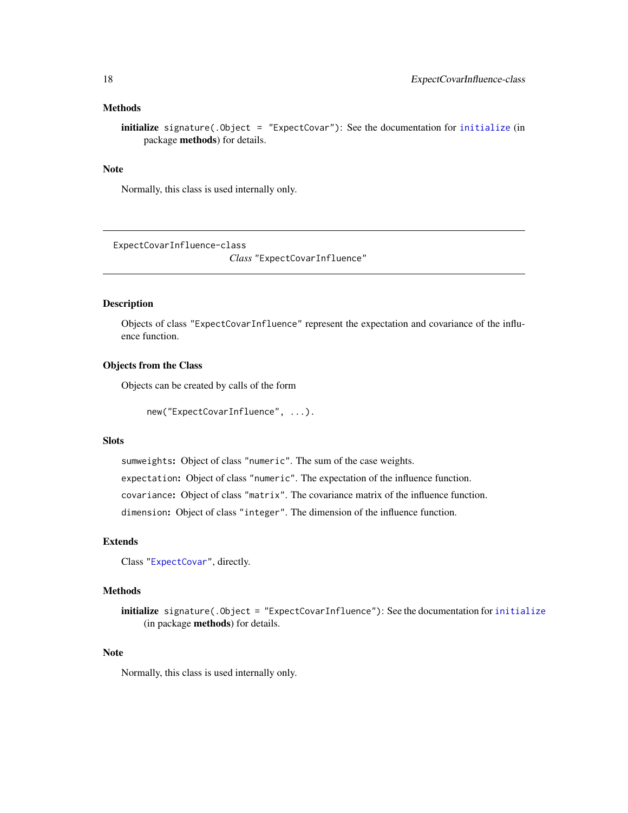# <span id="page-17-0"></span>Methods

**[initialize](#page-0-0)** signature(. $Object = "ExpectedCovar")$ : See the documentation for initialize (in package methods) for details.

# Note

Normally, this class is used internally only.

<span id="page-17-1"></span>ExpectCovarInfluence-class

*Class* "ExpectCovarInfluence"

# Description

Objects of class "ExpectCovarInfluence" represent the expectation and covariance of the influence function.

### Objects from the Class

Objects can be created by calls of the form

```
new("ExpectCovarInfluence", ...).
```
# Slots

sumweights: Object of class "numeric". The sum of the case weights.

expectation: Object of class "numeric". The expectation of the influence function.

covariance: Object of class "matrix". The covariance matrix of the influence function.

dimension: Object of class "integer". The dimension of the influence function.

# Extends

Class ["ExpectCovar"](#page-16-1), directly.

# Methods

initialize signature(.Object = "ExpectCovarInfluence"): See the documentation for [initialize](#page-0-0) (in package methods) for details.

#### Note

Normally, this class is used internally only.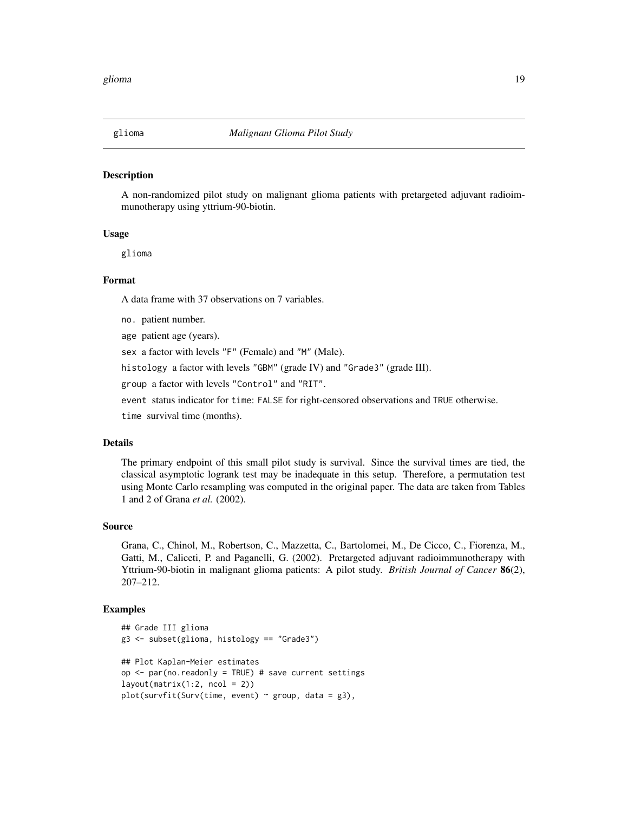<span id="page-18-0"></span>

# Description

A non-randomized pilot study on malignant glioma patients with pretargeted adjuvant radioimmunotherapy using yttrium-90-biotin.

# Usage

glioma

# Format

A data frame with 37 observations on 7 variables.

no. patient number.

age patient age (years).

sex a factor with levels "F" (Female) and "M" (Male).

histology a factor with levels "GBM" (grade IV) and "Grade3" (grade III).

group a factor with levels "Control" and "RIT".

event status indicator for time: FALSE for right-censored observations and TRUE otherwise.

time survival time (months).

# Details

The primary endpoint of this small pilot study is survival. Since the survival times are tied, the classical asymptotic logrank test may be inadequate in this setup. Therefore, a permutation test using Monte Carlo resampling was computed in the original paper. The data are taken from Tables 1 and 2 of Grana *et al.* (2002).

# Source

Grana, C., Chinol, M., Robertson, C., Mazzetta, C., Bartolomei, M., De Cicco, C., Fiorenza, M., Gatti, M., Caliceti, P. and Paganelli, G. (2002). Pretargeted adjuvant radioimmunotherapy with Yttrium-90-biotin in malignant glioma patients: A pilot study. *British Journal of Cancer* 86(2), 207–212.

# Examples

```
## Grade III glioma
g3 <- subset(glioma, histology == "Grade3")
## Plot Kaplan-Meier estimates
op <- par(no.readonly = TRUE) # save current settings
layout(matrix(1:2, ncol = 2))plot(survfit(Surv(time, event) \sim group, data = g3),
```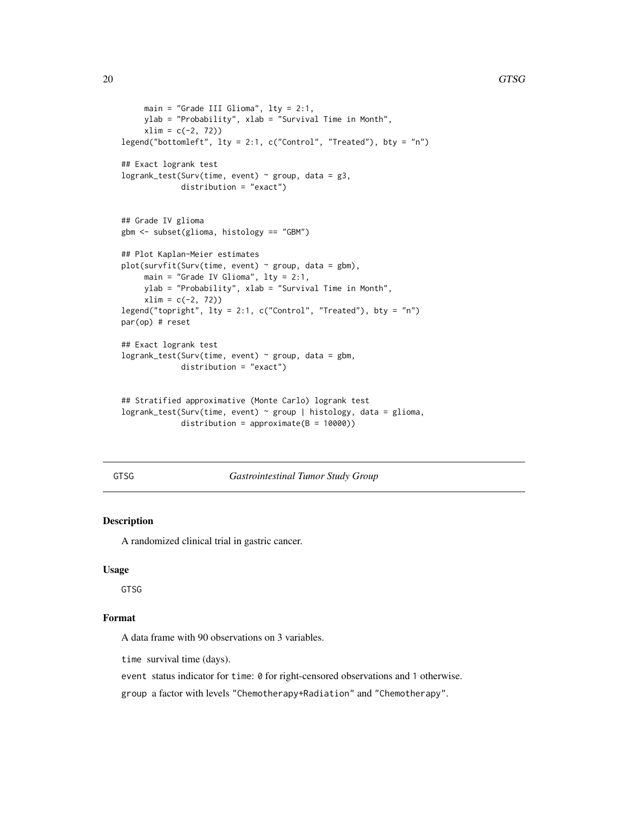```
main = "Grade III Glioma", lty = 2:1,
    ylab = "Probability", xlab = "Survival Time in Month",
    xlim = c(-2, 72)legend("bottomleft", lty = 2:1, c("Control", "Treated"), bty = "n")
## Exact logrank test
logrank_test(Surv(time, event) ~ group, data = g3,
            distribution = "exact")
## Grade IV glioma
gbm <- subset(glioma, histology == "GBM")
## Plot Kaplan-Meier estimates
plot(survfit(Surv(time, event) ~ ~ ~ ~ ~ ~ ~ ~ ~ ~ ~main = "Grade IV Glioma", lty = 2:1,
    ylab = "Probability", xlab = "Survival Time in Month",
    xlim = c(-2, 72))
legend("topright", lty = 2:1, c("Control", "Treated"), bty = "n")
par(op) # reset
## Exact logrank test
logrank_test(Surv(time, event) ~ group, data = gbm,
             distribution = "exact")
## Stratified approximative (Monte Carlo) logrank test
logrank_test(Surv(time, event) ~ group | histology, data = glioma,
             distribution = approximate(B = 10000))
```
GTSG *Gastrointestinal Tumor Study Group*

# Description

A randomized clinical trial in gastric cancer.

# Usage

GTSG

# Format

A data frame with 90 observations on 3 variables.

time survival time (days).

event status indicator for time: 0 for right-censored observations and 1 otherwise.

group a factor with levels "Chemotherapy+Radiation" and "Chemotherapy".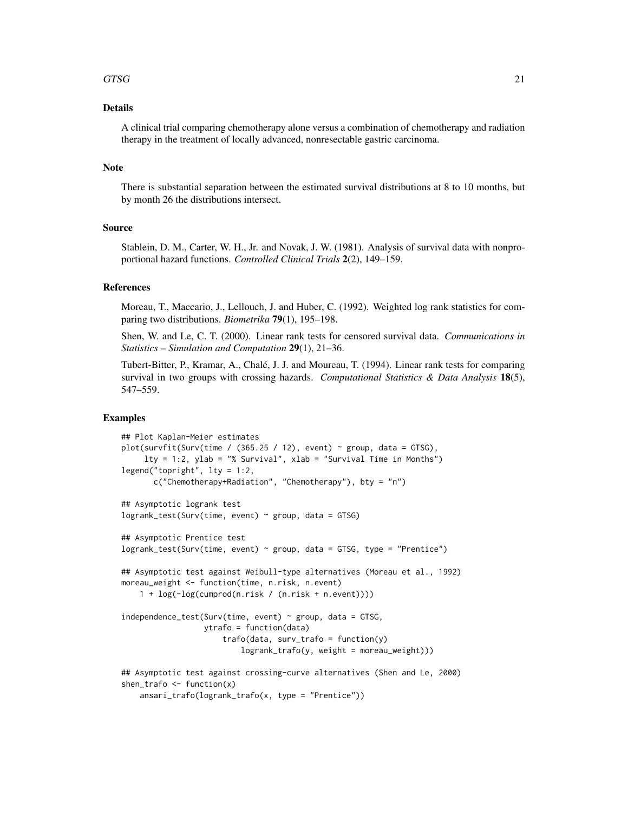# $GTSG$  21

# Details

A clinical trial comparing chemotherapy alone versus a combination of chemotherapy and radiation therapy in the treatment of locally advanced, nonresectable gastric carcinoma.

# **Note**

There is substantial separation between the estimated survival distributions at 8 to 10 months, but by month 26 the distributions intersect.

# Source

Stablein, D. M., Carter, W. H., Jr. and Novak, J. W. (1981). Analysis of survival data with nonproportional hazard functions. *Controlled Clinical Trials* 2(2), 149–159.

# References

Moreau, T., Maccario, J., Lellouch, J. and Huber, C. (1992). Weighted log rank statistics for comparing two distributions. *Biometrika* 79(1), 195–198.

Shen, W. and Le, C. T. (2000). Linear rank tests for censored survival data. *Communications in Statistics – Simulation and Computation* 29(1), 21–36.

Tubert-Bitter, P., Kramar, A., Chalé, J. J. and Moureau, T. (1994). Linear rank tests for comparing survival in two groups with crossing hazards. *Computational Statistics & Data Analysis* 18(5), 547–559.

# Examples

```
## Plot Kaplan-Meier estimates
plot(survfit(Surv(time / (365.25 / 12), event) \sim group, data = GTSG),
     lty = 1:2, ylab = "% Survival", xlab = "Survival Time in Months")
legend("topright", lty = 1:2,c("Chemotherapy+Radiation", "Chemotherapy"), bty = "n")
## Asymptotic logrank test
logrank\_test(Surv(time, event) \sim group, data = GTSG)## Asymptotic Prentice test
logrank_test(Surv(time, event) ~ group, data = GTSG, type = "Prentice")
## Asymptotic test against Weibull-type alternatives (Moreau et al., 1992)
moreau_weight <- function(time, n.risk, n.event)
    1 + log(-log(cumprod(n.risk / (n.risk + n.event))))
independence_test(Surv(time, event) \sim group, data = GTSG,
                  ytrafo = function(data)
                      trafo(data, surv_trafo = function(y)
                          logrank_trafo(y, weight = moreau_weight)))
## Asymptotic test against crossing-curve alternatives (Shen and Le, 2000)
shen_trafo \leq function(x)
   ansari_trafo(logrank_trafo(x, type = "Prentice"))
```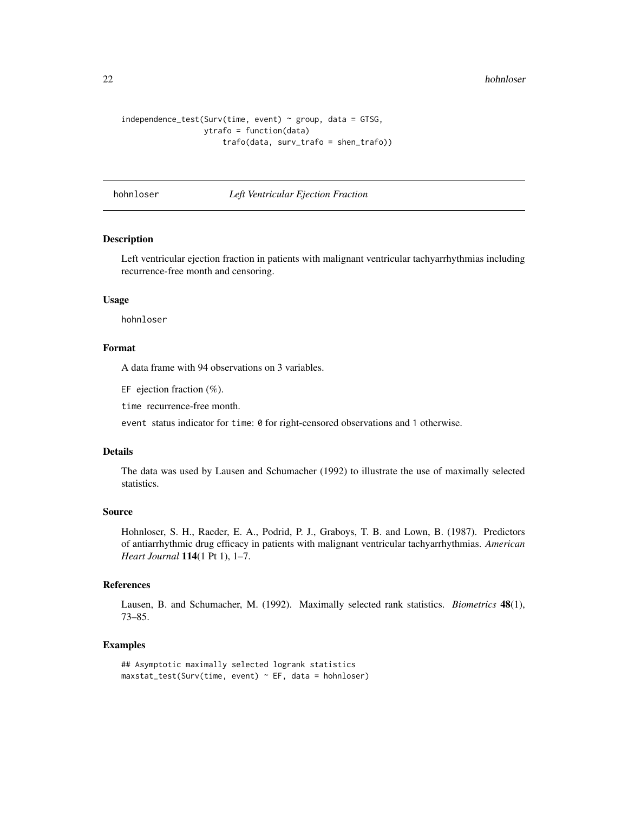```
independence_test(Surv(time, event) \sim group, data = GTSG,ytrafo = function(data)
                      trafo(data, surv_trafo = shen_trafo))
```
hohnloser *Left Ventricular Ejection Fraction*

# Description

Left ventricular ejection fraction in patients with malignant ventricular tachyarrhythmias including recurrence-free month and censoring.

# Usage

hohnloser

# Format

A data frame with 94 observations on 3 variables.

EF ejection fraction  $(\%)$ .

time recurrence-free month.

event status indicator for time: 0 for right-censored observations and 1 otherwise.

#### Details

The data was used by Lausen and Schumacher (1992) to illustrate the use of maximally selected statistics.

#### Source

Hohnloser, S. H., Raeder, E. A., Podrid, P. J., Graboys, T. B. and Lown, B. (1987). Predictors of antiarrhythmic drug efficacy in patients with malignant ventricular tachyarrhythmias. *American Heart Journal* 114(1 Pt 1), 1–7.

# References

Lausen, B. and Schumacher, M. (1992). Maximally selected rank statistics. *Biometrics* 48(1), 73–85.

#### Examples

```
## Asymptotic maximally selected logrank statistics
maxstat\_test(Surv(time, event) \sim EF, data = hohnloser)
```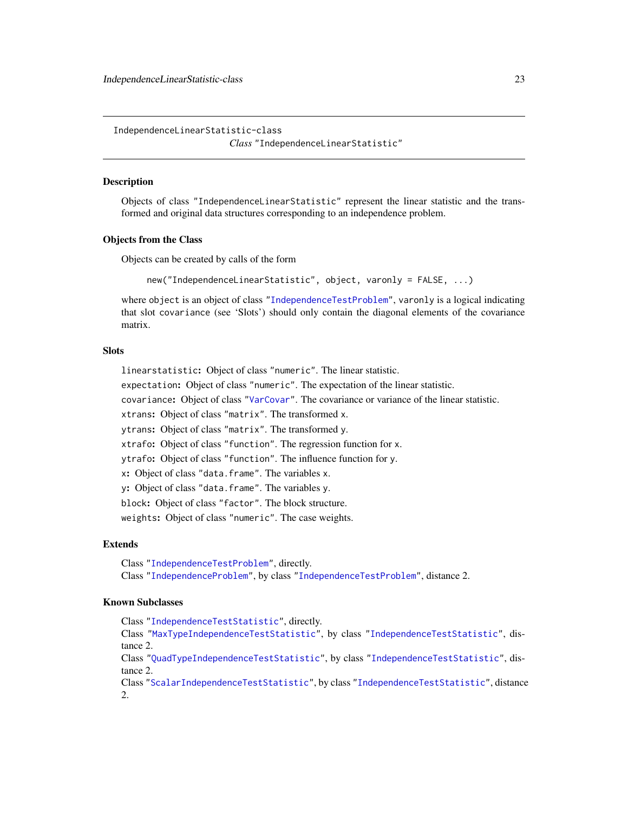<span id="page-22-1"></span><span id="page-22-0"></span>IndependenceLinearStatistic-class

```
Class "IndependenceLinearStatistic"
```
# Description

Objects of class "IndependenceLinearStatistic" represent the linear statistic and the transformed and original data structures corresponding to an independence problem.

#### Objects from the Class

Objects can be created by calls of the form

new("IndependenceLinearStatistic", object, varonly = FALSE, ...)

where object is an object of class ["IndependenceTestProblem"](#page-30-1), varonly is a logical indicating that slot covariance (see 'Slots') should only contain the diagonal elements of the covariance matrix.

# **Slots**

linearstatistic: Object of class "numeric". The linear statistic.

expectation: Object of class "numeric". The expectation of the linear statistic.

covariance: Object of class ["VarCovar"](#page-90-1). The covariance or variance of the linear statistic.

xtrans: Object of class "matrix". The transformed x.

ytrans: Object of class "matrix". The transformed y.

xtrafo: Object of class "function". The regression function for x.

ytrafo: Object of class "function". The influence function for y.

x: Object of class "data.frame". The variables x.

y: Object of class "data.frame". The variables y.

block: Object of class "factor". The block structure.

weights: Object of class "numeric". The case weights.

# Extends

Class ["IndependenceTestProblem"](#page-30-1), directly.

Class ["IndependenceProblem"](#page-23-1), by class ["IndependenceTestProblem"](#page-30-1), distance 2.

# Known Subclasses

Class ["IndependenceTestStatistic"](#page-31-1), directly.

Class ["MaxTypeIndependenceTestStatistic"](#page-31-2), by class ["IndependenceTestStatistic"](#page-31-1), distance 2.

Class ["QuadTypeIndependenceTestStatistic"](#page-31-2), by class ["IndependenceTestStatistic"](#page-31-1), distance 2.

Class ["ScalarIndependenceTestStatistic"](#page-31-2), by class ["IndependenceTestStatistic"](#page-31-1), distance 2.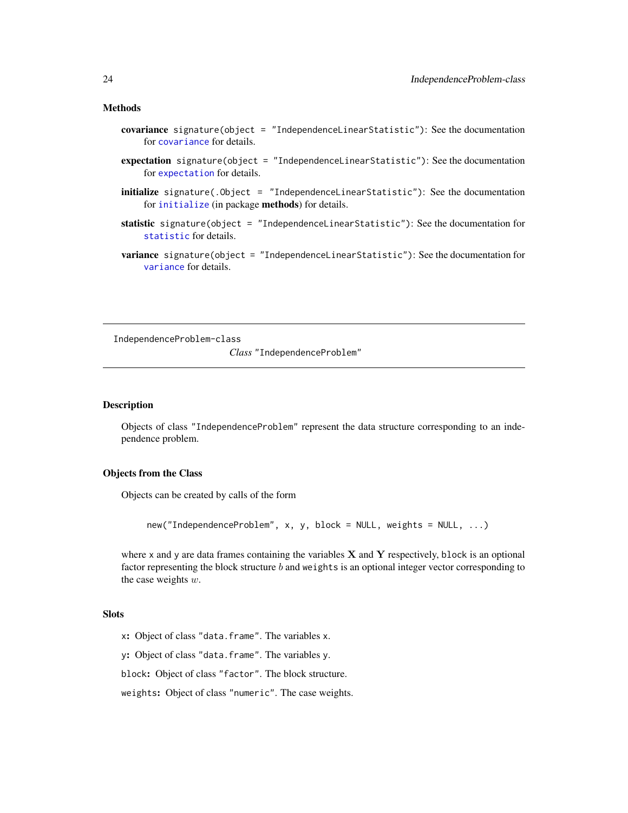#### <span id="page-23-0"></span>Methods

- covariance signature(object = "IndependenceLinearStatistic"): See the documentation for [covariance](#page-15-1) for details.
- expectation signature(object = "IndependenceLinearStatistic"): See the documentation for [expectation](#page-15-1) for details.
- initialize signature(.Object = "IndependenceLinearStatistic"): See the documentation for [initialize](#page-0-0) (in package methods) for details.
- statistic signature(object = "IndependenceLinearStatistic"): See the documentation for [statistic](#page-69-1) for details.
- variance signature(object = "IndependenceLinearStatistic"): See the documentation for [variance](#page-15-1) for details.

<span id="page-23-1"></span>IndependenceProblem-class

*Class* "IndependenceProblem"

# Description

Objects of class "IndependenceProblem" represent the data structure corresponding to an independence problem.

# Objects from the Class

Objects can be created by calls of the form

new("IndependenceProblem", x, y, block = NULL, weights = NULL, ...)

where x and y are data frames containing the variables  $X$  and  $Y$  respectively, block is an optional factor representing the block structure  $b$  and weights is an optional integer vector corresponding to the case weights  $w$ .

# **Slots**

x: Object of class "data.frame". The variables x.

y: Object of class "data.frame". The variables y.

block: Object of class "factor". The block structure.

weights: Object of class "numeric". The case weights.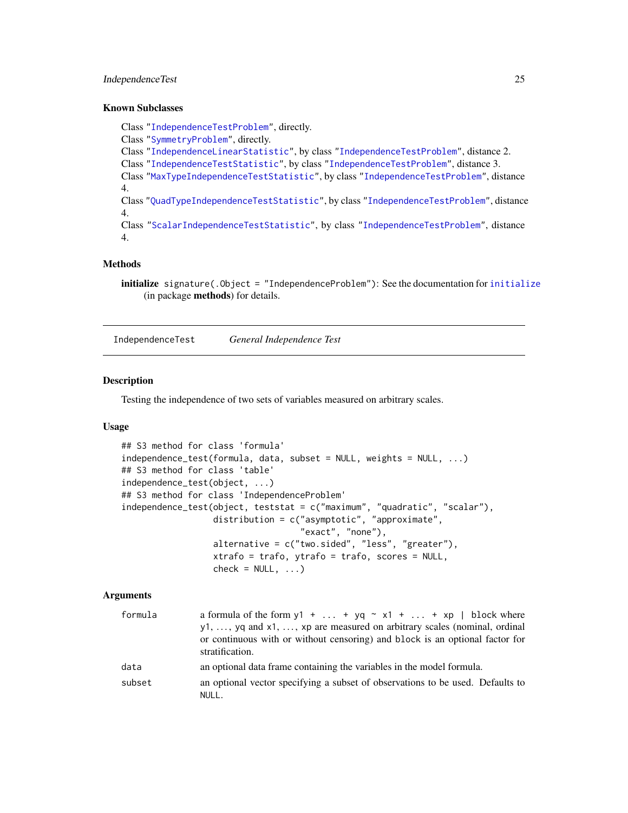# <span id="page-24-0"></span>Independence Test 25

### Known Subclasses

Class ["IndependenceTestProblem"](#page-30-1), directly. Class ["SymmetryProblem"](#page-76-1), directly. Class ["IndependenceLinearStatistic"](#page-22-1), by class ["IndependenceTestProblem"](#page-30-1), distance 2. Class ["IndependenceTestStatistic"](#page-31-1), by class ["IndependenceTestProblem"](#page-30-1), distance 3. Class ["MaxTypeIndependenceTestStatistic"](#page-31-2), by class ["IndependenceTestProblem"](#page-30-1), distance 4. Class ["QuadTypeIndependenceTestStatistic"](#page-31-2), by class ["IndependenceTestProblem"](#page-30-1), distance 4. Class ["ScalarIndependenceTestStatistic"](#page-31-2), by class ["IndependenceTestProblem"](#page-30-1), distance 4.

#### Methods

initialize signature(.Object = "IndependenceProblem"): See the documentation for [initialize](#page-0-0) (in package methods) for details.

IndependenceTest *General Independence Test*

#### <span id="page-24-1"></span>Description

Testing the independence of two sets of variables measured on arbitrary scales.

# Usage

```
## S3 method for class 'formula'
independence_test(formula, data, subset = NULL, weights = NULL, ...)
## S3 method for class 'table'
independence_test(object, ...)
## S3 method for class 'IndependenceProblem'
independence_test(object, teststat = c("maximum", "quadratic", "scalar"),
                  distribution = c("asymptotic", "approximate",
                                   "exact", "none"),
                  alternative = c("two.sided", "less", "greater"),
                  xtrafo = trafo, ytrafo = trafo, scores = NULL,
                  check = NULL, ...
```
# Arguments

| formula | a formula of the form $y1 +  + yq \sim x1 +  + xp \mid block$ where                             |
|---------|-------------------------------------------------------------------------------------------------|
|         | $y1, \ldots, yq$ and $x1, \ldots, xp$ are measured on arbitrary scales (nominal, ordinal        |
|         | or continuous with or without censoring) and block is an optional factor for<br>stratification. |
| data    | an optional data frame containing the variables in the model formula.                           |
| subset  | an optional vector specifying a subset of observations to be used. Defaults to                  |
|         | NULL.                                                                                           |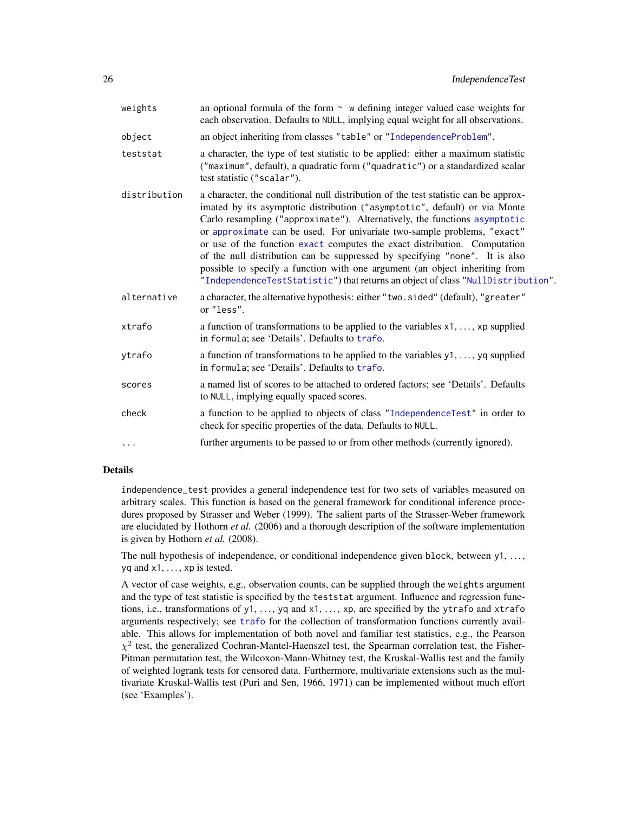| weights      | an optional formula of the form $\sim$ w defining integer valued case weights for<br>each observation. Defaults to NULL, implying equal weight for all observations.                                                                                                                                                                                                                                                                                                                                                                                                                                                                                     |
|--------------|----------------------------------------------------------------------------------------------------------------------------------------------------------------------------------------------------------------------------------------------------------------------------------------------------------------------------------------------------------------------------------------------------------------------------------------------------------------------------------------------------------------------------------------------------------------------------------------------------------------------------------------------------------|
| object       | an object inheriting from classes "table" or "IndependenceProblem".                                                                                                                                                                                                                                                                                                                                                                                                                                                                                                                                                                                      |
| teststat     | a character, the type of test statistic to be applied: either a maximum statistic<br>("maximum", default), a quadratic form ("quadratic") or a standardized scalar<br>test statistic ("scalar").                                                                                                                                                                                                                                                                                                                                                                                                                                                         |
| distribution | a character, the conditional null distribution of the test statistic can be approx-<br>imated by its asymptotic distribution ("asymptotic", default) or via Monte<br>Carlo resampling ("approximate"). Alternatively, the functions asymptotic<br>or approximate can be used. For univariate two-sample problems, "exact"<br>or use of the function exact computes the exact distribution. Computation<br>of the null distribution can be suppressed by specifying "none". It is also<br>possible to specify a function with one argument (an object inheriting from<br>"IndependenceTestStatistic") that returns an object of class "NullDistribution". |
| alternative  | a character, the alternative hypothesis: either "two.sided" (default), "greater"<br>or "less".                                                                                                                                                                                                                                                                                                                                                                                                                                                                                                                                                           |
| xtrafo       | a function of transformations to be applied to the variables x1, , xp supplied<br>in formula; see 'Details'. Defaults to trafo.                                                                                                                                                                                                                                                                                                                                                                                                                                                                                                                          |
| ytrafo       | a function of transformations to be applied to the variables y1, , yq supplied<br>in formula; see 'Details'. Defaults to trafo.                                                                                                                                                                                                                                                                                                                                                                                                                                                                                                                          |
| scores       | a named list of scores to be attached to ordered factors; see 'Details'. Defaults<br>to NULL, implying equally spaced scores.                                                                                                                                                                                                                                                                                                                                                                                                                                                                                                                            |
| check        | a function to be applied to objects of class "IndependenceTest" in order to<br>check for specific properties of the data. Defaults to NULL.                                                                                                                                                                                                                                                                                                                                                                                                                                                                                                              |
| $\cdots$     | further arguments to be passed to or from other methods (currently ignored).                                                                                                                                                                                                                                                                                                                                                                                                                                                                                                                                                                             |
|              |                                                                                                                                                                                                                                                                                                                                                                                                                                                                                                                                                                                                                                                          |

# Details

independence\_test provides a general independence test for two sets of variables measured on arbitrary scales. This function is based on the general framework for conditional inference procedures proposed by Strasser and Weber (1999). The salient parts of the Strasser-Weber framework are elucidated by Hothorn *et al.* (2006) and a thorough description of the software implementation is given by Hothorn *et al.* (2008).

The null hypothesis of independence, or conditional independence given block, between y1, ...,  $yq$  and  $x1, \ldots, xp$  is tested.

A vector of case weights, e.g., observation counts, can be supplied through the weights argument and the type of test statistic is specified by the teststat argument. Influence and regression functions, i.e., transformations of y1, ..., yq and x1, ..., xp, are specified by the ytrafo and xtrafo arguments respectively; see [trafo](#page-85-1) for the collection of transformation functions currently available. This allows for implementation of both novel and familiar test statistics, e.g., the Pearson  $\chi^2$  test, the generalized Cochran-Mantel-Haenszel test, the Spearman correlation test, the Fisher-Pitman permutation test, the Wilcoxon-Mann-Whitney test, the Kruskal-Wallis test and the family of weighted logrank tests for censored data. Furthermore, multivariate extensions such as the multivariate Kruskal-Wallis test (Puri and Sen, 1966, 1971) can be implemented without much effort (see 'Examples').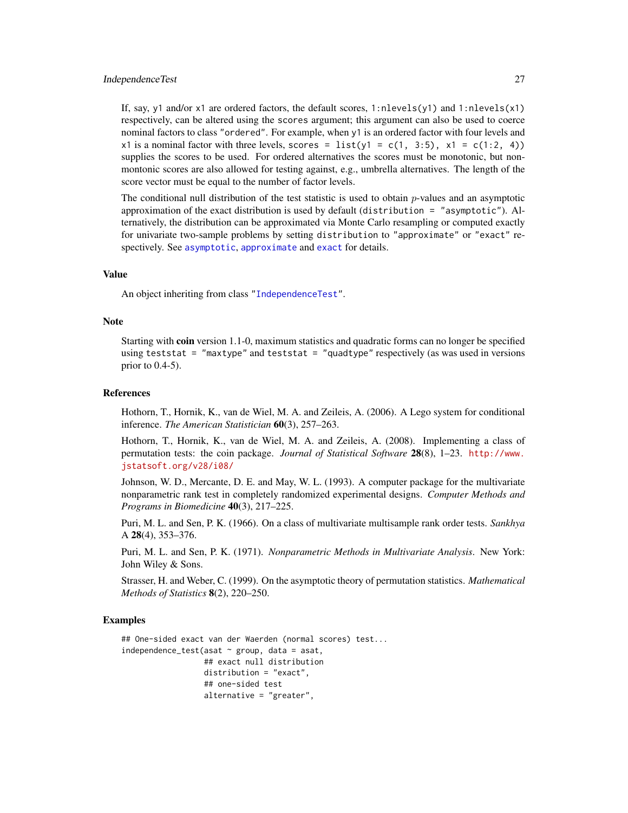If, say, y1 and/or x1 are ordered factors, the default scores, 1:nlevels(y1) and 1:nlevels(x1) respectively, can be altered using the scores argument; this argument can also be used to coerce nominal factors to class "ordered". For example, when y1 is an ordered factor with four levels and x1 is a nominal factor with three levels, scores =  $list(y1 = c(1, 3:5), x1 = c(1:2, 4))$ supplies the scores to be used. For ordered alternatives the scores must be monotonic, but nonmontonic scores are also allowed for testing against, e.g., umbrella alternatives. The length of the score vector must be equal to the number of factor levels.

The conditional null distribution of the test statistic is used to obtain  $p$ -values and an asymptotic approximation of the exact distribution is used by default (distribution = "asymptotic"). Alternatively, the distribution can be approximated via Monte Carlo resampling or computed exactly for univariate two-sample problems by setting distribution to "approximate" or "exact" respectively. See [asymptotic](#page-50-1), [approximate](#page-50-1) and [exact](#page-50-1) for details.

# Value

An object inheriting from class ["IndependenceTest"](#page-28-1).

#### Note

Starting with **coin** version 1.1-0, maximum statistics and quadratic forms can no longer be specified using teststat = "maxtype" and teststat = "quadtype" respectively (as was used in versions prior to 0.4-5).

#### References

Hothorn, T., Hornik, K., van de Wiel, M. A. and Zeileis, A. (2006). A Lego system for conditional inference. *The American Statistician* 60(3), 257–263.

Hothorn, T., Hornik, K., van de Wiel, M. A. and Zeileis, A. (2008). Implementing a class of permutation tests: the coin package. *Journal of Statistical Software* 28(8), 1–23. [http://www.](http://www.jstatsoft.org/v28/i08/) [jstatsoft.org/v28/i08/](http://www.jstatsoft.org/v28/i08/)

Johnson, W. D., Mercante, D. E. and May, W. L. (1993). A computer package for the multivariate nonparametric rank test in completely randomized experimental designs. *Computer Methods and Programs in Biomedicine* 40(3), 217–225.

Puri, M. L. and Sen, P. K. (1966). On a class of multivariate multisample rank order tests. *Sankhya* A 28(4), 353–376.

Puri, M. L. and Sen, P. K. (1971). *Nonparametric Methods in Multivariate Analysis*. New York: John Wiley & Sons.

Strasser, H. and Weber, C. (1999). On the asymptotic theory of permutation statistics. *Mathematical Methods of Statistics* 8(2), 220–250.

# Examples

```
## One-sided exact van der Waerden (normal scores) test...
independence_test(asat \sim group, data = asat,
                  ## exact null distribution
                  distribution = "exact",
                  ## one-sided test
                  alternative = "greater",
```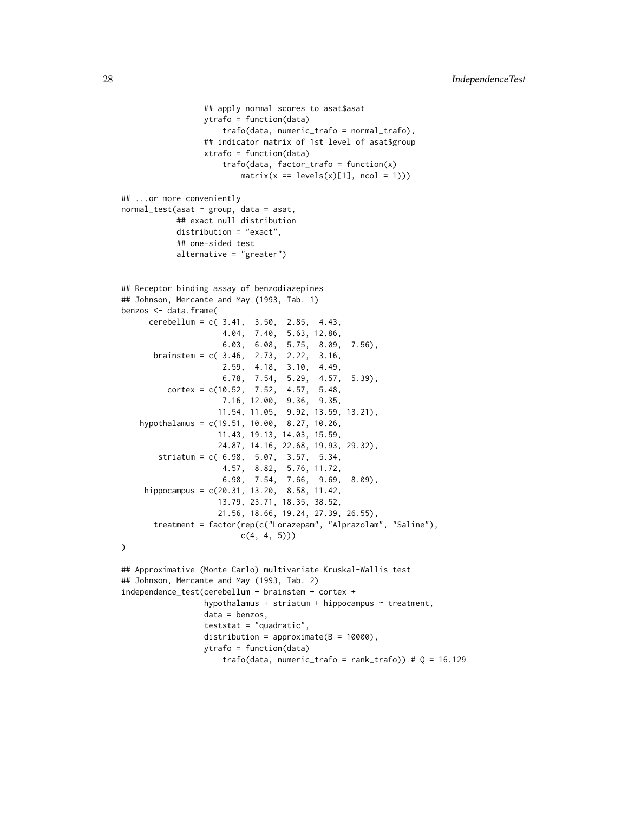```
## apply normal scores to asat$asat
                 ytrafo = function(data)
                     trafo(data, numeric_trafo = normal_trafo),
                 ## indicator matrix of 1st level of asat$group
                 xtrafo = function(data)
                     trafo(data, factor_trafo = function(x)
                         matrix(x == levels(x)[1], ncol = 1)))## ...or more conveniently
normal\_test(asat ~ group, data = asat,## exact null distribution
           distribution = "exact",
           ## one-sided test
           alternative = "greater")
## Receptor binding assay of benzodiazepines
## Johnson, Mercante and May (1993, Tab. 1)
benzos <- data.frame(
     cerebellum = c( 3.41, 3.50, 2.85, 4.43,
                     4.04, 7.40, 5.63, 12.86,
                     6.03, 6.08, 5.75, 8.09, 7.56),
      brainstem = c( 3.46, 2.73, 2.22, 3.16,
                     2.59, 4.18, 3.10, 4.49,
                     6.78, 7.54, 5.29, 4.57, 5.39),
          cortex = c(10.52, 7.52, 4.57, 5.48,7.16, 12.00, 9.36, 9.35,
                    11.54, 11.05, 9.92, 13.59, 13.21),
    hypothalamus = c(19.51, 10.00, 8.27, 10.26,
                    11.43, 19.13, 14.03, 15.59,
                    24.87, 14.16, 22.68, 19.93, 29.32),
       striatum = c( 6.98, 5.07, 3.57, 5.34,
                     4.57, 8.82, 5.76, 11.72,
                     6.98, 7.54, 7.66, 9.69, 8.09),
     hippocampus = c(20.31, 13.20, 8.58, 11.42,
                    13.79, 23.71, 18.35, 38.52,
                    21.56, 18.66, 19.24, 27.39, 26.55),
      treatment = factor(rep(c("Lorazepam", "Alprazolam", "Saline"),
                         c(4, 4, 5)))
## Approximative (Monte Carlo) multivariate Kruskal-Wallis test
## Johnson, Mercante and May (1993, Tab. 2)
independence_test(cerebellum + brainstem + cortex +
                 hypothalamus + striatum + hippocampus \sim treatment,
                 data = benzos,
                 teststat = "quadratic",
                 distribution = approximate(B = 10000),
                 ytrafo = function(data)
                     trafo(data, numeric_trafo = rank_trafo)) # Q = 16.129
```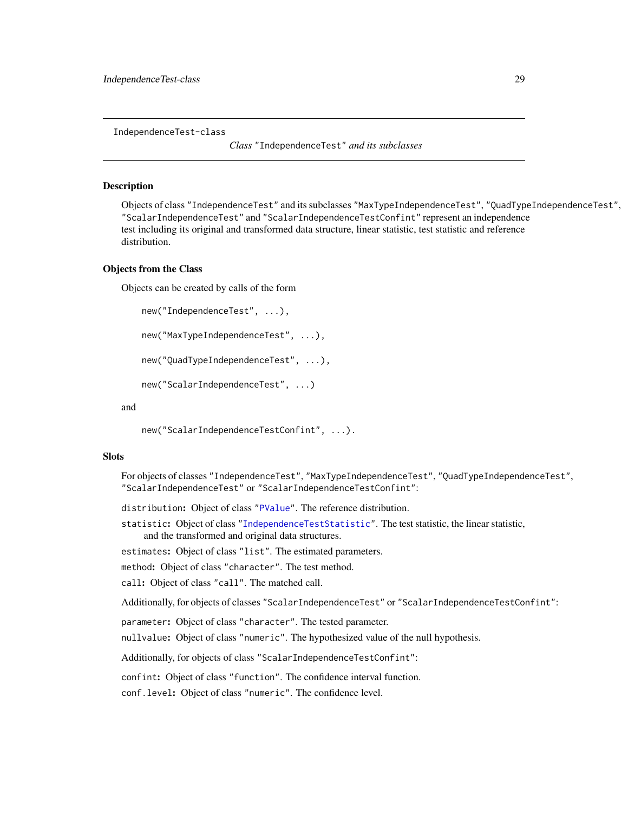<span id="page-28-1"></span><span id="page-28-0"></span>IndependenceTest-class

*Class* "IndependenceTest" *and its subclasses*

# Description

Objects of class "IndependenceTest" and its subclasses "MaxTypeIndependenceTest", "QuadTypeIndependenceTest", "ScalarIndependenceTest" and "ScalarIndependenceTestConfint" represent an independence test including its original and transformed data structure, linear statistic, test statistic and reference distribution.

#### Objects from the Class

Objects can be created by calls of the form

```
new("IndependenceTest", ...),
```

```
new("MaxTypeIndependenceTest", ...),
```
new("QuadTypeIndependenceTest", ...),

```
new("ScalarIndependenceTest", ...)
```
#### and

new("ScalarIndependenceTestConfint", ...).

# **Slots**

For objects of classes "IndependenceTest", "MaxTypeIndependenceTest", "QuadTypeIndependenceTest", "ScalarIndependenceTest" or "ScalarIndependenceTestConfint":

distribution: Object of class ["PValue"](#page-60-1). The reference distribution.

statistic: Object of class ["IndependenceTestStatistic"](#page-31-1). The test statistic, the linear statistic, and the transformed and original data structures.

estimates: Object of class "list". The estimated parameters.

method: Object of class "character". The test method.

call: Object of class "call". The matched call.

Additionally, for objects of classes "ScalarIndependenceTest" or "ScalarIndependenceTestConfint":

parameter: Object of class "character". The tested parameter.

nullvalue: Object of class "numeric". The hypothesized value of the null hypothesis.

Additionally, for objects of class "ScalarIndependenceTestConfint":

confint: Object of class "function". The confidence interval function.

conf.level: Object of class "numeric". The confidence level.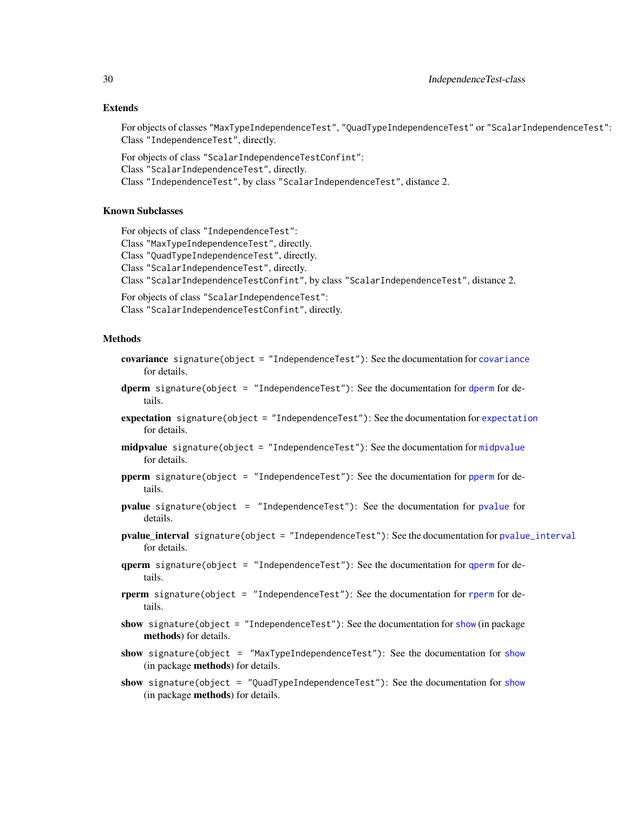# Extends

For objects of classes "MaxTypeIndependenceTest", "QuadTypeIndependenceTest" or "ScalarIndependenceTest": Class "IndependenceTest", directly.

For objects of class "ScalarIndependenceTestConfint": Class "ScalarIndependenceTest", directly. Class "IndependenceTest", by class "ScalarIndependenceTest", distance 2.

# Known Subclasses

For objects of class "IndependenceTest": Class "MaxTypeIndependenceTest", directly. Class "QuadTypeIndependenceTest", directly. Class "ScalarIndependenceTest", directly. Class "ScalarIndependenceTestConfint", by class "ScalarIndependenceTest", distance 2.

For objects of class "ScalarIndependenceTest": Class "ScalarIndependenceTestConfint", directly.

# Methods

- covariance signature(object = "IndependenceTest"): See the documentation for [covariance](#page-15-1) for details.
- [dperm](#page-57-1) signature(object = "IndependenceTest"): See the documentation for dperm for details.
- expectation signature(object = "IndependenceTest"): See the documentation for [expectation](#page-15-1) for details.
- [midpvalue](#page-61-1) signature(object = "IndependenceTest"): See the documentation for midpvalue for details.
- pperm signature(object = "IndependenceTest"): See the documentation for [pperm](#page-57-1) for details.
- pvalue signature(object = "IndependenceTest"): See the documentation for [pvalue](#page-61-1) for details.
- pvalue\_interval signature(object = "IndependenceTest"): See the documentation for [pvalue\\_interval](#page-61-1) for details.
- qperm signature(object = "IndependenceTest"): See the documentation for [qperm](#page-57-1) for details.
- rperm signature(object = "IndependenceTest"): See the documentation for [rperm](#page-57-1) for details.
- show signature(object = "IndependenceTest"): See the documentation for [show](#page-0-0) (in package methods) for details.
- [show](#page-0-0) signature(object = "MaxTypeIndependenceTest"): See the documentation for show (in package methods) for details.
- [show](#page-0-0) signature(object = "QuadTypeIndependenceTest"): See the documentation for show (in package methods) for details.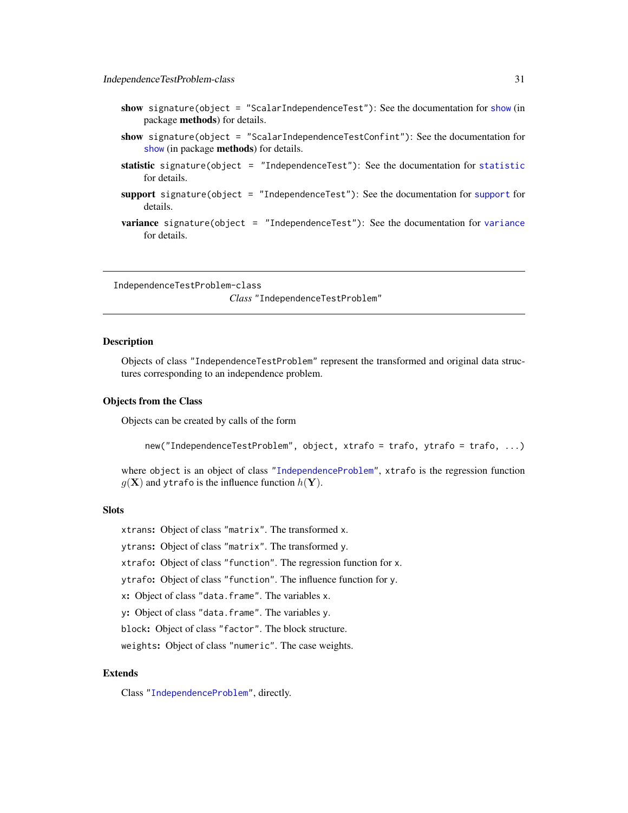- <span id="page-30-0"></span>[show](#page-0-0) signature(object = "ScalarIndependenceTest"): See the documentation for show (in package methods) for details.
- show signature(object = "ScalarIndependenceTestConfint"): See the documentation for [show](#page-0-0) (in package methods) for details.
- [statistic](#page-69-1) signature(object = "IndependenceTest"): See the documentation for statistic for details.
- support signature(object = "IndependenceTest"): See the documentation for [support](#page-57-1) for details.
- variance signature(object = "IndependenceTest"): See the documentation for [variance](#page-15-1) for details.

<span id="page-30-1"></span>IndependenceTestProblem-class *Class* "IndependenceTestProblem"

# **Description**

Objects of class "IndependenceTestProblem" represent the transformed and original data structures corresponding to an independence problem.

#### Objects from the Class

Objects can be created by calls of the form

new("IndependenceTestProblem", object, xtrafo = trafo, ytrafo = trafo, ...)

where object is an object of class ["IndependenceProblem"](#page-23-1), xtrafo is the regression function  $g(\mathbf{X})$  and ytrafo is the influence function  $h(\mathbf{Y})$ .

# **Slots**

xtrans: Object of class "matrix". The transformed x.

ytrans: Object of class "matrix". The transformed y.

xtrafo: Object of class "function". The regression function for x.

ytrafo: Object of class "function". The influence function for y.

x: Object of class "data.frame". The variables x.

y: Object of class "data.frame". The variables y.

block: Object of class "factor". The block structure.

weights: Object of class "numeric". The case weights.

# Extends

Class ["IndependenceProblem"](#page-23-1), directly.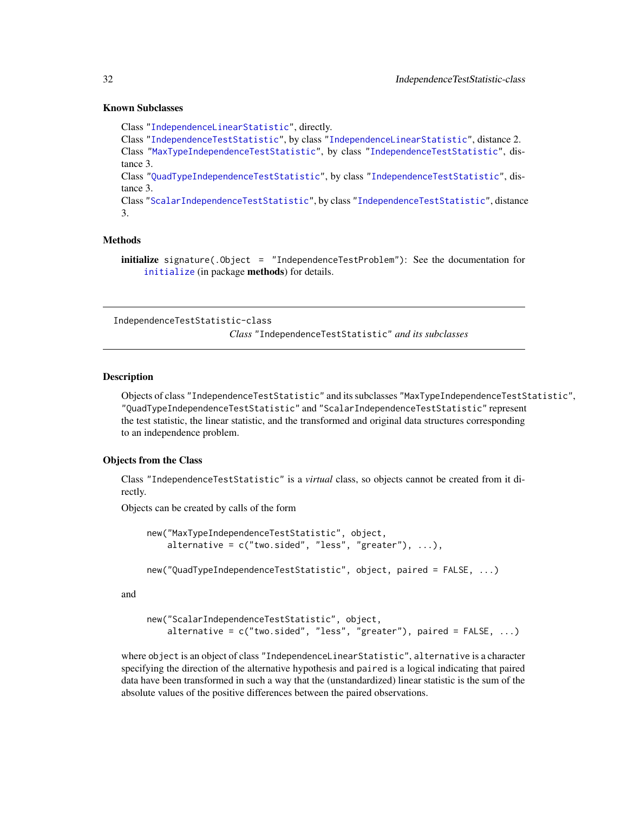# Known Subclasses

Class ["IndependenceLinearStatistic"](#page-22-1), directly. Class ["IndependenceTestStatistic"](#page-31-1), by class ["IndependenceLinearStatistic"](#page-22-1), distance 2. Class ["MaxTypeIndependenceTestStatistic"](#page-31-2), by class ["IndependenceTestStatistic"](#page-31-1), distance 3. Class ["QuadTypeIndependenceTestStatistic"](#page-31-2), by class ["IndependenceTestStatistic"](#page-31-1), distance 3. Class ["ScalarIndependenceTestStatistic"](#page-31-2), by class ["IndependenceTestStatistic"](#page-31-1), distance 3.

# Methods

initialize signature(.Object = "IndependenceTestProblem"): See the documentation for [initialize](#page-0-0) (in package methods) for details.

<span id="page-31-1"></span>IndependenceTestStatistic-class

*Class* "IndependenceTestStatistic" *and its subclasses*

#### <span id="page-31-2"></span>Description

Objects of class "IndependenceTestStatistic" and its subclasses "MaxTypeIndependenceTestStatistic", "QuadTypeIndependenceTestStatistic" and "ScalarIndependenceTestStatistic" represent the test statistic, the linear statistic, and the transformed and original data structures corresponding to an independence problem.

#### Objects from the Class

Class "IndependenceTestStatistic" is a *virtual* class, so objects cannot be created from it directly.

Objects can be created by calls of the form

```
new("MaxTypeIndependenceTestStatistic", object,
    alternative = c("two-sided", "less", "greater"), ...),new("QuadTypeIndependenceTestStatistic", object, paired = FALSE, ...)
```
and

```
new("ScalarIndependenceTestStatistic", object,
    alternative = c("two.sided", "less", "greater"), paired = FALSE, ...)
```
where object is an object of class "IndependenceLinearStatistic", alternative is a character specifying the direction of the alternative hypothesis and paired is a logical indicating that paired data have been transformed in such a way that the (unstandardized) linear statistic is the sum of the absolute values of the positive differences between the paired observations.

<span id="page-31-0"></span>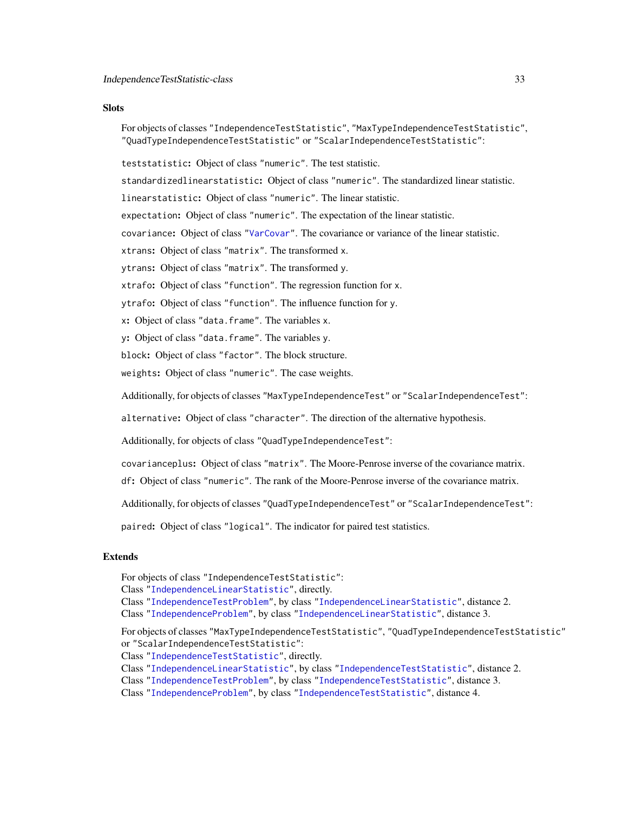# **Slots**

For objects of classes "IndependenceTestStatistic", "MaxTypeIndependenceTestStatistic", "QuadTypeIndependenceTestStatistic" or "ScalarIndependenceTestStatistic":

teststatistic: Object of class "numeric". The test statistic.

standardizedlinearstatistic: Object of class "numeric". The standardized linear statistic.

linearstatistic: Object of class "numeric". The linear statistic.

expectation: Object of class "numeric". The expectation of the linear statistic.

covariance: Object of class ["VarCovar"](#page-90-1). The covariance or variance of the linear statistic.

xtrans: Object of class "matrix". The transformed x.

ytrans: Object of class "matrix". The transformed y.

xtrafo: Object of class "function". The regression function for x.

ytrafo: Object of class "function". The influence function for y.

x: Object of class "data.frame". The variables x.

y: Object of class "data.frame". The variables y.

block: Object of class "factor". The block structure.

weights: Object of class "numeric". The case weights.

Additionally, for objects of classes "MaxTypeIndependenceTest" or "ScalarIndependenceTest":

alternative: Object of class "character". The direction of the alternative hypothesis.

Additionally, for objects of class "QuadTypeIndependenceTest":

covarianceplus: Object of class "matrix". The Moore-Penrose inverse of the covariance matrix.

df: Object of class "numeric". The rank of the Moore-Penrose inverse of the covariance matrix.

Additionally, for objects of classes "QuadTypeIndependenceTest" or "ScalarIndependenceTest":

paired: Object of class "logical". The indicator for paired test statistics.

# Extends

For objects of class "IndependenceTestStatistic":

Class ["IndependenceLinearStatistic"](#page-22-1), directly.

Class ["IndependenceTestProblem"](#page-30-1), by class ["IndependenceLinearStatistic"](#page-22-1), distance 2.

Class ["IndependenceProblem"](#page-23-1), by class ["IndependenceLinearStatistic"](#page-22-1), distance 3.

For objects of classes "MaxTypeIndependenceTestStatistic", "QuadTypeIndependenceTestStatistic" or "ScalarIndependenceTestStatistic":

Class ["IndependenceTestStatistic"](#page-31-1), directly.

Class ["IndependenceLinearStatistic"](#page-22-1), by class ["IndependenceTestStatistic"](#page-31-1), distance 2.

Class ["IndependenceTestProblem"](#page-30-1), by class ["IndependenceTestStatistic"](#page-31-1), distance 3.

Class ["IndependenceProblem"](#page-23-1), by class ["IndependenceTestStatistic"](#page-31-1), distance 4.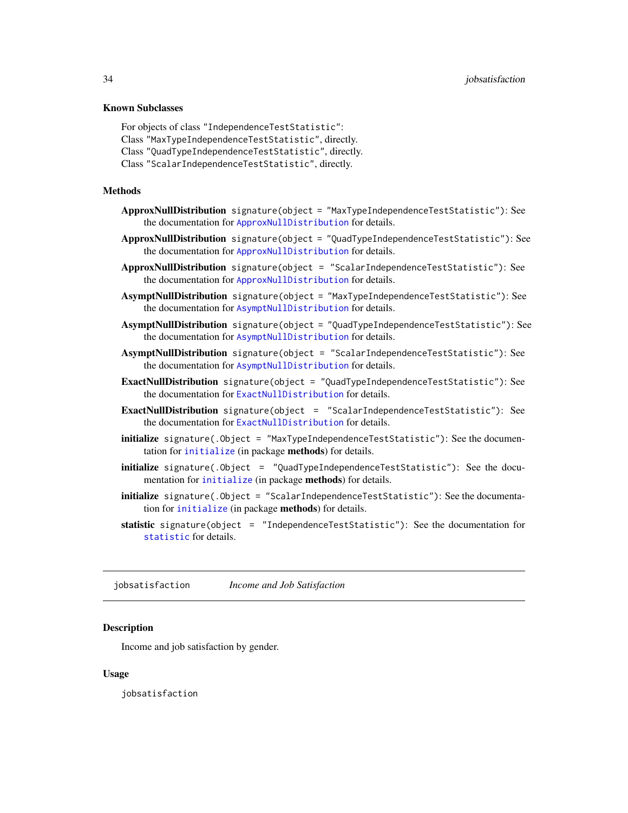#### <span id="page-33-0"></span>Known Subclasses

```
For objects of class "IndependenceTestStatistic":
Class "MaxTypeIndependenceTestStatistic", directly.
Class "QuadTypeIndependenceTestStatistic", directly.
Class "ScalarIndependenceTestStatistic", directly.
```
#### Methods

- ApproxNullDistribution signature(object = "MaxTypeIndependenceTestStatistic"): See the documentation for [ApproxNullDistribution](#page-54-1) for details.
- ApproxNullDistribution signature(object = "QuadTypeIndependenceTestStatistic"): See the documentation for [ApproxNullDistribution](#page-54-1) for details.
- ApproxNullDistribution signature(object = "ScalarIndependenceTestStatistic"): See the documentation for [ApproxNullDistribution](#page-54-1) for details.
- AsymptNullDistribution signature(object = "MaxTypeIndependenceTestStatistic"): See the documentation for [AsymptNullDistribution](#page-54-1) for details.
- AsymptNullDistribution signature(object = "QuadTypeIndependenceTestStatistic"): See the documentation for [AsymptNullDistribution](#page-54-1) for details.
- AsymptNullDistribution signature(object = "ScalarIndependenceTestStatistic"): See the documentation for [AsymptNullDistribution](#page-54-1) for details.
- ExactNullDistribution signature(object = "QuadTypeIndependenceTestStatistic"): See the documentation for [ExactNullDistribution](#page-54-1) for details.
- ExactNullDistribution signature(object = "ScalarIndependenceTestStatistic"): See the documentation for [ExactNullDistribution](#page-54-1) for details.
- initialize signature(.Object = "MaxTypeIndependenceTestStatistic"): See the documentation for [initialize](#page-0-0) (in package methods) for details.
- initialize signature(.Object = "QuadTypeIndependenceTestStatistic"): See the documentation for [initialize](#page-0-0) (in package methods) for details.
- initialize signature(.Object = "ScalarIndependenceTestStatistic"): See the documentation for [initialize](#page-0-0) (in package methods) for details.
- statistic signature(object = "IndependenceTestStatistic"): See the documentation for [statistic](#page-69-1) for details.

jobsatisfaction *Income and Job Satisfaction*

# Description

Income and job satisfaction by gender.

#### Usage

jobsatisfaction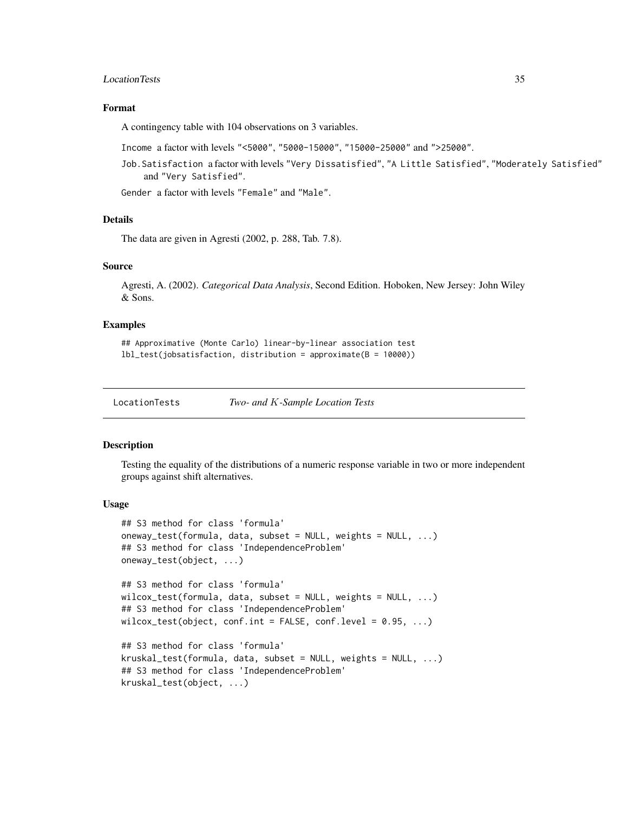# <span id="page-34-0"></span>LocationTests 35

# Format

A contingency table with 104 observations on 3 variables.

Income a factor with levels "<5000", "5000-15000", "15000-25000" and ">25000".

Job.Satisfaction a factor with levels "Very Dissatisfied", "A Little Satisfied", "Moderately Satisfied" and "Very Satisfied".

Gender a factor with levels "Female" and "Male".

# Details

The data are given in Agresti (2002, p. 288, Tab. 7.8).

# Source

Agresti, A. (2002). *Categorical Data Analysis*, Second Edition. Hoboken, New Jersey: John Wiley & Sons.

# Examples

## Approximative (Monte Carlo) linear-by-linear association test lbl\_test(jobsatisfaction, distribution = approximate(B = 10000))

LocationTests *Two- and* K*-Sample Location Tests*

# <span id="page-34-1"></span>**Description**

Testing the equality of the distributions of a numeric response variable in two or more independent groups against shift alternatives.

#### Usage

```
## S3 method for class 'formula'
oneway_test(formula, data, subset = NULL, weights = NULL, ...)
## S3 method for class 'IndependenceProblem'
oneway_test(object, ...)
## S3 method for class 'formula'
wilcox_test(formula, data, subset = NULL, weights = NULL, ...)
## S3 method for class 'IndependenceProblem'
wilcox_test(object, conf.int = FALSE, conf.level = 0.95, ...)
## S3 method for class 'formula'
kruskal_test(formula, data, subset = NULL, weights = NULL, ...)## S3 method for class 'IndependenceProblem'
kruskal_test(object, ...)
```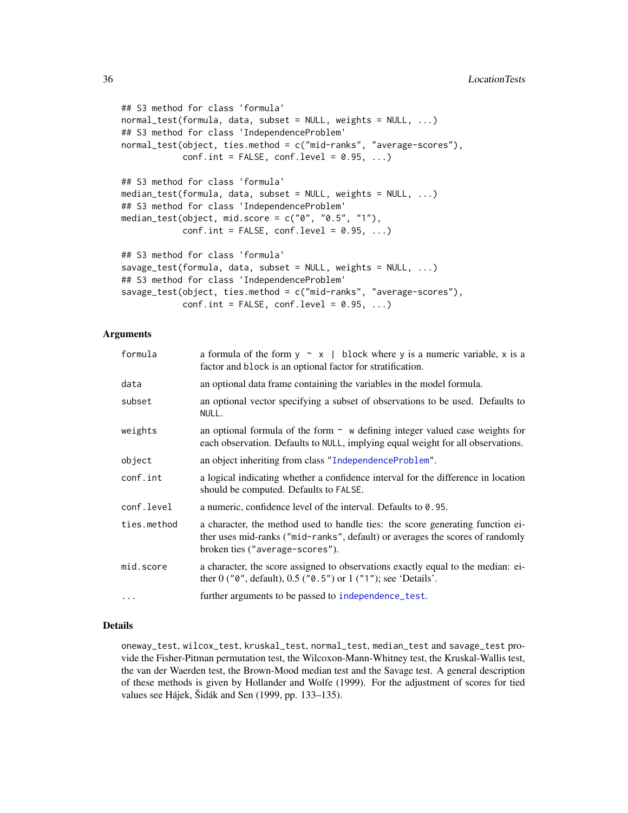```
## S3 method for class 'formula'
normal_test(formula, data, subset = NULL, weights = NULL, ...)
## S3 method for class 'IndependenceProblem'
normal_test(object, ties.method = c("mid-ranks", "average-scores"),
            conf.int = FALSE, conf. level = 0.95, ...## S3 method for class 'formula'
median_test(formula, data, subset = NULL, weights = NULL, ...)
## S3 method for class 'IndependenceProblem'
median_test(object, mid.score = c("0", "0.5", "1"),conf.int = FALSE, conf.level = 0.95, ...)## S3 method for class 'formula'
savage_test(formula, data, subset = NULL, weights = NULL, ...)
## S3 method for class 'IndependenceProblem'
savage_test(object, ties.method = c("mid-ranks", "average-scores"),
            conf.int = FALSE, conf.level = 0.95, ...)
```
### **Arguments**

| formula     | a formula of the form $y \sim x$   block where y is a numeric variable, x is a<br>factor and block is an optional factor for stratification.                                                       |
|-------------|----------------------------------------------------------------------------------------------------------------------------------------------------------------------------------------------------|
| data        | an optional data frame containing the variables in the model formula.                                                                                                                              |
| subset      | an optional vector specifying a subset of observations to be used. Defaults to<br>NULL.                                                                                                            |
| weights     | an optional formula of the form $\sim$ w defining integer valued case weights for<br>each observation. Defaults to NULL, implying equal weight for all observations.                               |
| object      | an object inheriting from class "IndependenceProblem".                                                                                                                                             |
| conf.int    | a logical indicating whether a confidence interval for the difference in location<br>should be computed. Defaults to FALSE.                                                                        |
| conf.level  | a numeric, confidence level of the interval. Defaults to 0.95.                                                                                                                                     |
| ties.method | a character, the method used to handle ties: the score generating function ei-<br>ther uses mid-ranks ("mid-ranks", default) or averages the scores of randomly<br>broken ties ("average-scores"). |
| mid.score   | a character, the score assigned to observations exactly equal to the median: ei-<br>ther $0$ (" $0$ ", default), $0.5$ (" $0.5$ ") or $1$ (" $1$ "); see 'Details'.                                |
| $\cdots$    | further arguments to be passed to independence_test.                                                                                                                                               |

#### Details

oneway\_test, wilcox\_test, kruskal\_test, normal\_test, median\_test and savage\_test provide the Fisher-Pitman permutation test, the Wilcoxon-Mann-Whitney test, the Kruskal-Wallis test, the van der Waerden test, the Brown-Mood median test and the Savage test. A general description of these methods is given by Hollander and Wolfe (1999). For the adjustment of scores for tied values see Hájek, Šidák and Sen (1999, pp. 133–135).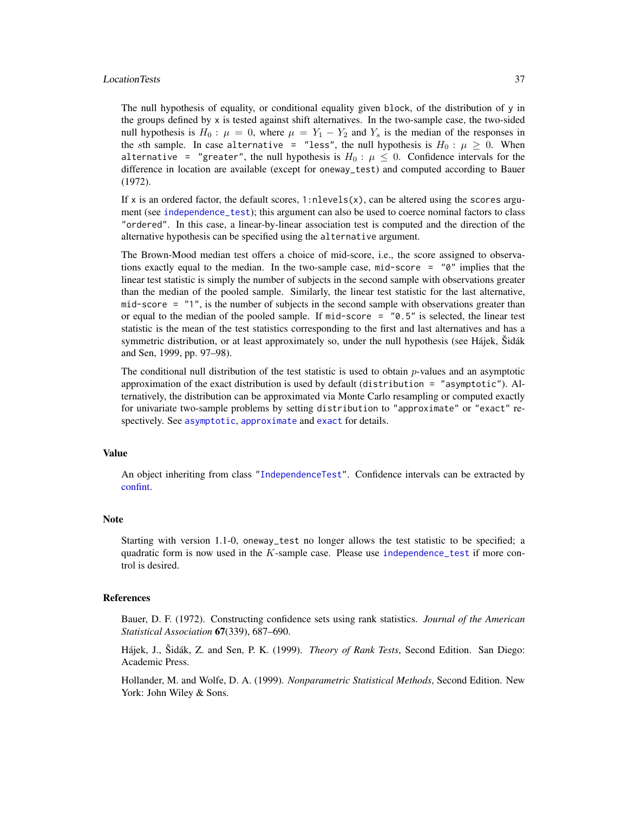#### LocationTests 37

The null hypothesis of equality, or conditional equality given block, of the distribution of y in the groups defined by  $x$  is tested against shift alternatives. In the two-sample case, the two-sided null hypothesis is  $H_0: \mu = 0$ , where  $\mu = Y_1 - Y_2$  and  $Y_s$  is the median of the responses in the sth sample. In case alternative = "less", the null hypothesis is  $H_0: \mu \geq 0$ . When alternative = "greater", the null hypothesis is  $H_0$ :  $\mu \leq 0$ . Confidence intervals for the difference in location are available (except for oneway\_test) and computed according to Bauer (1972).

If x is an ordered factor, the default scores,  $1:$ nlevels $(x)$ , can be altered using the scores argument (see [independence\\_test](#page-24-0)); this argument can also be used to coerce nominal factors to class "ordered". In this case, a linear-by-linear association test is computed and the direction of the alternative hypothesis can be specified using the alternative argument.

The Brown-Mood median test offers a choice of mid-score, i.e., the score assigned to observations exactly equal to the median. In the two-sample case, mid-score =  $\degree$ 0" implies that the linear test statistic is simply the number of subjects in the second sample with observations greater than the median of the pooled sample. Similarly, the linear test statistic for the last alternative, mid-score = "1", is the number of subjects in the second sample with observations greater than or equal to the median of the pooled sample. If  $midscore = "0.5"$  is selected, the linear test statistic is the mean of the test statistics corresponding to the first and last alternatives and has a symmetric distribution, or at least approximately so, under the null hypothesis (see Hájek, Šidák and Sen, 1999, pp. 97–98).

The conditional null distribution of the test statistic is used to obtain  $p$ -values and an asymptotic approximation of the exact distribution is used by default (distribution = "asymptotic"). Alternatively, the distribution can be approximated via Monte Carlo resampling or computed exactly for univariate two-sample problems by setting distribution to "approximate" or "exact" respectively. See [asymptotic](#page-50-0), [approximate](#page-50-0) and [exact](#page-50-0) for details.

# Value

An object inheriting from class ["IndependenceTest"](#page-28-0). Confidence intervals can be extracted by [confint.](#page-0-0)

## **Note**

Starting with version 1.1-0, oneway\_test no longer allows the test statistic to be specified; a quadratic form is now used in the K-sample case. Please use [independence\\_test](#page-24-0) if more control is desired.

## References

Bauer, D. F. (1972). Constructing confidence sets using rank statistics. *Journal of the American Statistical Association* 67(339), 687–690.

Hájek, J., Šidák, Z. and Sen, P. K. (1999). *Theory of Rank Tests*, Second Edition. San Diego: Academic Press.

Hollander, M. and Wolfe, D. A. (1999). *Nonparametric Statistical Methods*, Second Edition. New York: John Wiley & Sons.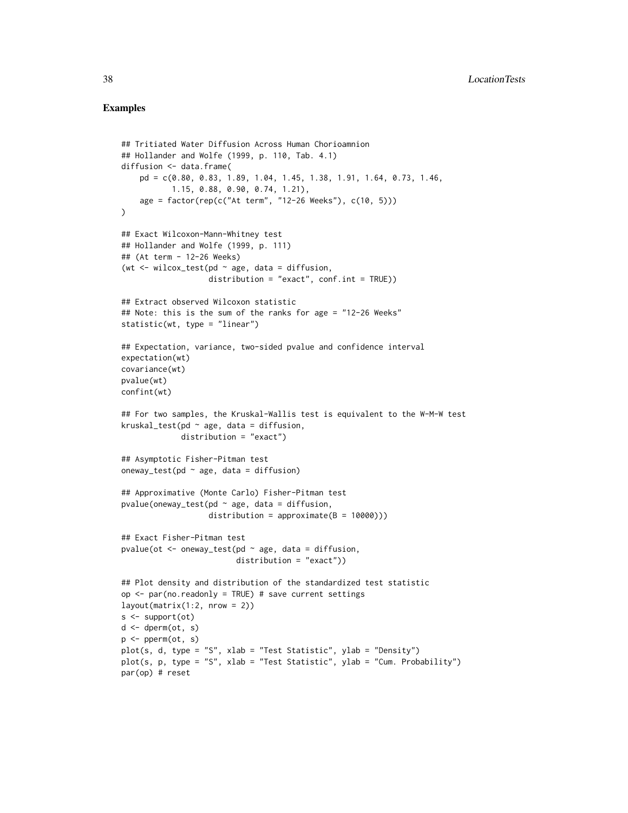```
## Tritiated Water Diffusion Across Human Chorioamnion
## Hollander and Wolfe (1999, p. 110, Tab. 4.1)
diffusion <- data.frame(
    pd = c(0.80, 0.83, 1.89, 1.04, 1.45, 1.38, 1.91, 1.64, 0.73, 1.46,
           1.15, 0.88, 0.90, 0.74, 1.21),
    age = factor(rep(c("At term", "12-26 Weeks"), c(10, 5)))
\lambda## Exact Wilcoxon-Mann-Whitney test
## Hollander and Wolfe (1999, p. 111)
## (At term - 12-26 Weeks)
(wt \le wilcox_test(pd \sim age, data = diffusion,
                   distribution = "exact", conf.int = TRUE)
## Extract observed Wilcoxon statistic
## Note: this is the sum of the ranks for age = "12-26 Weeks"
statistic(wt, type = "linear")
## Expectation, variance, two-sided pvalue and confidence interval
expectation(wt)
covariance(wt)
pvalue(wt)
confint(wt)
## For two samples, the Kruskal-Wallis test is equivalent to the W-M-W test
kruskal_test(pd \sim age, data = diffusion,
             distribution = "exact")
## Asymptotic Fisher-Pitman test
oneway_test(pd \sim age, data = diffusion)
## Approximative (Monte Carlo) Fisher-Pitman test
pvalue(oneway_test(pd ~ age, data = diffusion,distribution = approximate(B = 10000)))
## Exact Fisher-Pitman test
pvalue(ot <- oneway_test(pd \sim age, data = diffusion,
                         distribution = "exact"))
## Plot density and distribution of the standardized test statistic
op <- par(no.readonly = TRUE) # save current settings
layout(matrix(1:2, nrow = 2))s < - support(ot)
d \leq d dperm(ot, s)
p \leftarrow perm(ot, s)
plot(s, d, type = "S", xlab = "Test Statistic", ylab = "Density")
plot(s, p, type = "S", xlab = "Test Statistic", ylab = "Cum. Probability")
par(op) # reset
```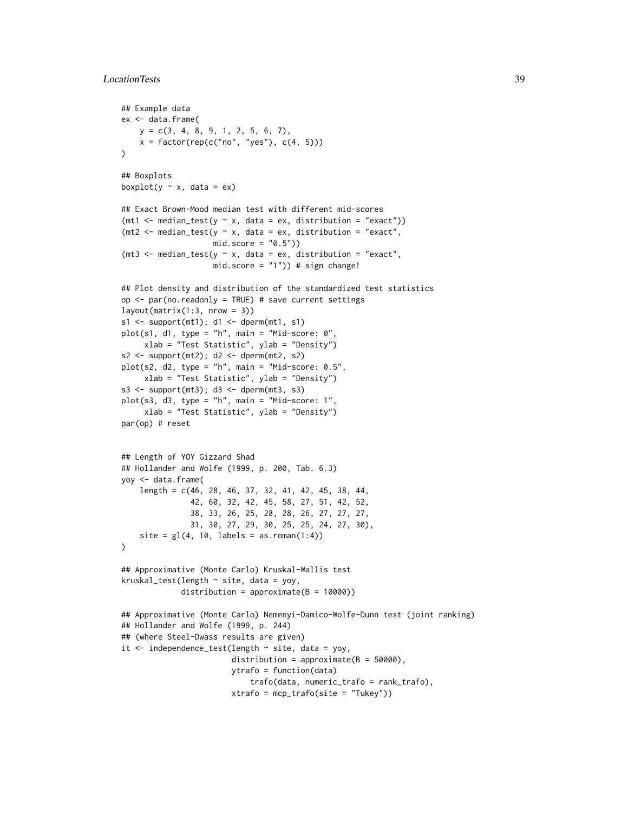# LocationTests 39

```
## Example data
ex <- data.frame(
   y = c(3, 4, 8, 9, 1, 2, 5, 6, 7),
   x = factor(rep(c("no", "yes"), c(4, 5))))
## Boxplots
boxplot(y \sim x, data = ex)
## Exact Brown-Mood median test with different mid-scores
(mt1 <- median_test(y \sim x, data = ex, distribution = "exact"))
(mt2 <- median_test(y \sim x, data = ex, distribution = "exact",
                    mid_score = "0.5")(mt3 <- median_test(y \sim x, data = ex, distribution = "exact",
                    mid.score = "1")) # sign change!
## Plot density and distribution of the standardized test statistics
op \leq par(no.readonly = TRUE) # save current settings
layout(matrix(1:3, nrow = 3))s1 \leq - support(mt1); d1 \leq - dperm(mt1, s1)
plot(s1, d1, type = "h", main = "Mid-score: 0",
     xlab = "Test Statistic", ylab = "Density")
s2 \leq supercut(mt2); d2 \leq defnum(mt2, s2)plot(s2, d2, type = "h", main = "Mid-score: 0.5",xlab = "Test Statistic", ylab = "Density")
s3 \leq - support(mt3); d3 \leq - dperm(mt3, s3)
plot(s3, d3, type = "h", main = "Mid-score: 1",
     xlab = "Test Statistic", ylab = "Density")
par(op) # reset
## Length of YOY Gizzard Shad
## Hollander and Wolfe (1999, p. 200, Tab. 6.3)
yoy <- data.frame(
    length = c(46, 28, 46, 37, 32, 41, 42, 45, 38, 44,
               42, 60, 32, 42, 45, 58, 27, 51, 42, 52,
               38, 33, 26, 25, 28, 28, 26, 27, 27, 27,
               31, 30, 27, 29, 30, 25, 25, 24, 27, 30),
    site = gl(4, 10, labels = as.roman(1:4)))
## Approximative (Monte Carlo) Kruskal-Wallis test
kruskal_test(length ~ site, data = yoy,distribution = approximate(B = 10000))
## Approximative (Monte Carlo) Nemenyi-Damico-Wolfe-Dunn test (joint ranking)
## Hollander and Wolfe (1999, p. 244)
## (where Steel-Dwass results are given)
it <- independence_test(length ~ site, data = yoy,
                        distribution = approximate(B = 50000),
                        ytrafo = function(data)
                             trafo(data, numeric_trafo = rank_trafo),
                        xtrafo = mcp_trafo(site = "Tukey"))
```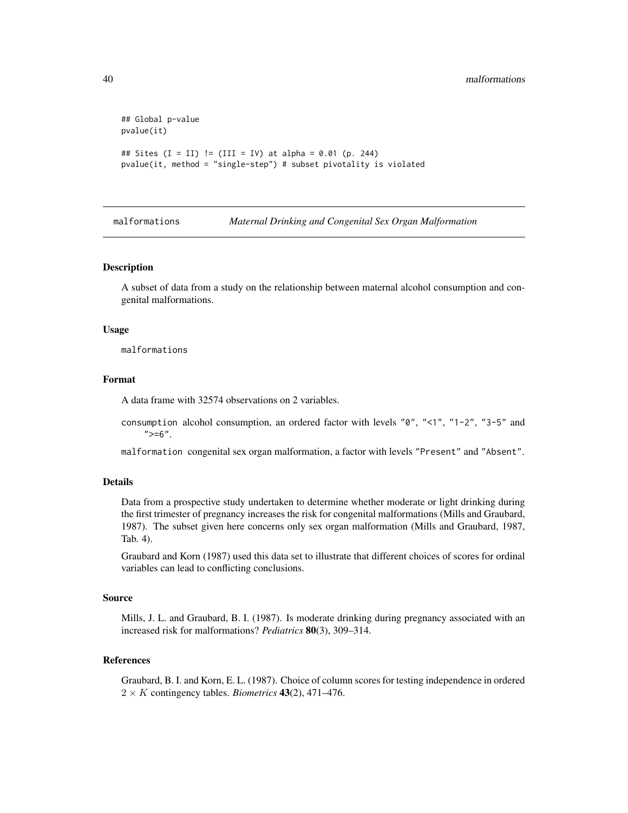```
## Global p-value
pvalue(it)
## Sites (I = II) != (III = IV) at alpha = 0.01 (p. 244)
pvalue(it, method = "single-step") # subset pivotality is violated
```
malformations *Maternal Drinking and Congenital Sex Organ Malformation*

#### Description

A subset of data from a study on the relationship between maternal alcohol consumption and congenital malformations.

#### Usage

malformations

# Format

A data frame with 32574 observations on 2 variables.

consumption alcohol consumption, an ordered factor with levels "0", "<1", "1-2", "3-5" and  $">=6"$ .

malformation congenital sex organ malformation, a factor with levels "Present" and "Absent".

# Details

Data from a prospective study undertaken to determine whether moderate or light drinking during the first trimester of pregnancy increases the risk for congenital malformations (Mills and Graubard, 1987). The subset given here concerns only sex organ malformation (Mills and Graubard, 1987, Tab. 4).

Graubard and Korn (1987) used this data set to illustrate that different choices of scores for ordinal variables can lead to conflicting conclusions.

#### Source

Mills, J. L. and Graubard, B. I. (1987). Is moderate drinking during pregnancy associated with an increased risk for malformations? *Pediatrics* 80(3), 309–314.

# References

Graubard, B. I. and Korn, E. L. (1987). Choice of column scores for testing independence in ordered  $2 \times K$  contingency tables. *Biometrics* 43(2), 471–476.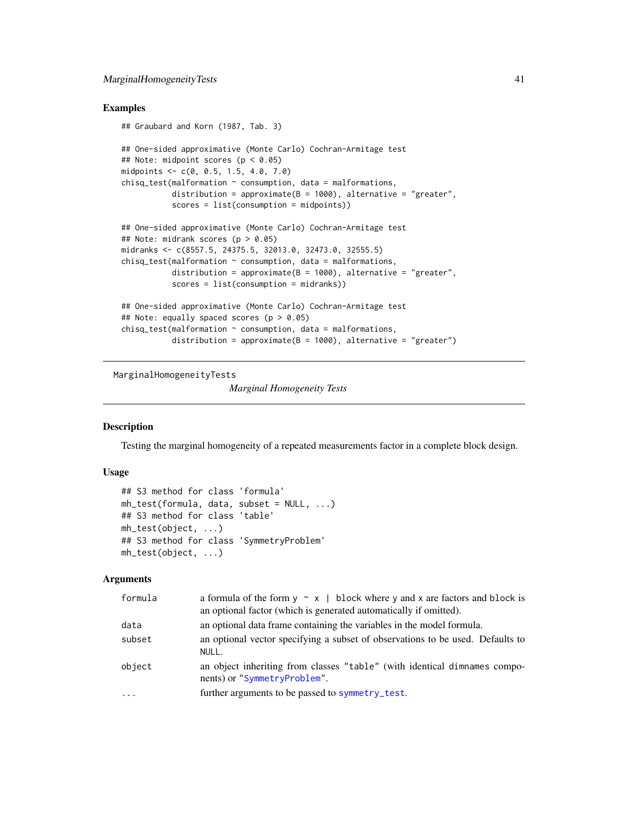# Examples

```
## Graubard and Korn (1987, Tab. 3)
## One-sided approximative (Monte Carlo) Cochran-Armitage test
## Note: midpoint scores (p < 0.05)midpoints <- c(0, 0.5, 1.5, 4.0, 7.0)
chisq_test(malformation ~ consumption, data = malformations,distribution = approximate(B = 1000), alternative = "greater",
           scores = list(consumption = midpoints))
## One-sided approximative (Monte Carlo) Cochran-Armitage test
## Note: midrank scores (p > 0.05)
midranks <- c(8557.5, 24375.5, 32013.0, 32473.0, 32555.5)
chisq_test(malformation ~ consumption, data = malformations,distribution = approximate(B = 1000), alternative = "greater",
           scores = list(consumption = midranks))
## One-sided approximative (Monte Carlo) Cochran-Armitage test
## Note: equally spaced scores (p > 0.05)chisq_test(malformation ~ consumption, data = malformations,distribution = approximate(B = 1000), alternative = "greater")
```
MarginalHomogeneityTests

*Marginal Homogeneity Tests*

# Description

Testing the marginal homogeneity of a repeated measurements factor in a complete block design.

## Usage

```
## S3 method for class 'formula'
mh_test(formula, data, subset = NULL, ...)
## S3 method for class 'table'
mh_test(object, ...)
## S3 method for class 'SymmetryProblem'
mh_test(object, ...)
```
# Arguments

| formula  | a formula of the form $y \sim x$   block where y and x are factors and block is<br>an optional factor (which is generated automatically if omitted). |
|----------|------------------------------------------------------------------------------------------------------------------------------------------------------|
| data     | an optional data frame containing the variables in the model formula.                                                                                |
| subset   | an optional vector specifying a subset of observations to be used. Defaults to<br>NULL.                                                              |
| object   | an object inheriting from classes "table" (with identical dimnames compo-<br>nents) or "SymmetryProblem".                                            |
| $\cdots$ | further arguments to be passed to symmetry_test.                                                                                                     |
|          |                                                                                                                                                      |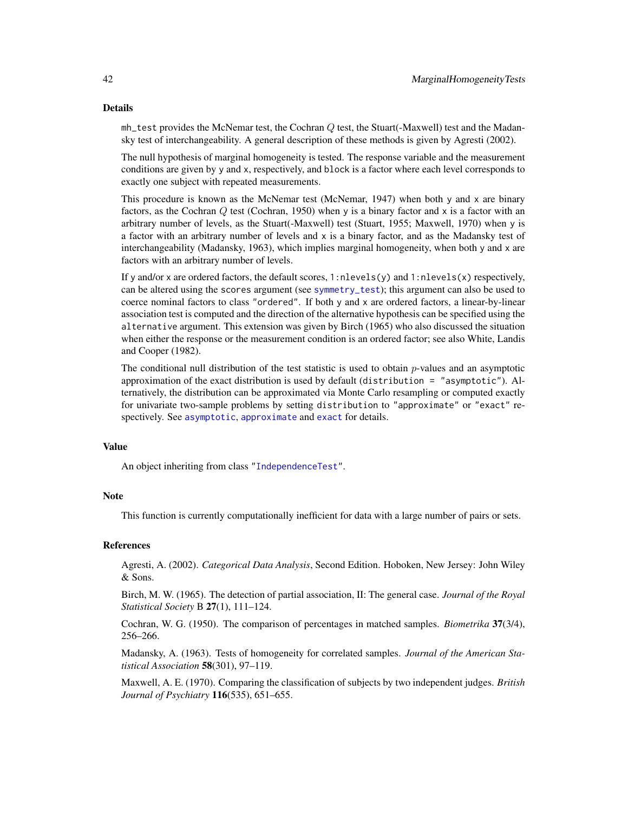#### Details

mh\_test provides the McNemar test, the Cochran Q test, the Stuart(-Maxwell) test and the Madansky test of interchangeability. A general description of these methods is given by Agresti (2002).

The null hypothesis of marginal homogeneity is tested. The response variable and the measurement conditions are given by y and x, respectively, and block is a factor where each level corresponds to exactly one subject with repeated measurements.

This procedure is known as the McNemar test (McNemar, 1947) when both y and x are binary factors, as the Cochran Q test (Cochran, 1950) when y is a binary factor and x is a factor with an arbitrary number of levels, as the Stuart(-Maxwell) test (Stuart, 1955; Maxwell, 1970) when y is a factor with an arbitrary number of levels and x is a binary factor, and as the Madansky test of interchangeability (Madansky, 1963), which implies marginal homogeneity, when both y and x are factors with an arbitrary number of levels.

If y and/or x are ordered factors, the default scores,  $1:$ nlevels(y) and  $1:$ nlevels(x) respectively, can be altered using the scores argument (see [symmetry\\_test](#page-77-0)); this argument can also be used to coerce nominal factors to class "ordered". If both y and x are ordered factors, a linear-by-linear association test is computed and the direction of the alternative hypothesis can be specified using the alternative argument. This extension was given by Birch (1965) who also discussed the situation when either the response or the measurement condition is an ordered factor; see also White, Landis and Cooper (1982).

The conditional null distribution of the test statistic is used to obtain *p*-values and an asymptotic approximation of the exact distribution is used by default (distribution = "asymptotic"). Alternatively, the distribution can be approximated via Monte Carlo resampling or computed exactly for univariate two-sample problems by setting distribution to "approximate" or "exact" respectively. See [asymptotic](#page-50-0), [approximate](#page-50-0) and [exact](#page-50-0) for details.

## Value

An object inheriting from class ["IndependenceTest"](#page-28-0).

## **Note**

This function is currently computationally inefficient for data with a large number of pairs or sets.

## References

Agresti, A. (2002). *Categorical Data Analysis*, Second Edition. Hoboken, New Jersey: John Wiley  $&$  Sons.

Birch, M. W. (1965). The detection of partial association, II: The general case. *Journal of the Royal Statistical Society* B 27(1), 111–124.

Cochran, W. G. (1950). The comparison of percentages in matched samples. *Biometrika* 37(3/4), 256–266.

Madansky, A. (1963). Tests of homogeneity for correlated samples. *Journal of the American Statistical Association* 58(301), 97–119.

Maxwell, A. E. (1970). Comparing the classification of subjects by two independent judges. *British Journal of Psychiatry* 116(535), 651–655.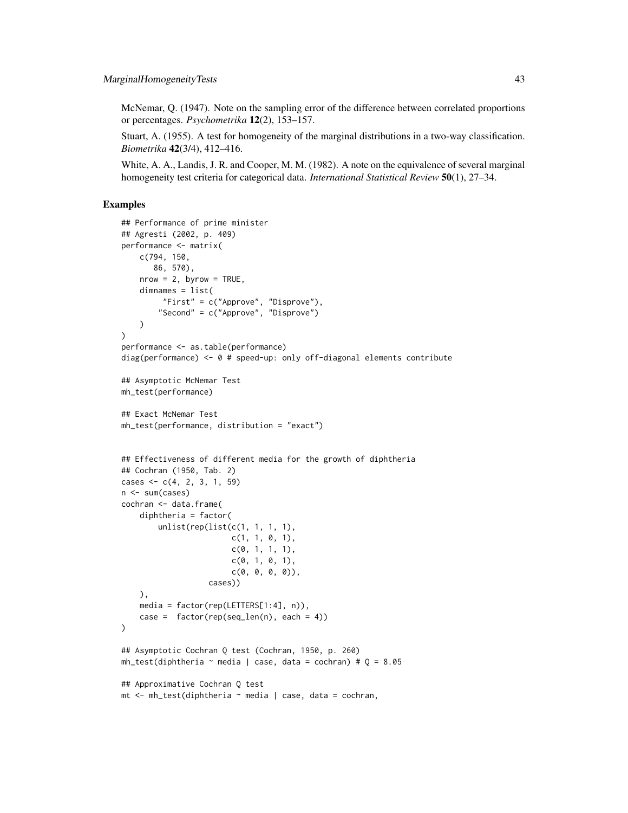McNemar, Q. (1947). Note on the sampling error of the difference between correlated proportions or percentages. *Psychometrika* 12(2), 153–157.

Stuart, A. (1955). A test for homogeneity of the marginal distributions in a two-way classification. *Biometrika* 42(3/4), 412–416.

White, A. A., Landis, J. R. and Cooper, M. M. (1982). A note on the equivalence of several marginal homogeneity test criteria for categorical data. *International Statistical Review* 50(1), 27–34.

```
## Performance of prime minister
## Agresti (2002, p. 409)
performance <- matrix(
   c(794, 150,
       86, 570),
   nrow = 2, byrow = TRUE,
    dimnames = list(
         "First" = c("Approve", "Disprove"),
        "Second" = c("Approve", "Disprove")
    \lambda)
performance <- as.table(performance)
diag(performance) \leq -0 # speed-up: only off-diagonal elements contribute
## Asymptotic McNemar Test
mh_test(performance)
## Exact McNemar Test
mh_test(performance, distribution = "exact")
## Effectiveness of different media for the growth of diphtheria
## Cochran (1950, Tab. 2)
cases \leq c(4, 2, 3, 1, 59)n <- sum(cases)
cochran <- data.frame(
    diphtheria = factor(
        unlist(rep(list(c(1, 1, 1, 1),
                        c(1, 1, 0, 1),c(0, 1, 1, 1),c(0, 1, 0, 1),c(0, 0, 0, 0),
                   cases))
    ),
    media = factor(rep(LETTERS[1:4], n)),
    case = factor(rep(seq_length(n), each = 4)))
## Asymptotic Cochran Q test (Cochran, 1950, p. 260)
mh_test(diphtheria \sim media | case, data = cochran) # Q = 8.05## Approximative Cochran Q test
mt <- mh_test(diphtheria ~ media | case, data = cochran,
```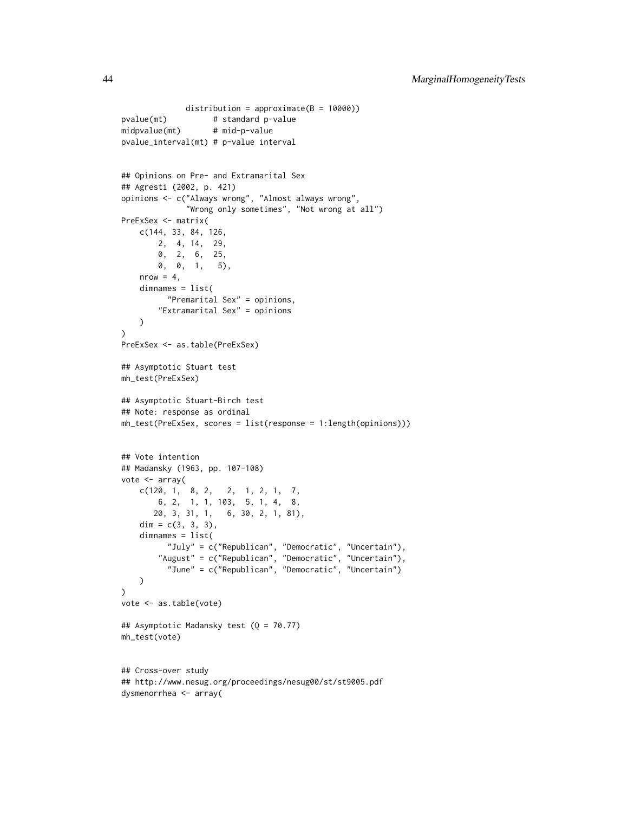```
distribution = approximate(B = 10000))
pvalue(mt) # standard p-value
midpvalue(mt) # mid-p-value
pvalue_interval(mt) # p-value interval
## Opinions on Pre- and Extramarital Sex
## Agresti (2002, p. 421)
opinions <- c("Always wrong", "Almost always wrong",
             "Wrong only sometimes", "Not wrong at all")
PreExSex <- matrix(
   c(144, 33, 84, 126,
        2, 4, 14, 29,
        0, 2, 6, 25,
       0, 0, 1, 5),
   nrow = 4,dimnames = list(
         "Premarital Sex" = opinions,
        "Extramarital Sex" = opinions
   )
)
PreExSex <- as.table(PreExSex)
## Asymptotic Stuart test
mh_test(PreExSex)
## Asymptotic Stuart-Birch test
## Note: response as ordinal
mh_test(PreExSex, scores = list(response = 1:length(opinions)))
## Vote intention
## Madansky (1963, pp. 107-108)
vote <- array(
   c(120, 1, 8, 2, 2, 1, 2, 1, 7,
       6, 2, 1, 1, 103, 5, 1, 4, 8,
      20, 3, 31, 1, 6, 30, 2, 1, 81),
   dim = c(3, 3, 3),
    dimnames = list(
          "July" = c("Republican", "Democratic", "Uncertain"),
        "August" = c("Republican", "Democratic", "Uncertain"),
          "June" = c("Republican", "Democratic", "Uncertain")
   )
)
vote <- as.table(vote)
## Asymptotic Madansky test (Q = 70.77)
mh_test(vote)
## Cross-over study
## http://www.nesug.org/proceedings/nesug00/st/st9005.pdf
dysmenorrhea <- array(
```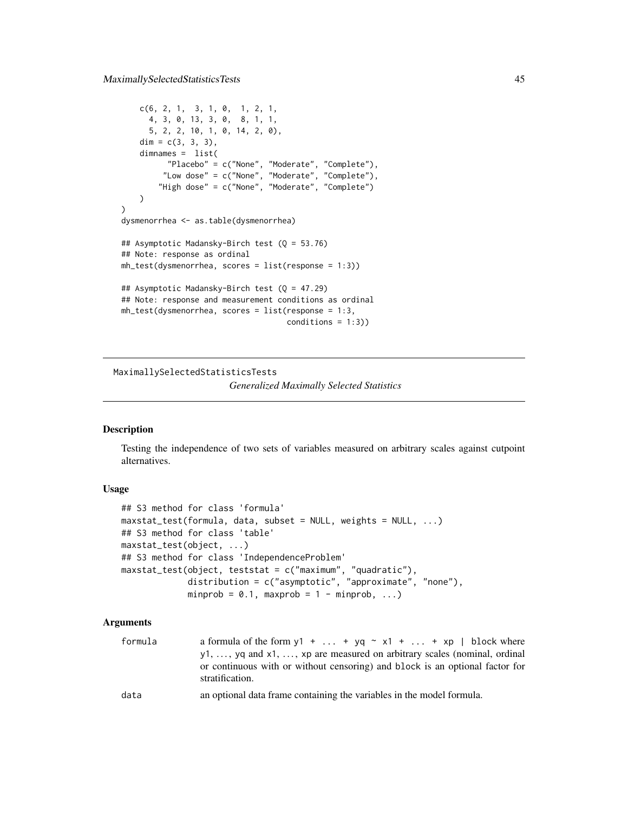```
c(6, 2, 1, 3, 1, 0, 1, 2, 1,
      4, 3, 0, 13, 3, 0, 8, 1, 1,
      5, 2, 2, 10, 1, 0, 14, 2, 0),
    dim = c(3, 3, 3),
    dimnames = list(
         "Placebo" = c("None", "Moderate", "Complete"),
        "Low dose" = c("None", "Moderate", "Complete"),
        "High dose" = c("None", "Moderate", "Complete")
   \lambda\mathcal{L}dysmenorrhea <- as.table(dysmenorrhea)
## Asymptotic Madansky-Birch test (Q = 53.76)
## Note: response as ordinal
mh_test(dysmenorrhea, scores = list(response = 1:3))
## Asymptotic Madansky-Birch test (Q = 47.29)
## Note: response and measurement conditions as ordinal
mh_test(dysmenorrhea, scores = list(response = 1:3,
                                    conditions = 1:3))
```
MaximallySelectedStatisticsTests *Generalized Maximally Selected Statistics*

# Description

Testing the independence of two sets of variables measured on arbitrary scales against cutpoint alternatives.

# Usage

```
## S3 method for class 'formula'
maxstat_test(formula, data, subset = NULL, weights = NULL, ...)## S3 method for class 'table'
maxstat_test(object, ...)
## S3 method for class 'IndependenceProblem'
maxstat_test(object, teststat = c("maximum", "quadratic"),
            distribution = c("asymptotic", "approximate", "none"),
            minprob = 0.1, maxprob = 1 - minprob, ...)
```
# Arguments

| formula | a formula of the form $y1 +  + yq \sim x1 +  + xp \mid$ block where                             |
|---------|-------------------------------------------------------------------------------------------------|
|         | $y_1, \ldots, y_q$ and $x_1, \ldots, x_p$ are measured on arbitrary scales (nominal, ordinal    |
|         | or continuous with or without censoring) and block is an optional factor for<br>stratification. |
| data    | an optional data frame containing the variables in the model formula.                           |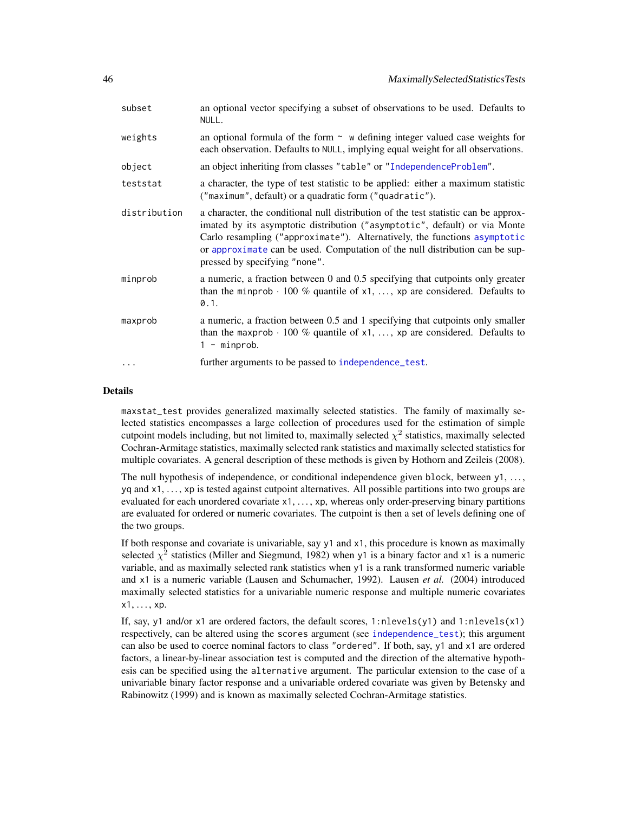| subset       | an optional vector specifying a subset of observations to be used. Defaults to<br>NULL.                                                                                                                                                                                                                                                                         |
|--------------|-----------------------------------------------------------------------------------------------------------------------------------------------------------------------------------------------------------------------------------------------------------------------------------------------------------------------------------------------------------------|
| weights      | an optional formula of the form $\sim$ w defining integer valued case weights for<br>each observation. Defaults to NULL, implying equal weight for all observations.                                                                                                                                                                                            |
| object       | an object inheriting from classes "table" or "IndependenceProblem".                                                                                                                                                                                                                                                                                             |
| teststat     | a character, the type of test statistic to be applied: either a maximum statistic<br>("maximum", default) or a quadratic form ("quadratic").                                                                                                                                                                                                                    |
| distribution | a character, the conditional null distribution of the test statistic can be approx-<br>imated by its asymptotic distribution ("asymptotic", default) or via Monte<br>Carlo resampling ("approximate"). Alternatively, the functions asymptotic<br>or approximate can be used. Computation of the null distribution can be sup-<br>pressed by specifying "none". |
| minprob      | a numeric, a fraction between 0 and 0.5 specifying that cutpoints only greater<br>than the minprob $\cdot$ 100 % quantile of x1, , xp are considered. Defaults to<br>0.1.                                                                                                                                                                                       |
| maxprob      | a numeric, a fraction between 0.5 and 1 specifying that cutpoints only smaller<br>than the maxprob $\cdot$ 100 % quantile of x1, , xp are considered. Defaults to<br>$1 - minprob.$                                                                                                                                                                             |
| $\cdots$     | further arguments to be passed to independence_test.                                                                                                                                                                                                                                                                                                            |

# Details

maxstat\_test provides generalized maximally selected statistics. The family of maximally selected statistics encompasses a large collection of procedures used for the estimation of simple cutpoint models including, but not limited to, maximally selected  $\chi^2$  statistics, maximally selected Cochran-Armitage statistics, maximally selected rank statistics and maximally selected statistics for multiple covariates. A general description of these methods is given by Hothorn and Zeileis (2008).

The null hypothesis of independence, or conditional independence given block, between  $y_1, \ldots,$ yq and x1, . . . , xp is tested against cutpoint alternatives. All possible partitions into two groups are evaluated for each unordered covariate x1, ..., xp, whereas only order-preserving binary partitions are evaluated for ordered or numeric covariates. The cutpoint is then a set of levels defining one of the two groups.

If both response and covariate is univariable, say y1 and x1, this procedure is known as maximally selected  $\chi^2$  statistics (Miller and Siegmund, 1982) when y1 is a binary factor and x1 is a numeric variable, and as maximally selected rank statistics when y1 is a rank transformed numeric variable and x1 is a numeric variable (Lausen and Schumacher, 1992). Lausen *et al.* (2004) introduced maximally selected statistics for a univariable numeric response and multiple numeric covariates  $x1, \ldots, xp$ .

If, say, y1 and/or x1 are ordered factors, the default scores, 1:nlevels(y1) and 1:nlevels(x1) respectively, can be altered using the scores argument (see [independence\\_test](#page-24-0)); this argument can also be used to coerce nominal factors to class "ordered". If both, say, y1 and x1 are ordered factors, a linear-by-linear association test is computed and the direction of the alternative hypothesis can be specified using the alternative argument. The particular extension to the case of a univariable binary factor response and a univariable ordered covariate was given by Betensky and Rabinowitz (1999) and is known as maximally selected Cochran-Armitage statistics.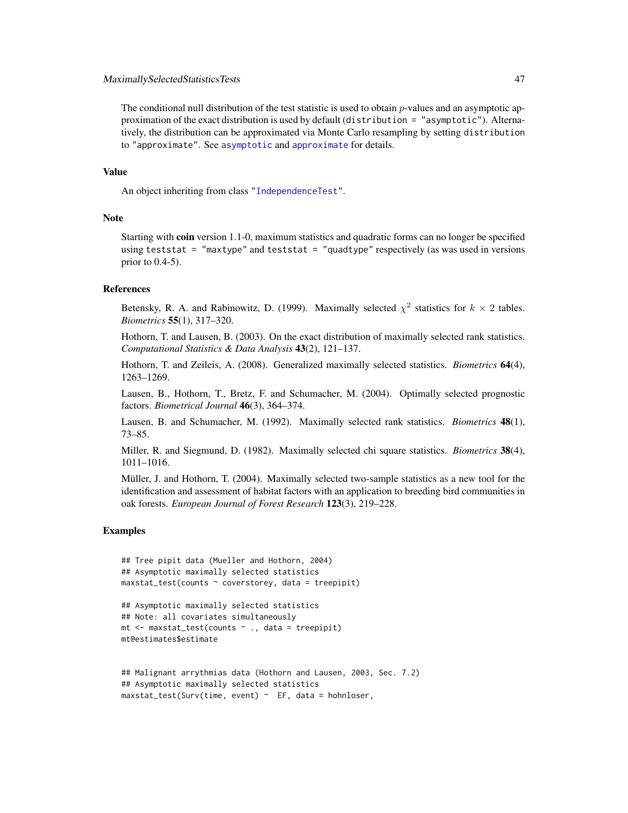## MaximallySelectedStatisticsTests 47

The conditional null distribution of the test statistic is used to obtain p-values and an asymptotic approximation of the exact distribution is used by default (distribution = "asymptotic"). Alternatively, the distribution can be approximated via Monte Carlo resampling by setting distribution to "approximate". See [asymptotic](#page-50-0) and [approximate](#page-50-0) for details.

#### Value

An object inheriting from class ["IndependenceTest"](#page-28-0).

## Note

Starting with coin version 1.1-0, maximum statistics and quadratic forms can no longer be specified using teststat = "maxtype" and teststat = "quadtype" respectively (as was used in versions prior to 0.4-5).

#### References

Betensky, R. A. and Rabinowitz, D. (1999). Maximally selected  $\chi^2$  statistics for  $k \times 2$  tables. *Biometrics* 55(1), 317–320.

Hothorn, T. and Lausen, B. (2003). On the exact distribution of maximally selected rank statistics. *Computational Statistics & Data Analysis* 43(2), 121–137.

Hothorn, T. and Zeileis, A. (2008). Generalized maximally selected statistics. *Biometrics* 64(4), 1263–1269.

Lausen, B., Hothorn, T., Bretz, F. and Schumacher, M. (2004). Optimally selected prognostic factors. *Biometrical Journal* 46(3), 364–374.

Lausen, B. and Schumacher, M. (1992). Maximally selected rank statistics. *Biometrics* 48(1), 73–85.

Miller, R. and Siegmund, D. (1982). Maximally selected chi square statistics. *Biometrics* 38(4), 1011–1016.

Müller, J. and Hothorn, T. (2004). Maximally selected two-sample statistics as a new tool for the identification and assessment of habitat factors with an application to breeding bird communities in oak forests. *European Journal of Forest Research* 123(3), 219–228.

```
## Tree pipit data (Mueller and Hothorn, 2004)
## Asymptotic maximally selected statistics
maxstat\_test(counts \sim coverstorey, data = treepipit)
```

```
## Asymptotic maximally selected statistics
## Note: all covariates simultaneously
mt < - maxstat_test(counts \sim ., data = treepipit)
mt@estimates$estimate
```

```
## Malignant arrythmias data (Hothorn and Lausen, 2003, Sec. 7.2)
## Asymptotic maximally selected statistics
maxstat_test(Surv(time, event) ~ EF, data = hohnloser,
```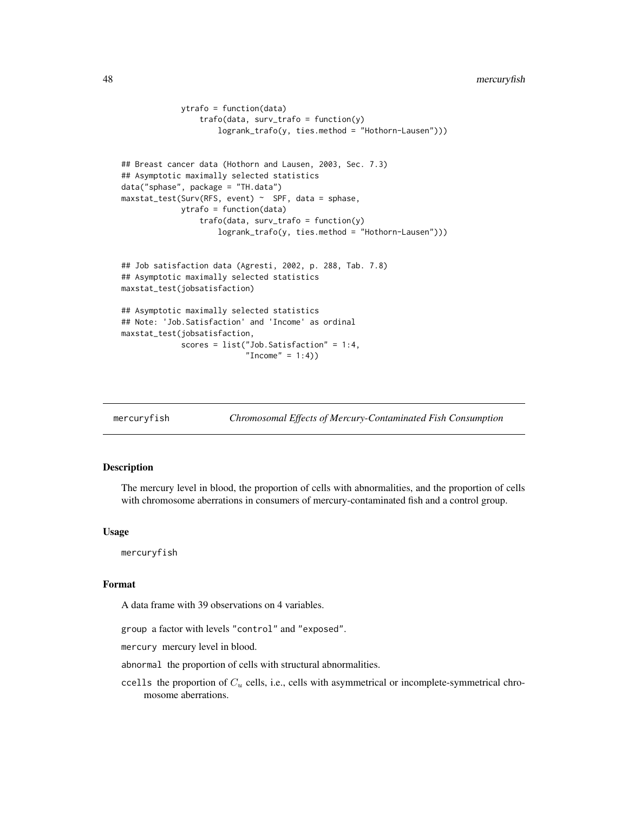```
48 mercuryfish
```

```
ytrafo = function(data)
                 trafo(data, surv_trafo = function(y)
                     logrank_trafo(y, ties.method = "Hothorn-Lausen")))
## Breast cancer data (Hothorn and Lausen, 2003, Sec. 7.3)
## Asymptotic maximally selected statistics
data("sphase", package = "TH.data")
maxstat_test(Surv(RFS, event) ~ ~SPF, data = sphase,
             ytrafo = function(data)
                 trafo(data, surv_trafo = function(y)
                     logrank_trafo(y, ties.method = "Hothorn-Lausen")))
## Job satisfaction data (Agresti, 2002, p. 288, Tab. 7.8)
## Asymptotic maximally selected statistics
maxstat_test(jobsatisfaction)
## Asymptotic maximally selected statistics
## Note: 'Job.Satisfaction' and 'Income' as ordinal
maxstat_test(jobsatisfaction,
             scores = list("Job.Satisfaction" = 1:4,
                           "Income" = 1:4))
```
mercuryfish *Chromosomal Effects of Mercury-Contaminated Fish Consumption*

# Description

The mercury level in blood, the proportion of cells with abnormalities, and the proportion of cells with chromosome aberrations in consumers of mercury-contaminated fish and a control group.

# Usage

mercuryfish

#### Format

A data frame with 39 observations on 4 variables.

group a factor with levels "control" and "exposed".

mercury mercury level in blood.

abnormal the proportion of cells with structural abnormalities.

ccells the proportion of  $C_u$  cells, i.e., cells with asymmetrical or incomplete-symmetrical chromosome aberrations.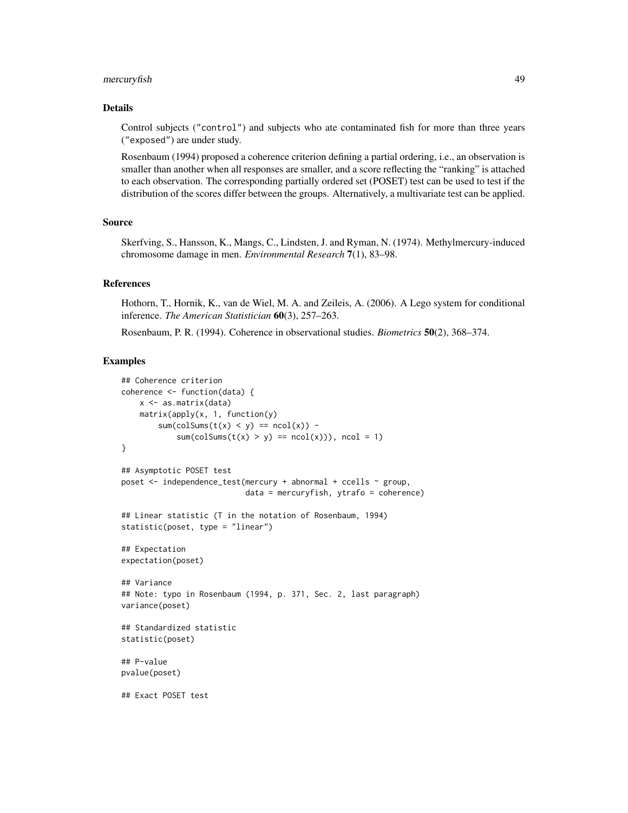# mercuryfish 49

#### Details

Control subjects ("control") and subjects who ate contaminated fish for more than three years ("exposed") are under study.

Rosenbaum (1994) proposed a coherence criterion defining a partial ordering, i.e., an observation is smaller than another when all responses are smaller, and a score reflecting the "ranking" is attached to each observation. The corresponding partially ordered set (POSET) test can be used to test if the distribution of the scores differ between the groups. Alternatively, a multivariate test can be applied.

## Source

Skerfving, S., Hansson, K., Mangs, C., Lindsten, J. and Ryman, N. (1974). Methylmercury-induced chromosome damage in men. *Environmental Research* 7(1), 83–98.

#### References

Hothorn, T., Hornik, K., van de Wiel, M. A. and Zeileis, A. (2006). A Lego system for conditional inference. *The American Statistician* 60(3), 257–263.

Rosenbaum, P. R. (1994). Coherence in observational studies. *Biometrics* 50(2), 368–374.

```
## Coherence criterion
coherence <- function(data) {
   x <- as.matrix(data)
   matrix(apply(x, 1, function(y))sum(colSums(t(x) < y) == ncol(x) -
            sum(colSums(t(x) > y) == ncol(x)), ncol = 1)
}
## Asymptotic POSET test
poset <- independence_test(mercury + abnormal + ccells ~ group,
                           data = mercuryfish, ytrafo = coherence)
## Linear statistic (T in the notation of Rosenbaum, 1994)
statistic(poset, type = "linear")
## Expectation
expectation(poset)
## Variance
## Note: typo in Rosenbaum (1994, p. 371, Sec. 2, last paragraph)
variance(poset)
## Standardized statistic
statistic(poset)
## P-value
pvalue(poset)
## Exact POSET test
```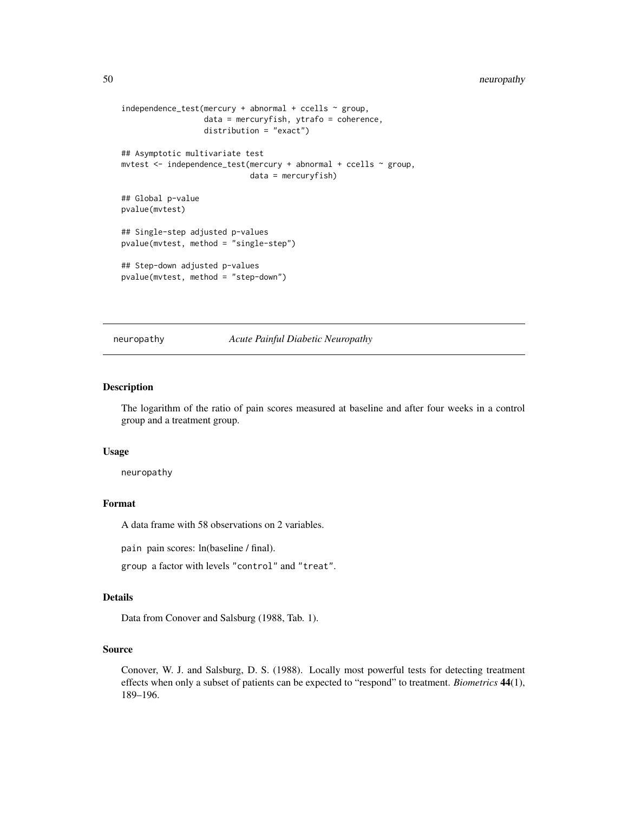```
independence_test(mercury + abnormal + ccells ~ group,data = mercuryfish, ytrafo = coherence,
                  distribution = "exact")
## Asymptotic multivariate test
mvtest <- independence_test(mercury + abnormal + ccells ~ group,
                            data = mercuryfish)
## Global p-value
pvalue(mvtest)
## Single-step adjusted p-values
pvalue(mvtest, method = "single-step")
## Step-down adjusted p-values
pvalue(mvtest, method = "step-down")
```
neuropathy *Acute Painful Diabetic Neuropathy*

# Description

The logarithm of the ratio of pain scores measured at baseline and after four weeks in a control group and a treatment group.

## Usage

neuropathy

# Format

A data frame with 58 observations on 2 variables.

pain pain scores: ln(baseline / final).

group a factor with levels "control" and "treat".

#### Details

Data from Conover and Salsburg (1988, Tab. 1).

## Source

Conover, W. J. and Salsburg, D. S. (1988). Locally most powerful tests for detecting treatment effects when only a subset of patients can be expected to "respond" to treatment. *Biometrics* 44(1), 189–196.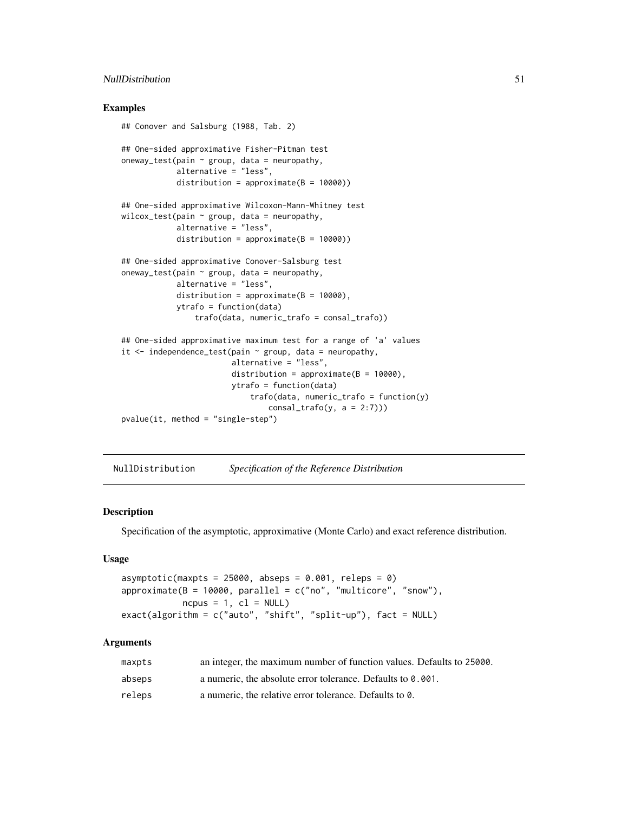# NullDistribution 51

# Examples

```
## Conover and Salsburg (1988, Tab. 2)
## One-sided approximative Fisher-Pitman test
oneway_test(pain \sim group, data = neuropathy,
            alternative = "less",
            distribution = approximate(B = 10000))
## One-sided approximative Wilcoxon-Mann-Whitney test
wilcox_test(pain \sim group, data = neuropathy,
            alternative = "less",
            distribution = approximate(B = 10000))
## One-sided approximative Conover-Salsburg test
oneway_test(pain \sim group, data = neuropathy,
            alternative = "less",
            distribution = approximate(B = 10000),
            ytrafo = function(data)
                trafo(data, numeric_trafo = consal_trafo))
## One-sided approximative maximum test for a range of 'a' values
it \le independence_test(pain \sim group, data = neuropathy,
                        alternative = "less",
                        distribution = approximate(B = 10000),
                        ytrafo = function(data)
                            trafo(data, numeric_trafo = function(y)
                                consal\_trafo(y, a = 2:7)))pvalue(it, method = "single-step")
```
NullDistribution *Specification of the Reference Distribution*

# <span id="page-50-0"></span>**Description**

Specification of the asymptotic, approximative (Monte Carlo) and exact reference distribution.

# Usage

```
asymptotic(maxpts = 25000, abseps = 0.001, releps = 0)
approximate(B = 10000, parallel = c("no", "multicore", "snow"),ncpus = 1, c1 = NULLexact(algorithm = c("auto", "shift", "split-up"), fact = NULL)
```
# **Arguments**

| maxpts | an integer, the maximum number of function values. Defaults to 25000. |
|--------|-----------------------------------------------------------------------|
| abseps | a numeric, the absolute error tolerance. Defaults to 0.001.           |
| releps | a numeric, the relative error tolerance. Defaults to 0.               |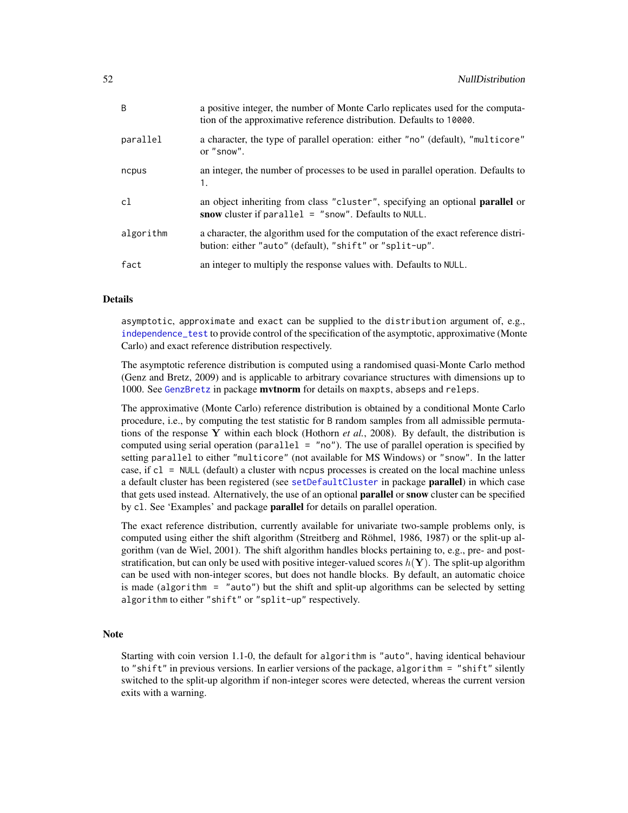| B         | a positive integer, the number of Monte Carlo replicates used for the computa-<br>tion of the approximative reference distribution. Defaults to 10000. |
|-----------|--------------------------------------------------------------------------------------------------------------------------------------------------------|
| parallel  | a character, the type of parallel operation: either "no" (default), "multicore"<br>or "snow".                                                          |
| ncpus     | an integer, the number of processes to be used in parallel operation. Defaults to<br>1.                                                                |
| c1        | an object inheriting from class "cluster", specifying an optional <b>parallel</b> or<br>snow cluster if parallel $=$ "snow". Defaults to NULL.         |
| algorithm | a character, the algorithm used for the computation of the exact reference distri-                                                                     |
|           | bution: either "auto" (default), "shift" or "split-up".                                                                                                |

# Details

asymptotic, approximate and exact can be supplied to the distribution argument of, e.g., [independence\\_test](#page-24-0) to provide control of the specification of the asymptotic, approximative (Monte Carlo) and exact reference distribution respectively.

The asymptotic reference distribution is computed using a randomised quasi-Monte Carlo method (Genz and Bretz, 2009) and is applicable to arbitrary covariance structures with dimensions up to 1000. See [GenzBretz](#page-0-0) in package mvtnorm for details on maxpts, abseps and releps.

The approximative (Monte Carlo) reference distribution is obtained by a conditional Monte Carlo procedure, i.e., by computing the test statistic for B random samples from all admissible permutations of the response Y within each block (Hothorn *et al.*, 2008). By default, the distribution is computed using serial operation (parallel  $=$  "no"). The use of parallel operation is specified by setting parallel to either "multicore" (not available for MS Windows) or "snow". In the latter case, if cl = NULL (default) a cluster with ncpus processes is created on the local machine unless a default cluster has been registered (see [setDefaultCluster](#page-0-0) in package **parallel**) in which case that gets used instead. Alternatively, the use of an optional **parallel** or snow cluster can be specified by cl. See 'Examples' and package parallel for details on parallel operation.

The exact reference distribution, currently available for univariate two-sample problems only, is computed using either the shift algorithm (Streitberg and Röhmel, 1986, 1987) or the split-up algorithm (van de Wiel, 2001). The shift algorithm handles blocks pertaining to, e.g., pre- and poststratification, but can only be used with positive integer-valued scores  $h(Y)$ . The split-up algorithm can be used with non-integer scores, but does not handle blocks. By default, an automatic choice is made (algorithm = "auto") but the shift and split-up algorithms can be selected by setting algorithm to either "shift" or "split-up" respectively.

#### **Note**

Starting with coin version 1.1-0, the default for algorithm is "auto", having identical behaviour to "shift" in previous versions. In earlier versions of the package, algorithm = "shift" silently switched to the split-up algorithm if non-integer scores were detected, whereas the current version exits with a warning.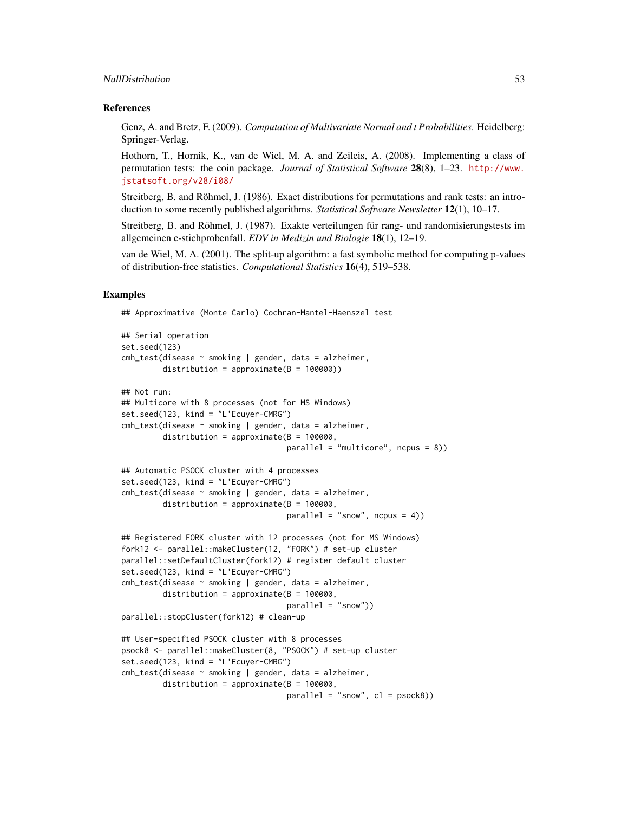#### NullDistribution 53

#### References

Genz, A. and Bretz, F. (2009). *Computation of Multivariate Normal and t Probabilities*. Heidelberg: Springer-Verlag.

Hothorn, T., Hornik, K., van de Wiel, M. A. and Zeileis, A. (2008). Implementing a class of permutation tests: the coin package. *Journal of Statistical Software* 28(8), 1–23. [http://www.](http://www.jstatsoft.org/v28/i08/) [jstatsoft.org/v28/i08/](http://www.jstatsoft.org/v28/i08/)

Streitberg, B. and Röhmel, J. (1986). Exact distributions for permutations and rank tests: an introduction to some recently published algorithms. *Statistical Software Newsletter* 12(1), 10–17.

Streitberg, B. and Röhmel, J. (1987). Exakte verteilungen für rang- und randomisierungstests im allgemeinen c-stichprobenfall. *EDV in Medizin und Biologie* 18(1), 12–19.

van de Wiel, M. A. (2001). The split-up algorithm: a fast symbolic method for computing p-values of distribution-free statistics. *Computational Statistics* 16(4), 519–538.

# Examples

## Approximative (Monte Carlo) Cochran-Mantel-Haenszel test

```
## Serial operation
set.seed(123)
cmh_test(disease ~ smoking | gender, data = alzheimer,
        distribution = approximate(B = 100000))
## Not run:
## Multicore with 8 processes (not for MS Windows)
set.seed(123, kind = "L'Ecuyer-CMRG")
cmh_test(disease ~ smoking | gender, data = alzheimer,
         distribution = approximate(B = 100000,
                                    parallel = "multicore", ncpus = 8))
## Automatic PSOCK cluster with 4 processes
set.seed(123, kind = "L'Ecuyer-CMRG")
cmh_test(disease ~ smoking | gender, data = alzheimer,
         distribution = approximate(B = 100000,
                                    parallel = "snow", ncpus = 4)## Registered FORK cluster with 12 processes (not for MS Windows)
fork12 <- parallel::makeCluster(12, "FORK") # set-up cluster
parallel::setDefaultCluster(fork12) # register default cluster
set.seed(123, kind = "L'Ecuyer-CMRG")
cmh_test(disease ~ smoking | gender, data = alzheimer,
        distribution = approximate(B = 100000,
                                    parallel = "snow"))
parallel::stopCluster(fork12) # clean-up
## User-specified PSOCK cluster with 8 processes
psock8 <- parallel::makeCluster(8, "PSOCK") # set-up cluster
set.seed(123, kind = "L'Ecuyer-CMRG")
cmh_test(disease ~ smoking | gender, data = alzheimer,
        distribution = approximate(B = 100000,
                                    parallel = "snow", cl = psock8)
```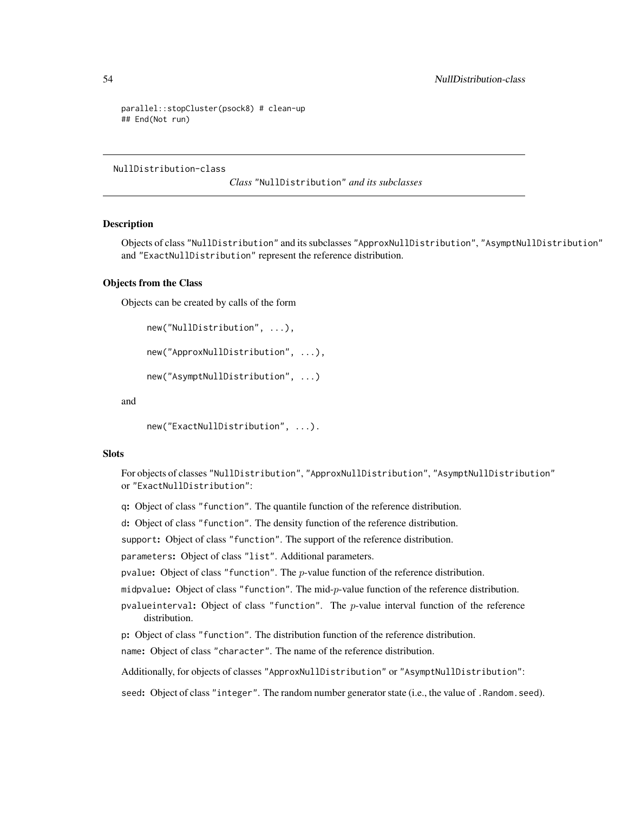```
parallel::stopCluster(psock8) # clean-up
## End(Not run)
```
NullDistribution-class

*Class* "NullDistribution" *and its subclasses*

# <span id="page-53-0"></span>Description

Objects of class "NullDistribution" and its subclasses "ApproxNullDistribution", "AsymptNullDistribution" and "ExactNullDistribution" represent the reference distribution.

## Objects from the Class

Objects can be created by calls of the form

```
new("NullDistribution", ...),
```
new("ApproxNullDistribution", ...),

```
new("AsymptNullDistribution", ...)
```
and

```
new("ExactNullDistribution", ...).
```
## **Slots**

For objects of classes "NullDistribution", "ApproxNullDistribution", "AsymptNullDistribution" or "ExactNullDistribution":

q: Object of class "function". The quantile function of the reference distribution.

d: Object of class "function". The density function of the reference distribution.

support: Object of class "function". The support of the reference distribution.

parameters: Object of class "list". Additional parameters.

pvalue: Object of class "function". The  $p$ -value function of the reference distribution.

midpvalue: Object of class "function". The mid-p-value function of the reference distribution.

pvalueinterval: Object of class "function". The  $p$ -value interval function of the reference distribution.

p: Object of class "function". The distribution function of the reference distribution.

name: Object of class "character". The name of the reference distribution.

Additionally, for objects of classes "ApproxNullDistribution" or "AsymptNullDistribution":

seed: Object of class "integer". The random number generator state (i.e., the value of .Random.seed).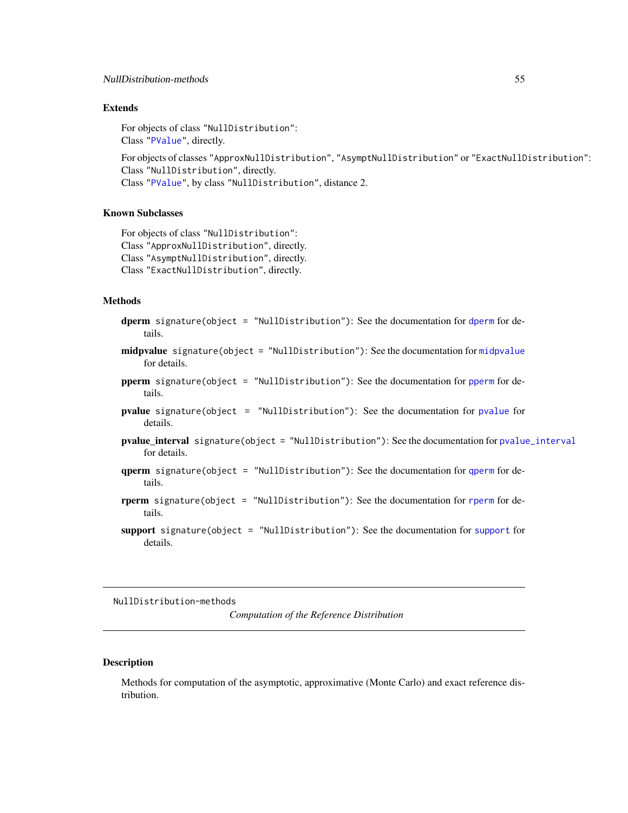# Extends

For objects of class "NullDistribution": Class ["PValue"](#page-60-0), directly.

For objects of classes "ApproxNullDistribution", "AsymptNullDistribution" or "ExactNullDistribution": Class "NullDistribution", directly. Class ["PValue"](#page-60-0), by class "NullDistribution", distance 2.

# Known Subclasses

For objects of class "NullDistribution": Class "ApproxNullDistribution", directly. Class "AsymptNullDistribution", directly. Class "ExactNullDistribution", directly.

#### Methods

- dperm signature(object = "NullDistribution"): See the documentation for [dperm](#page-57-0) for details.
- midpvalue signature(object = "NullDistribution"): See the documentation for [midpvalue](#page-61-0) for details.
- pperm signature(object = "NullDistribution"): See the documentation for [pperm](#page-57-0) for details.
- pvalue signature(object = "NullDistribution"): See the documentation for [pvalue](#page-61-0) for details.
- pvalue\_interval signature(object = "NullDistribution"): See the documentation for [pvalue\\_interval](#page-61-0) for details.
- qperm signature(object = "NullDistribution"): See the documentation for [qperm](#page-57-0) for details.
- rperm signature(object = "NullDistribution"): See the documentation for [rperm](#page-57-0) for details.
- [support](#page-57-0) signature(object = "NullDistribution"): See the documentation for support for details.

NullDistribution-methods

*Computation of the Reference Distribution*

## Description

Methods for computation of the asymptotic, approximative (Monte Carlo) and exact reference distribution.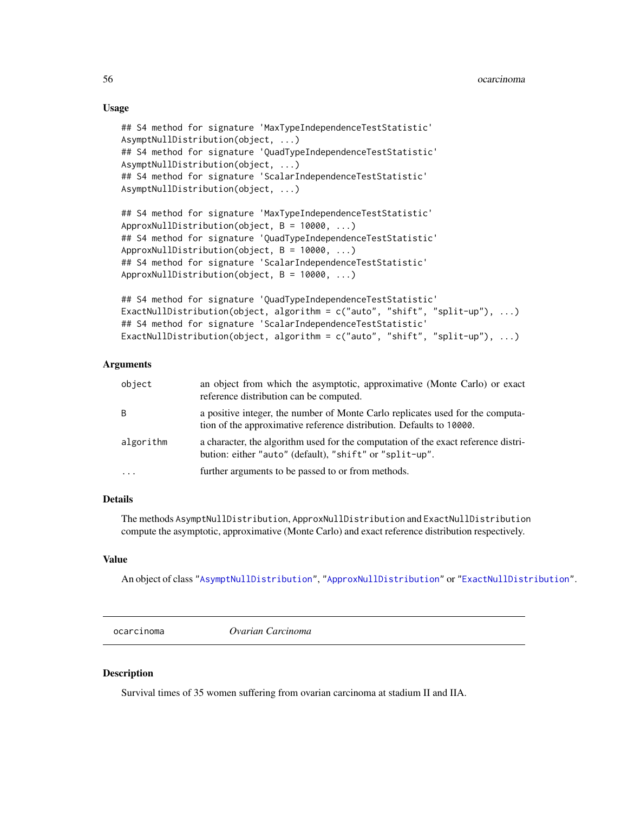# Usage

```
## S4 method for signature 'MaxTypeIndependenceTestStatistic'
AsymptNullDistribution(object, ...)
## S4 method for signature 'QuadTypeIndependenceTestStatistic'
AsymptNullDistribution(object, ...)
## S4 method for signature 'ScalarIndependenceTestStatistic'
AsymptNullDistribution(object, ...)
## S4 method for signature 'MaxTypeIndependenceTestStatistic'
```

```
ApproxNullDistribution(object, B = 10000, ...)
## S4 method for signature 'QuadTypeIndependenceTestStatistic'
ApproxNullDistribution(object, B = 10000, ...)
## S4 method for signature 'ScalarIndependenceTestStatistic'
ApproxNullDistribution(object, B = 10000, ...)
```

```
## S4 method for signature 'QuadTypeIndependenceTestStatistic'
ExactNullDistribution(object, algorithm = c("auto", "shift", "split-up"), ...)
## S4 method for signature 'ScalarIndependenceTestStatistic'
ExactNullDistribution(object, algorithm = c("auto", "shift", "split-up"), ...)
```
## Arguments

| object    | an object from which the asymptotic, approximative (Monte Carlo) or exact<br>reference distribution can be computed.                                   |
|-----------|--------------------------------------------------------------------------------------------------------------------------------------------------------|
| B         | a positive integer, the number of Monte Carlo replicates used for the computa-<br>tion of the approximative reference distribution. Defaults to 10000. |
| algorithm | a character, the algorithm used for the computation of the exact reference distri-<br>bution: either "auto" (default), "shift" or "split-up".          |
| $\cdot$   | further arguments to be passed to or from methods.                                                                                                     |

# **Details**

The methods AsymptNullDistribution, ApproxNullDistribution and ExactNullDistribution compute the asymptotic, approximative (Monte Carlo) and exact reference distribution respectively.

# Value

An object of class ["AsymptNullDistribution"](#page-53-0), ["ApproxNullDistribution"](#page-53-0) or ["ExactNullDistribution"](#page-53-0).

ocarcinoma *Ovarian Carcinoma*

## Description

Survival times of 35 women suffering from ovarian carcinoma at stadium II and IIA.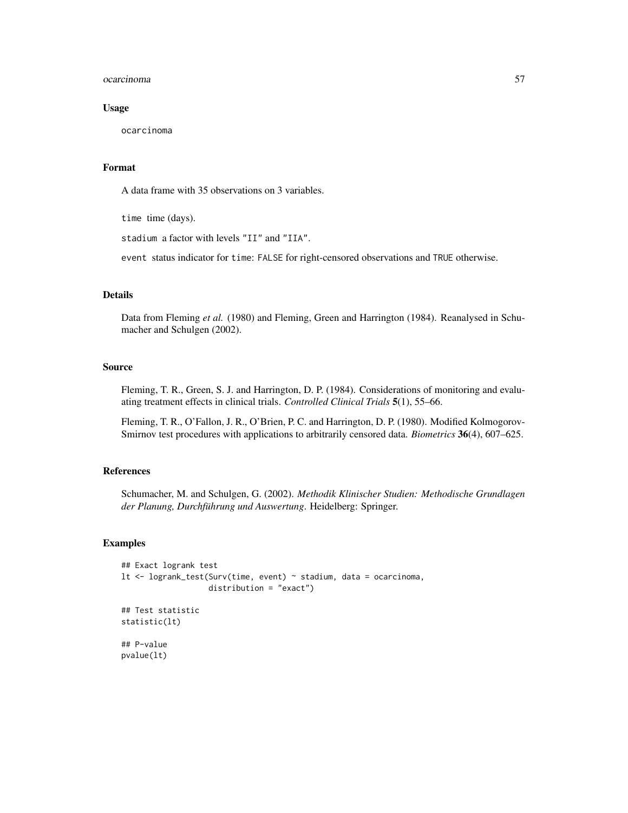#### ocarcinoma 57

## Usage

ocarcinoma

## Format

A data frame with 35 observations on 3 variables.

time time (days).

stadium a factor with levels "II" and "IIA".

event status indicator for time: FALSE for right-censored observations and TRUE otherwise.

## Details

Data from Fleming *et al.* (1980) and Fleming, Green and Harrington (1984). Reanalysed in Schumacher and Schulgen (2002).

# Source

Fleming, T. R., Green, S. J. and Harrington, D. P. (1984). Considerations of monitoring and evaluating treatment effects in clinical trials. *Controlled Clinical Trials* 5(1), 55–66.

Fleming, T. R., O'Fallon, J. R., O'Brien, P. C. and Harrington, D. P. (1980). Modified Kolmogorov-Smirnov test procedures with applications to arbitrarily censored data. *Biometrics* 36(4), 607–625.

# References

Schumacher, M. and Schulgen, G. (2002). *Methodik Klinischer Studien: Methodische Grundlagen der Planung, Durchführung und Auswertung*. Heidelberg: Springer.

```
## Exact logrank test
lt <- logrank_test(Surv(time, event) ~ stadium, data = ocarcinoma,
                   distribution = "exact")
## Test statistic
statistic(lt)
## P-value
pvalue(lt)
```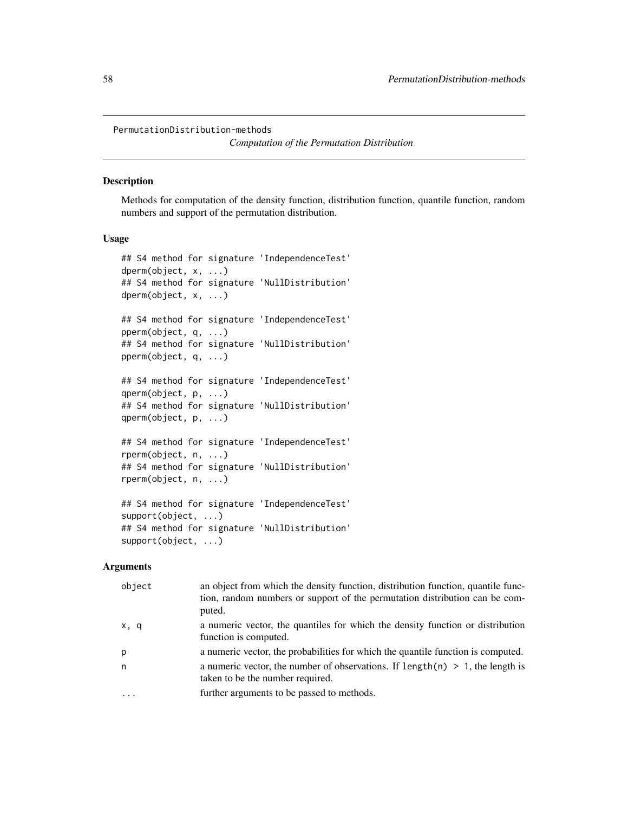PermutationDistribution-methods

*Computation of the Permutation Distribution*

#### <span id="page-57-0"></span>Description

Methods for computation of the density function, distribution function, quantile function, random numbers and support of the permutation distribution.

## Usage

```
## S4 method for signature 'IndependenceTest'
dperm(object, x, ...)
## S4 method for signature 'NullDistribution'
dperm(object, x, ...)
## S4 method for signature 'IndependenceTest'
pperm(object, q, ...)
## S4 method for signature 'NullDistribution'
pperm(object, q, ...)
## S4 method for signature 'IndependenceTest'
qperm(object, p, ...)
## S4 method for signature 'NullDistribution'
qperm(object, p, ...)
## S4 method for signature 'IndependenceTest'
rperm(object, n, ...)
## S4 method for signature 'NullDistribution'
rperm(object, n, ...)
## S4 method for signature 'IndependenceTest'
support(object, ...)
## S4 method for signature 'NullDistribution'
support(object, ...)
```
# Arguments

| object    | an object from which the density function, distribution function, quantile func-<br>tion, random numbers or support of the permutation distribution can be com-<br>puted. |
|-----------|---------------------------------------------------------------------------------------------------------------------------------------------------------------------------|
| x, q      | a numeric vector, the quantiles for which the density function or distribution<br>function is computed.                                                                   |
| p         | a numeric vector, the probabilities for which the quantile function is computed.                                                                                          |
| n         | a numeric vector, the number of observations. If $length(n) > 1$ , the length is<br>taken to be the number required.                                                      |
| $\ddotsc$ | further arguments to be passed to methods.                                                                                                                                |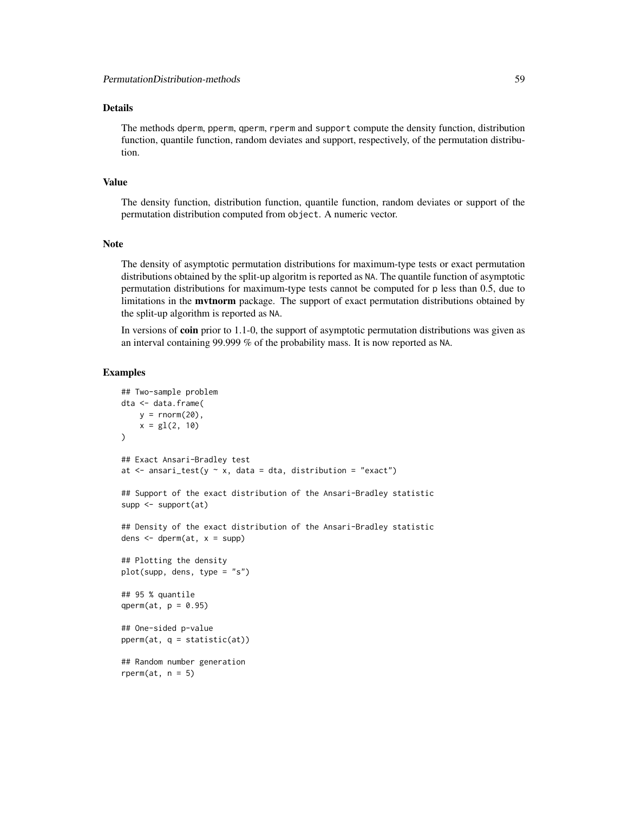# Details

The methods dperm, pperm, qperm, rperm and support compute the density function, distribution function, quantile function, random deviates and support, respectively, of the permutation distribution.

# Value

The density function, distribution function, quantile function, random deviates or support of the permutation distribution computed from object. A numeric vector.

# **Note**

The density of asymptotic permutation distributions for maximum-type tests or exact permutation distributions obtained by the split-up algoritm is reported as NA. The quantile function of asymptotic permutation distributions for maximum-type tests cannot be computed for p less than 0.5, due to limitations in the mvtnorm package. The support of exact permutation distributions obtained by the split-up algorithm is reported as NA.

In versions of coin prior to 1.1-0, the support of asymptotic permutation distributions was given as an interval containing 99.999 % of the probability mass. It is now reported as NA.

```
## Two-sample problem
dta <- data.frame(
    y = rnorm(20),
    x = gl(2, 10))
## Exact Ansari-Bradley test
at \le ansari_test(y \sim x, data = dta, distribution = "exact")
## Support of the exact distribution of the Ansari-Bradley statistic
supp <- support(at)
## Density of the exact distribution of the Ansari-Bradley statistic
dens \leq dperm(at, x = \text{supp})
## Plotting the density
plot(supp, dens, type = "s")
## 95 % quantile
qperm(at, p = 0.95)
## One-sided p-value
pperm(at, q = statistic(at))## Random number generation
rperm(at, n = 5)
```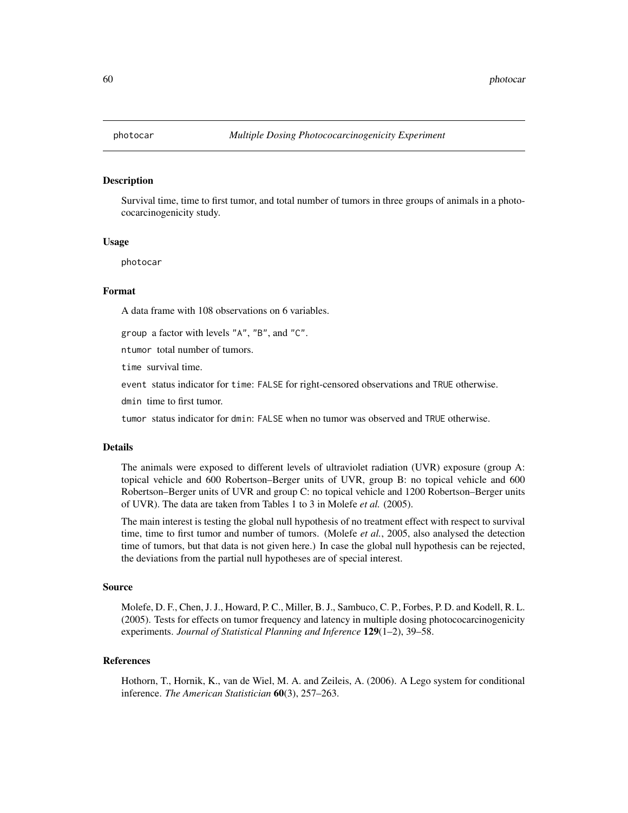# Description

Survival time, time to first tumor, and total number of tumors in three groups of animals in a photococarcinogenicity study.

## Usage

photocar

#### Format

A data frame with 108 observations on 6 variables.

group a factor with levels "A", "B", and "C".

ntumor total number of tumors.

time survival time.

event status indicator for time: FALSE for right-censored observations and TRUE otherwise.

dmin time to first tumor.

tumor status indicator for dmin: FALSE when no tumor was observed and TRUE otherwise.

#### Details

The animals were exposed to different levels of ultraviolet radiation (UVR) exposure (group A: topical vehicle and 600 Robertson–Berger units of UVR, group B: no topical vehicle and 600 Robertson–Berger units of UVR and group C: no topical vehicle and 1200 Robertson–Berger units of UVR). The data are taken from Tables 1 to 3 in Molefe *et al.* (2005).

The main interest is testing the global null hypothesis of no treatment effect with respect to survival time, time to first tumor and number of tumors. (Molefe *et al.*, 2005, also analysed the detection time of tumors, but that data is not given here.) In case the global null hypothesis can be rejected, the deviations from the partial null hypotheses are of special interest.

#### Source

Molefe, D. F., Chen, J. J., Howard, P. C., Miller, B. J., Sambuco, C. P., Forbes, P. D. and Kodell, R. L. (2005). Tests for effects on tumor frequency and latency in multiple dosing photococarcinogenicity experiments. *Journal of Statistical Planning and Inference* 129(1–2), 39–58.

## References

Hothorn, T., Hornik, K., van de Wiel, M. A. and Zeileis, A. (2006). A Lego system for conditional inference. *The American Statistician* 60(3), 257–263.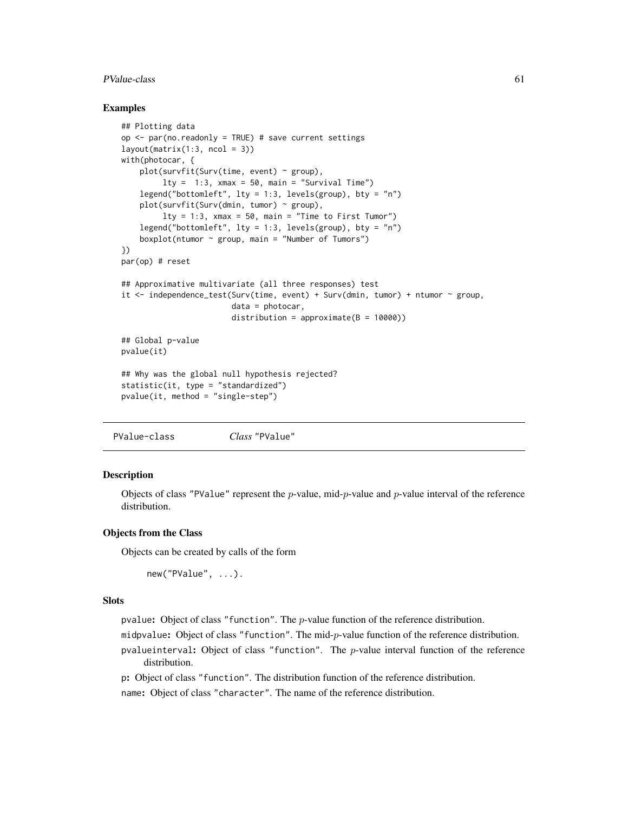#### PValue-class 61

# Examples

```
## Plotting data
op \leq par(no.readonly = TRUE) # save current settings
layout(matrix(1:3, ncol = 3))with(photocar, {
   plot(survfit(Surv(time, event) ~ group),
         lty = 1:3, xmax = 50, main = "Survival Time")
   legend("bottomleft", lty = 1:3, levels(group), bty = "n")
   plot(survfit(Surv(dmin, tumor) ~ group),
         lty = 1:3, xmax = 50, main = "Time to First Tumor")
   legend("bottomleft", lty = 1:3, levels(group), bty = "n")
    boxplot(ntumor ~ group, main = "Number of Tumors")
})
par(op) # reset
## Approximative multivariate (all three responses) test
it \le independence_test(Surv(time, event) + Surv(dmin, tumor) + ntumor \sim group,
                        data = photocar,
                        distribution = approximate(B = 10000))
## Global p-value
pvalue(it)
## Why was the global null hypothesis rejected?
statistic(it, type = "standardized")
pvalue(it, method = "single-step")
```
<span id="page-60-0"></span>PValue-class *Class* "PValue"

# Description

Objects of class "PValue" represent the  $p$ -value, mid- $p$ -value and  $p$ -value interval of the reference distribution.

## Objects from the Class

Objects can be created by calls of the form

```
new("PValue", ...).
```
#### **Slots**

pvalue: Object of class "function". The  $p$ -value function of the reference distribution.

midpvalue: Object of class "function". The mid-p-value function of the reference distribution.

pvalueinterval: Object of class "function". The  $p$ -value interval function of the reference distribution.

p: Object of class "function". The distribution function of the reference distribution.

name: Object of class "character". The name of the reference distribution.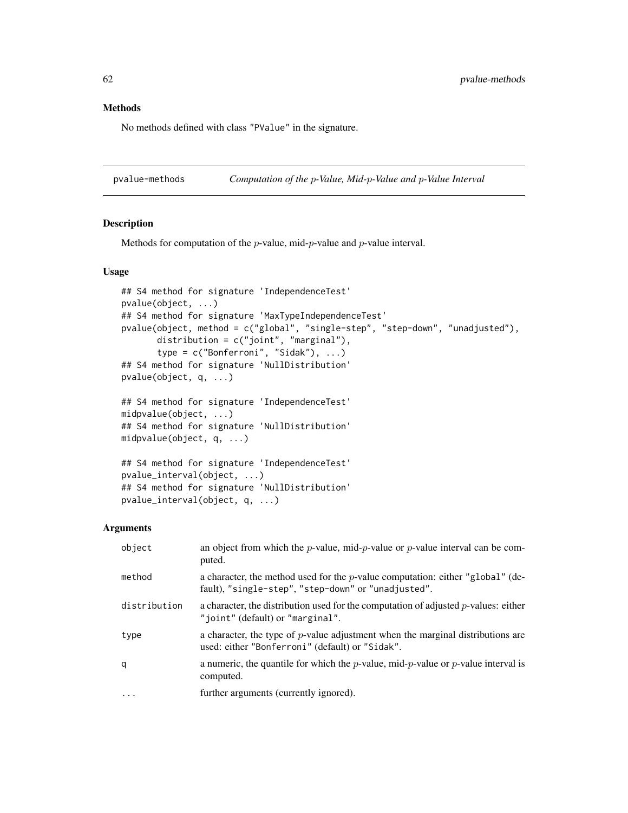# Methods

No methods defined with class "PValue" in the signature.

pvalue-methods *Computation of the* p*-Value, Mid-*p*-Value and* p*-Value Interval*

# <span id="page-61-0"></span>Description

Methods for computation of the  $p$ -value, mid- $p$ -value and  $p$ -value interval.

# Usage

```
## S4 method for signature 'IndependenceTest'
pvalue(object, ...)
## S4 method for signature 'MaxTypeIndependenceTest'
pvalue(object, method = c("global", "single-step", "step-down", "unadjusted"),
       distribution = c("joint", "marginal"),
       type = c("Bonferroni", "Sidak"), ...)
## S4 method for signature 'NullDistribution'
pvalue(object, q, ...)
## S4 method for signature 'IndependenceTest'
midpvalue(object, ...)
## S4 method for signature 'NullDistribution'
midpvalue(object, q, ...)
## S4 method for signature 'IndependenceTest'
pvalue_interval(object, ...)
## S4 method for signature 'NullDistribution'
```
#### Arguments

pvalue\_interval(object, q, ...)

| object       | an object from which the <i>p</i> -value, mid- <i>p</i> -value or <i>p</i> -value interval can be com-<br>puted.                              |
|--------------|-----------------------------------------------------------------------------------------------------------------------------------------------|
| method       | a character, the method used for the <i>p</i> -value computation: either "global" (de-<br>fault), "single-step", "step-down" or "unadjusted". |
| distribution | a character, the distribution used for the computation of adjusted $p$ -values: either<br>"joint" (default) or "marginal".                    |
| type         | a character, the type of $p$ -value adjustment when the marginal distributions are<br>used: either "Bonferroni" (default) or "Sidak".         |
| q            | a numeric, the quantile for which the <i>p</i> -value, mid- <i>p</i> -value or <i>p</i> -value interval is<br>computed.                       |
| $\cdot$      | further arguments (currently ignored).                                                                                                        |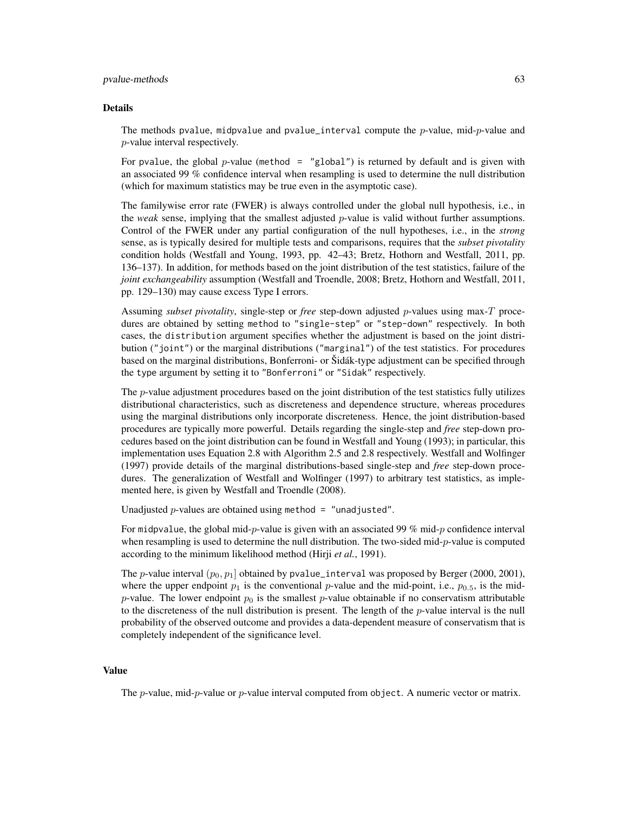#### pvalue-methods 63

#### Details

The methods pvalue, midpvalue and pvalue\_interval compute the p-value, mid-p-value and p-value interval respectively.

For pvalue, the global p-value (method = "global") is returned by default and is given with an associated 99 % confidence interval when resampling is used to determine the null distribution (which for maximum statistics may be true even in the asymptotic case).

The familywise error rate (FWER) is always controlled under the global null hypothesis, i.e., in the *weak* sense, implying that the smallest adjusted p-value is valid without further assumptions. Control of the FWER under any partial configuration of the null hypotheses, i.e., in the *strong* sense, as is typically desired for multiple tests and comparisons, requires that the *subset pivotality* condition holds (Westfall and Young, 1993, pp. 42–43; Bretz, Hothorn and Westfall, 2011, pp. 136–137). In addition, for methods based on the joint distribution of the test statistics, failure of the *joint exchangeability* assumption (Westfall and Troendle, 2008; Bretz, Hothorn and Westfall, 2011, pp. 129–130) may cause excess Type I errors.

Assuming *subset pivotality*, single-step or *free* step-down adjusted p-values using max-T procedures are obtained by setting method to "single-step" or "step-down" respectively. In both cases, the distribution argument specifies whether the adjustment is based on the joint distribution ("joint") or the marginal distributions ("marginal") of the test statistics. For procedures based on the marginal distributions, Bonferroni- or Šidák-type adjustment can be specified through the type argument by setting it to "Bonferroni" or "Sidak" respectively.

The *p*-value adjustment procedures based on the joint distribution of the test statistics fully utilizes distributional characteristics, such as discreteness and dependence structure, whereas procedures using the marginal distributions only incorporate discreteness. Hence, the joint distribution-based procedures are typically more powerful. Details regarding the single-step and *free* step-down procedures based on the joint distribution can be found in Westfall and Young (1993); in particular, this implementation uses Equation 2.8 with Algorithm 2.5 and 2.8 respectively. Westfall and Wolfinger (1997) provide details of the marginal distributions-based single-step and *free* step-down procedures. The generalization of Westfall and Wolfinger (1997) to arbitrary test statistics, as implemented here, is given by Westfall and Troendle (2008).

Unadjusted  $p$ -values are obtained using method = "unadjusted".

For midpvalue, the global mid- $p$ -value is given with an associated 99 % mid- $p$  confidence interval when resampling is used to determine the null distribution. The two-sided mid-p-value is computed according to the minimum likelihood method (Hirji *et al.*, 1991).

The p-value interval  $(p_0, p_1]$  obtained by pvalue\_interval was proposed by Berger (2000, 2001), where the upper endpoint  $p_1$  is the conventional p-value and the mid-point, i.e.,  $p_{0.5}$ , is the midp-value. The lower endpoint  $p_0$  is the smallest p-value obtainable if no conservatism attributable to the discreteness of the null distribution is present. The length of the  $p$ -value interval is the null probability of the observed outcome and provides a data-dependent measure of conservatism that is completely independent of the significance level.

# Value

The  $p$ -value, mid- $p$ -value or  $p$ -value interval computed from object. A numeric vector or matrix.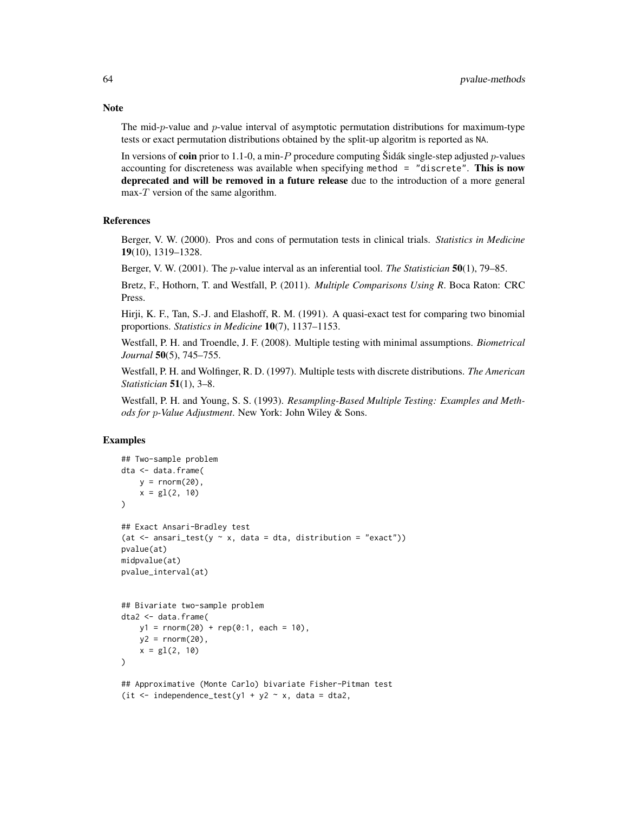The mid-p-value and p-value interval of asymptotic permutation distributions for maximum-type tests or exact permutation distributions obtained by the split-up algoritm is reported as NA.

In versions of **coin** prior to 1.1-0, a min-P procedure computing Sidák single-step adjusted p-values accounting for discreteness was available when specifying method = "discrete". This is now deprecated and will be removed in a future release due to the introduction of a more general  $max-T$  version of the same algorithm.

## References

Berger, V. W. (2000). Pros and cons of permutation tests in clinical trials. *Statistics in Medicine* 19(10), 1319–1328.

Berger, V. W. (2001). The p-value interval as an inferential tool. *The Statistician* 50(1), 79–85.

Bretz, F., Hothorn, T. and Westfall, P. (2011). *Multiple Comparisons Using R*. Boca Raton: CRC Press.

Hirji, K. F., Tan, S.-J. and Elashoff, R. M. (1991). A quasi-exact test for comparing two binomial proportions. *Statistics in Medicine* 10(7), 1137–1153.

Westfall, P. H. and Troendle, J. F. (2008). Multiple testing with minimal assumptions. *Biometrical Journal* 50(5), 745–755.

Westfall, P. H. and Wolfinger, R. D. (1997). Multiple tests with discrete distributions. *The American Statistician* 51(1), 3–8.

Westfall, P. H. and Young, S. S. (1993). *Resampling-Based Multiple Testing: Examples and Methods for* p*-Value Adjustment*. New York: John Wiley & Sons.

# Examples

```
## Two-sample problem
dta <- data.frame(
   y = \text{rnorm}(20),
    x = g1(2, 10))
## Exact Ansari-Bradley test
(at \leq ansari_test(y \sim x, data = dta, distribution = "exact"))
pvalue(at)
midpvalue(at)
pvalue_interval(at)
## Bivariate two-sample problem
dta2 <- data.frame(
   y1 = rnorm(20) + rep(0:1, each = 10),
   y2 = rnorm(20),
    x = gl(2, 10))
## Approximative (Monte Carlo) bivariate Fisher-Pitman test
(it \le independence_test(y1 + y2 \sim x, data = dta2,
```
# **Note**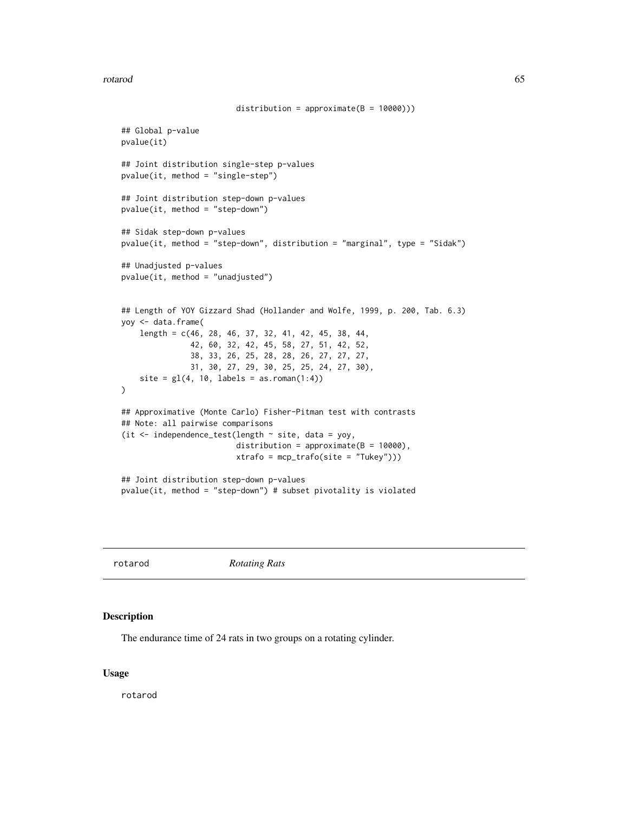#### rotarod 65

```
distribution = approximate(B = 10000)))
## Global p-value
pvalue(it)
## Joint distribution single-step p-values
pvalue(it, method = "single-step")
## Joint distribution step-down p-values
pvalue(it, method = "step-down")
## Sidak step-down p-values
pvalue(it, method = "step-down", distribution = "marginal", type = "Sidak")
## Unadjusted p-values
pvalue(it, method = "unadjusted")
## Length of YOY Gizzard Shad (Hollander and Wolfe, 1999, p. 200, Tab. 6.3)
yoy <- data.frame(
    length = c(46, 28, 46, 37, 32, 41, 42, 45, 38, 44,
               42, 60, 32, 42, 45, 58, 27, 51, 42, 52,
               38, 33, 26, 25, 28, 28, 26, 27, 27, 27,
               31, 30, 27, 29, 30, 25, 25, 24, 27, 30),
    site = gl(4, 10, labels = as.roman(1:4)))
## Approximative (Monte Carlo) Fisher-Pitman test with contrasts
## Note: all pairwise comparisons
(it \le independence_test(length \sim site, data = yoy,
                         distribution = approximate(B = 10000),
                         xtrafo = mcp_trafo(site = "Tukey")))
## Joint distribution step-down p-values
pvalue(it, method = "step-down") # subset pivotality is violated
```
rotarod *Rotating Rats*

## Description

The endurance time of 24 rats in two groups on a rotating cylinder.

# Usage

rotarod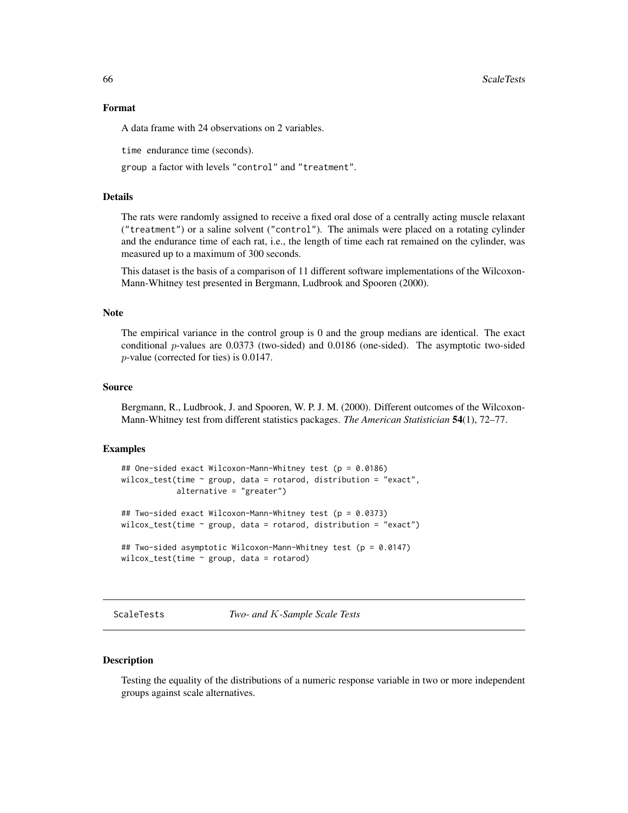#### Format

A data frame with 24 observations on 2 variables.

time endurance time (seconds).

group a factor with levels "control" and "treatment".

# Details

The rats were randomly assigned to receive a fixed oral dose of a centrally acting muscle relaxant ("treatment") or a saline solvent ("control"). The animals were placed on a rotating cylinder and the endurance time of each rat, i.e., the length of time each rat remained on the cylinder, was measured up to a maximum of 300 seconds.

This dataset is the basis of a comparison of 11 different software implementations of the Wilcoxon-Mann-Whitney test presented in Bergmann, Ludbrook and Spooren (2000).

# Note

The empirical variance in the control group is 0 and the group medians are identical. The exact conditional p-values are 0.0373 (two-sided) and 0.0186 (one-sided). The asymptotic two-sided p-value (corrected for ties) is 0.0147.

#### Source

Bergmann, R., Ludbrook, J. and Spooren, W. P. J. M. (2000). Different outcomes of the Wilcoxon-Mann-Whitney test from different statistics packages. *The American Statistician* 54(1), 72–77.

#### Examples

```
## One-sided exact Wilcoxon-Mann-Whitney test (p = 0.0186)
wilcox_test(time \sim group, data = rotarod, distribution = "exact",
            alternative = "greater")
## Two-sided exact Wilcoxon-Mann-Whitney test (p = 0.0373)
wilcox_test(time \sim group, data = rotarod, distribution = "exact")
## Two-sided asymptotic Wilcoxon-Mann-Whitney test (p = 0.0147)
wilcox_test(time ~ group, data = rotarod)
```
ScaleTests *Two- and* K*-Sample Scale Tests*

## Description

Testing the equality of the distributions of a numeric response variable in two or more independent groups against scale alternatives.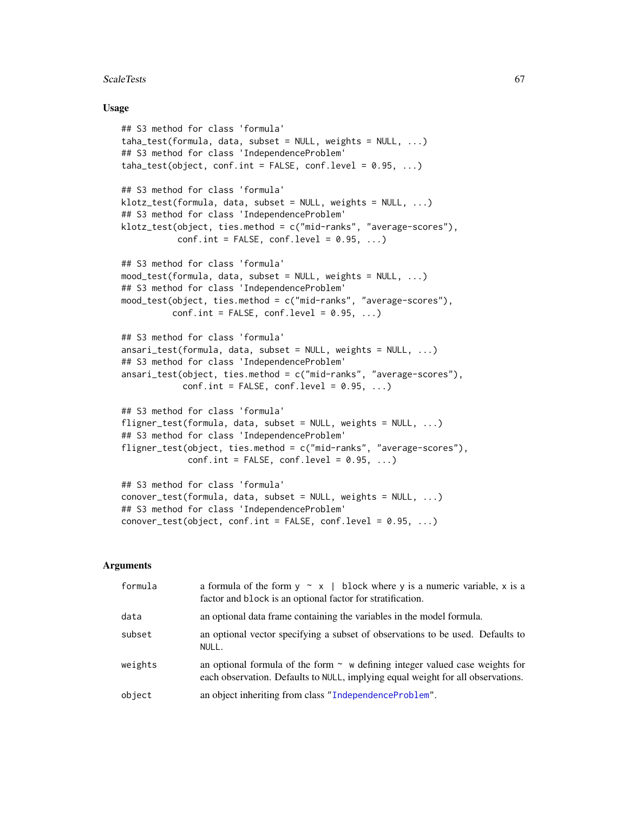#### ScaleTests 67

# Usage

```
## S3 method for class 'formula'
taha_test(formula, data, subset = NULL, weights = NULL, ...)## S3 method for class 'IndependenceProblem'
taha_test(object, conf.int = FALSE, conf.level = 0.95, ...)## S3 method for class 'formula'
klotz_test(formula, data, subset = NULL, weights = NULL, ...)## S3 method for class 'IndependenceProblem'
klotz_test(object, ties.method = c("mid-ranks", "average-scores"),
          conf.int = FALSE, conf. level = 0.95, ...## S3 method for class 'formula'
mood_test(formula, data, subset = NULL, weights = NULL, ...)
## S3 method for class 'IndependenceProblem'
mood_test(object, ties.method = c("mid-ranks", "average-scores"),
          conf.int = FALSE, conf. level = 0.95, ...## S3 method for class 'formula'
ansari_test(formula, data, subset = NULL, weights = NULL, ...)
## S3 method for class 'IndependenceProblem'
ansari_test(object, ties.method = c("mid-ranks", "average-scores"),
            conf.int = FALSE, conf. level = 0.95, ...## S3 method for class 'formula'
fligner_test(formula, data, subset = NULL, weights = NULL, ...)
## S3 method for class 'IndependenceProblem'
fligner_test(object, ties.method = c("mid-ranks", "average-scores"),
             conf.int = FALSE, conf. level = 0.95, ...## S3 method for class 'formula'
conover_test(formula, data, subset = NULL, weights = NULL, ...)
```

```
## S3 method for class 'IndependenceProblem'
conover_test(object, conf.int = FALSE, conf.level = 0.95, ...)
```
# Arguments

| formula | a formula of the form $y \sim x$   block where y is a numeric variable, x is a<br>factor and block is an optional factor for stratification.                         |
|---------|----------------------------------------------------------------------------------------------------------------------------------------------------------------------|
| data    | an optional data frame containing the variables in the model formula.                                                                                                |
| subset  | an optional vector specifying a subset of observations to be used. Defaults to<br>NULL.                                                                              |
| weights | an optional formula of the form $\sim$ w defining integer valued case weights for<br>each observation. Defaults to NULL, implying equal weight for all observations. |
| object  | an object inheriting from class "IndependenceProblem".                                                                                                               |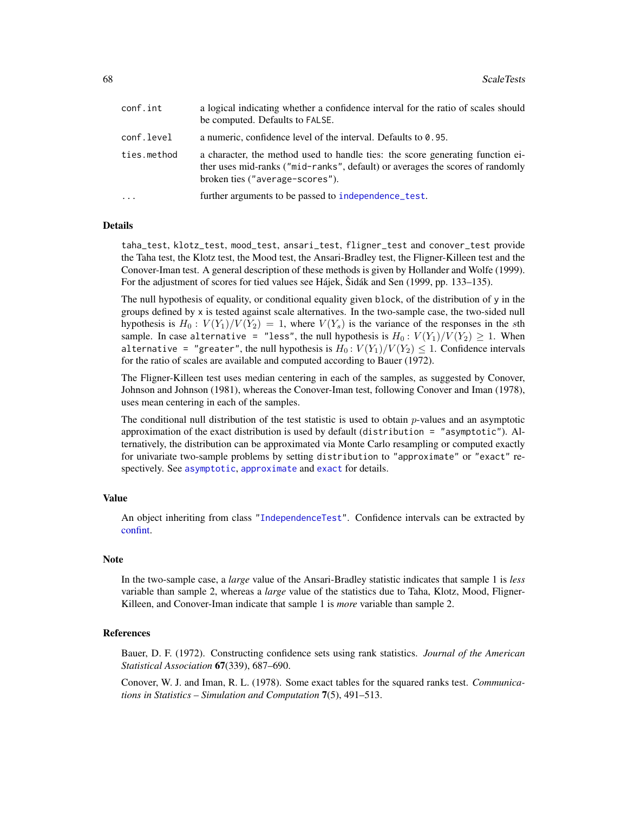| conf.int    | a logical indicating whether a confidence interval for the ratio of scales should<br>be computed. Defaults to FALSE.                                                                               |
|-------------|----------------------------------------------------------------------------------------------------------------------------------------------------------------------------------------------------|
| conf.level  | a numeric, confidence level of the interval. Defaults to 0.95.                                                                                                                                     |
| ties.method | a character, the method used to handle ties: the score generating function ei-<br>ther uses mid-ranks ("mid-ranks", default) or averages the scores of randomly<br>broken ties ("average-scores"). |
| $\cdots$    | further arguments to be passed to independence test.                                                                                                                                               |

# Details

taha\_test, klotz\_test, mood\_test, ansari\_test, fligner\_test and conover\_test provide the Taha test, the Klotz test, the Mood test, the Ansari-Bradley test, the Fligner-Killeen test and the Conover-Iman test. A general description of these methods is given by Hollander and Wolfe (1999). For the adjustment of scores for tied values see Hájek, Šidák and Sen (1999, pp. 133–135).

The null hypothesis of equality, or conditional equality given block, of the distribution of y in the groups defined by x is tested against scale alternatives. In the two-sample case, the two-sided null hypothesis is  $H_0: V(Y_1)/V(Y_2) = 1$ , where  $V(Y_s)$  is the variance of the responses in the sth sample. In case alternative = "less", the null hypothesis is  $H_0: V(Y_1)/V(Y_2) \geq 1$ . When alternative = "greater", the null hypothesis is  $H_0: V(Y_1)/V(Y_2) \leq 1$ . Confidence intervals for the ratio of scales are available and computed according to Bauer (1972).

The Fligner-Killeen test uses median centering in each of the samples, as suggested by Conover, Johnson and Johnson (1981), whereas the Conover-Iman test, following Conover and Iman (1978), uses mean centering in each of the samples.

The conditional null distribution of the test statistic is used to obtain  $p$ -values and an asymptotic approximation of the exact distribution is used by default (distribution = "asymptotic"). Alternatively, the distribution can be approximated via Monte Carlo resampling or computed exactly for univariate two-sample problems by setting distribution to "approximate" or "exact" respectively. See [asymptotic](#page-50-0), [approximate](#page-50-0) and [exact](#page-50-0) for details.

## Value

An object inheriting from class ["IndependenceTest"](#page-28-0). Confidence intervals can be extracted by [confint.](#page-0-0)

## Note

In the two-sample case, a *large* value of the Ansari-Bradley statistic indicates that sample 1 is *less* variable than sample 2, whereas a *large* value of the statistics due to Taha, Klotz, Mood, Fligner-Killeen, and Conover-Iman indicate that sample 1 is *more* variable than sample 2.

#### References

Bauer, D. F. (1972). Constructing confidence sets using rank statistics. *Journal of the American Statistical Association* 67(339), 687–690.

Conover, W. J. and Iman, R. L. (1978). Some exact tables for the squared ranks test. *Communications in Statistics – Simulation and Computation* 7(5), 491–513.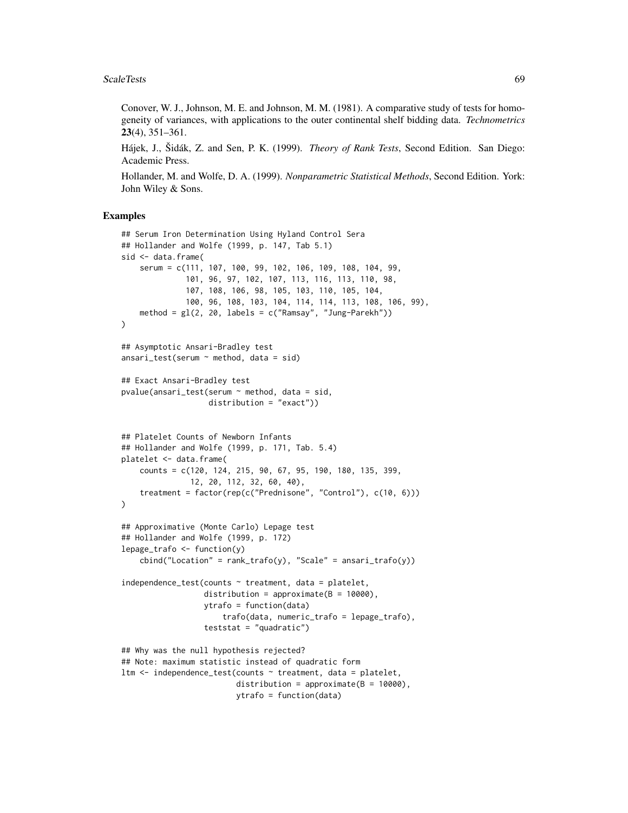#### ScaleTests 69

Conover, W. J., Johnson, M. E. and Johnson, M. M. (1981). A comparative study of tests for homogeneity of variances, with applications to the outer continental shelf bidding data. *Technometrics* 23(4), 351–361.

Hájek, J., Šidák, Z. and Sen, P. K. (1999). *Theory of Rank Tests*, Second Edition. San Diego: Academic Press.

Hollander, M. and Wolfe, D. A. (1999). *Nonparametric Statistical Methods*, Second Edition. York: John Wiley & Sons.

```
## Serum Iron Determination Using Hyland Control Sera
## Hollander and Wolfe (1999, p. 147, Tab 5.1)
sid <- data.frame(
    serum = c(111, 107, 100, 99, 102, 106, 109, 108, 104, 99,
              101, 96, 97, 102, 107, 113, 116, 113, 110, 98,
              107, 108, 106, 98, 105, 103, 110, 105, 104,
              100, 96, 108, 103, 104, 114, 114, 113, 108, 106, 99),
    method = gl(2, 20, 1abels = c("Ramsay", "Jung-Parekh")))
## Asymptotic Ansari-Bradley test
ansari_test(serum \sim method, data = sid)
## Exact Ansari-Bradley test
pvalue(ansari_test(serum ~ method, data = sid,
                   distribution = "exact"))
## Platelet Counts of Newborn Infants
## Hollander and Wolfe (1999, p. 171, Tab. 5.4)
platelet <- data.frame(
    counts = c(120, 124, 215, 90, 67, 95, 190, 180, 135, 399,
               12, 20, 112, 32, 60, 40),
    treatment = factor(rep(c("Prednisone", "Control"), c(10, 6)))
)
## Approximative (Monte Carlo) Lepage test
## Hollander and Wolfe (1999, p. 172)
lepage_train 6 < -function(y)cbind("Location" = rank_train(y), "Scale" = ansari_train(y))independence_test(counts ~ treatment, data = platelet,distribution = approximate(B = 10000),
                  ytrafo = function(data)
                      trafo(data, numeric_trafo = lepage_trafo),
                  teststat = "quadratic")
## Why was the null hypothesis rejected?
## Note: maximum statistic instead of quadratic form
ltm <- independence_test(counts ~ treatment, data = platelet,
                         distribution = approximate(B = 10000),
                         ytrafo = function(data)
```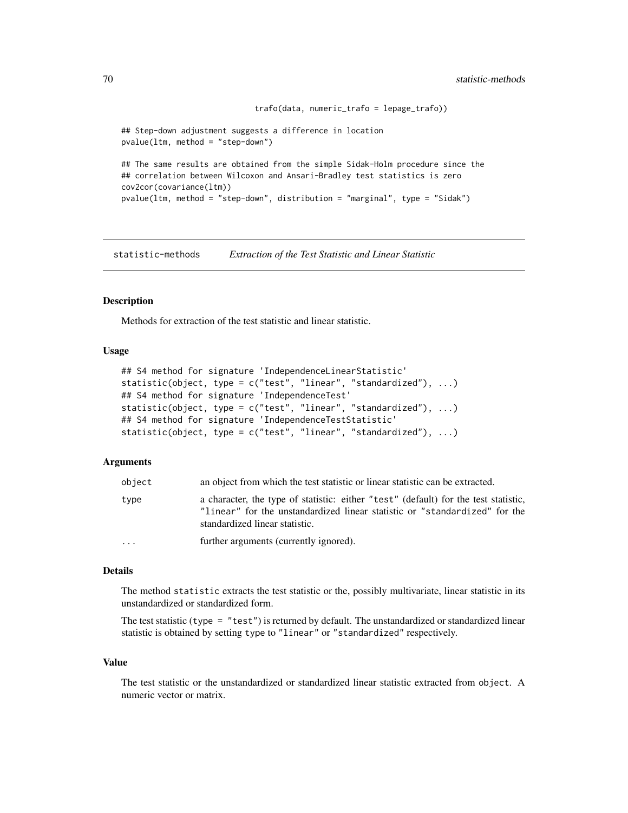```
trafo(data, numeric_trafo = lepage_trafo))
## Step-down adjustment suggests a difference in location
pvalue(ltm, method = "step-down")
## The same results are obtained from the simple Sidak-Holm procedure since the
## correlation between Wilcoxon and Ansari-Bradley test statistics is zero
cov2cor(covariance(ltm))
pvalue(ltm, method = "step-down", distribution = "marginal", type = "Sidak")
```
statistic-methods *Extraction of the Test Statistic and Linear Statistic*

#### **Description**

Methods for extraction of the test statistic and linear statistic.

## Usage

```
## S4 method for signature 'IndependenceLinearStatistic'
statistic(object, type = c("test", "linear", "standardized"), ...)
## S4 method for signature 'IndependenceTest'
statistic(object, type = c("test", "linear", "standardized"), ...)
## S4 method for signature 'IndependenceTestStatistic'
statistic(object, type = c("test", "linear", "standardized"), ...)
```
# **Arguments**

| object    | an object from which the test statistic or linear statistic can be extracted.                                                                                                                       |
|-----------|-----------------------------------------------------------------------------------------------------------------------------------------------------------------------------------------------------|
| type      | a character, the type of statistic: either "test" (default) for the test statistic,<br>"linear" for the unstandardized linear statistic or "standardized" for the<br>standardized linear statistic. |
| $\ddotsc$ | further arguments (currently ignored).                                                                                                                                                              |

# Details

The method statistic extracts the test statistic or the, possibly multivariate, linear statistic in its unstandardized or standardized form.

The test statistic (type =  $"test"$ ) is returned by default. The unstandardized or standardized linear statistic is obtained by setting type to "linear" or "standardized" respectively.

# Value

The test statistic or the unstandardized or standardized linear statistic extracted from object. A numeric vector or matrix.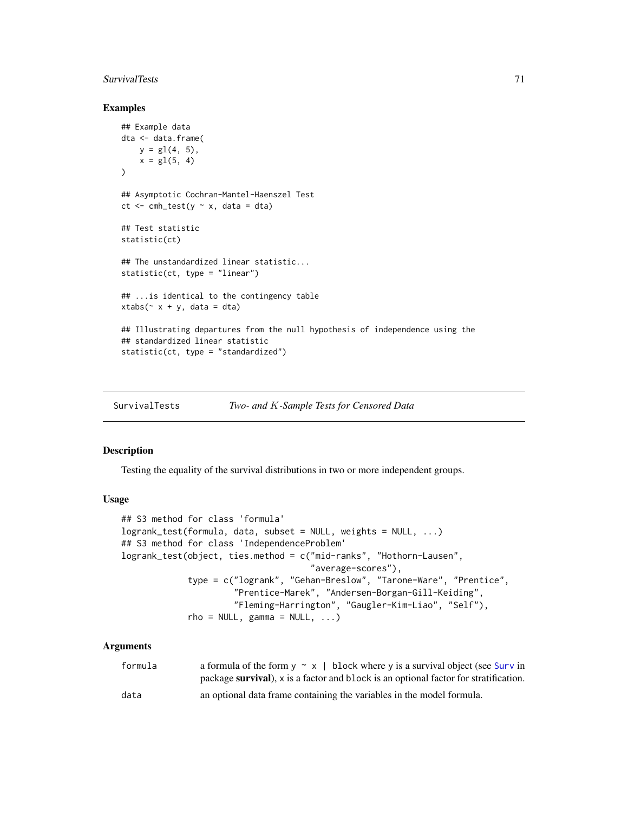#### SurvivalTests 71

# Examples

```
## Example data
dta <- data.frame(
    y = g1(4, 5),
    x = gl(5, 4))
## Asymptotic Cochran-Mantel-Haenszel Test
ct \leq cmh_test(y \sim x, data = dta)
## Test statistic
statistic(ct)
## The unstandardized linear statistic...
statistic(ct, type = "linear")
## ...is identical to the contingency table
xtabs<sup>\sim</sup> x + y, data = dta)
## Illustrating departures from the null hypothesis of independence using the
## standardized linear statistic
statistic(ct, type = "standardized")
```
SurvivalTests *Two- and* K*-Sample Tests for Censored Data*

# Description

Testing the equality of the survival distributions in two or more independent groups.

#### Usage

```
## S3 method for class 'formula'
logrank_test(formula, data, subset = NULL, weights = NULL, ...)
## S3 method for class 'IndependenceProblem'
logrank_test(object, ties.method = c("mid-ranks", "Hothorn-Lausen",
                                     "average-scores"),
             type = c("logrank", "Gehan-Breslow", "Tarone-Ware", "Prentice",
                      "Prentice-Marek", "Andersen-Borgan-Gill-Keiding",
                      "Fleming-Harrington", "Gaugler-Kim-Liao", "Self"),
             rho = NULL, gamma = NULL, ...
```
# Arguments

| formula | a formula of the form $y \sim x$   block where y is a survival object (see Surv in   |
|---------|--------------------------------------------------------------------------------------|
|         | package survival), x is a factor and block is an optional factor for stratification. |
| data    | an optional data frame containing the variables in the model formula.                |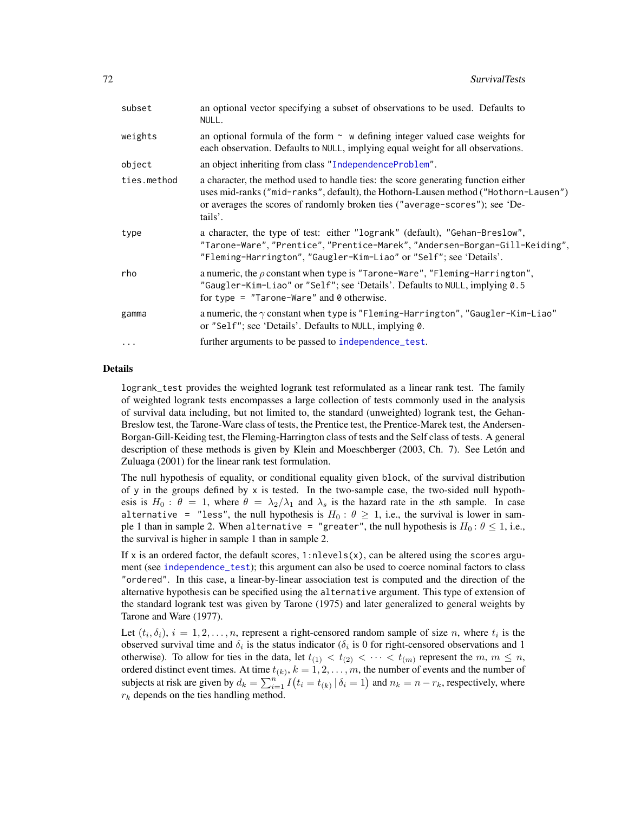| subset      | an optional vector specifying a subset of observations to be used. Defaults to<br>NULL.                                                                                                                                                                            |
|-------------|--------------------------------------------------------------------------------------------------------------------------------------------------------------------------------------------------------------------------------------------------------------------|
| weights     | an optional formula of the form $\sim$ w defining integer valued case weights for<br>each observation. Defaults to NULL, implying equal weight for all observations.                                                                                               |
| object      | an object inheriting from class "IndependenceProblem".                                                                                                                                                                                                             |
| ties.method | a character, the method used to handle ties: the score generating function either<br>uses mid-ranks ("mid-ranks", default), the Hothorn-Lausen method ("Hothorn-Lausen")<br>or averages the scores of randomly broken ties ("average-scores"); see 'De-<br>tails'. |
| type        | a character, the type of test: either "logrank" (default), "Gehan-Breslow",<br>"Tarone-Ware", "Prentice", "Prentice-Marek", "Andersen-Borgan-Gill-Keiding",<br>"Fleming-Harrington", "Gaugler-Kim-Liao" or "Self"; see 'Details'.                                  |
| rho         | a numeric, the $\rho$ constant when type is "Tarone-Ware", "Fleming-Harrington",<br>"Gaugler-Kim-Liao" or "Self"; see 'Details'. Defaults to NULL, implying 0.5<br>for type = "Tarone-Ware" and $\theta$ otherwise.                                                |
| gamma       | a numeric, the $\gamma$ constant when type is "Fleming-Harrington", "Gaugler-Kim-Liao"<br>or "Self"; see 'Details'. Defaults to NULL, implying 0.                                                                                                                  |
| $\ddotsc$   | further arguments to be passed to independence_test.                                                                                                                                                                                                               |

## Details

logrank\_test provides the weighted logrank test reformulated as a linear rank test. The family of weighted logrank tests encompasses a large collection of tests commonly used in the analysis of survival data including, but not limited to, the standard (unweighted) logrank test, the Gehan-Breslow test, the Tarone-Ware class of tests, the Prentice test, the Prentice-Marek test, the Andersen-Borgan-Gill-Keiding test, the Fleming-Harrington class of tests and the Self class of tests. A general description of these methods is given by Klein and Moeschberger (2003, Ch. 7). See Letón and Zuluaga (2001) for the linear rank test formulation.

The null hypothesis of equality, or conditional equality given block, of the survival distribution of y in the groups defined by  $x$  is tested. In the two-sample case, the two-sided null hypothesis is  $H_0: \theta = 1$ , where  $\theta = \lambda_2/\lambda_1$  and  $\lambda_s$  is the hazard rate in the sth sample. In case alternative = "less", the null hypothesis is  $H_0: \theta \geq 1$ , i.e., the survival is lower in sample 1 than in sample 2. When alternative = "greater", the null hypothesis is  $H_0: \theta \le 1$ , i.e., the survival is higher in sample 1 than in sample 2.

If x is an ordered factor, the default scores,  $1:$ nlevels $(x)$ , can be altered using the scores argument (see [independence\\_test](#page-24-0)); this argument can also be used to coerce nominal factors to class "ordered". In this case, a linear-by-linear association test is computed and the direction of the alternative hypothesis can be specified using the alternative argument. This type of extension of the standard logrank test was given by Tarone (1975) and later generalized to general weights by Tarone and Ware (1977).

Let  $(t_i, \delta_i)$ ,  $i = 1, 2, \ldots, n$ , represent a right-censored random sample of size n, where  $t_i$  is the observed survival time and  $\delta_i$  is the status indicator ( $\delta_i$  is 0 for right-censored observations and 1 otherwise). To allow for ties in the data, let  $t_{(1)} < t_{(2)} < \cdots < t_{(m)}$  represent the  $m, m \leq n$ , ordered distinct event times. At time  $t_{(k)}$ ,  $k = 1, 2, \ldots, m$ , the number of events and the number of subjects at risk are given by  $d_k = \sum_{i=1}^{n} I(t_i = t_{(k)} | \delta_i = 1)$  and  $n_k = n - r_k$ , respectively, where  $r_k$  depends on the ties handling method.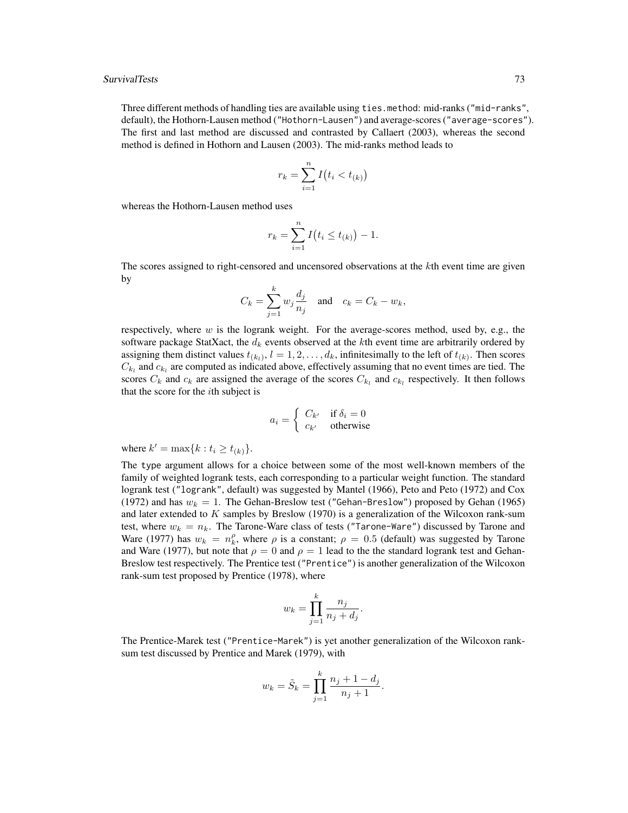Three different methods of handling ties are available using ties.method: mid-ranks ("mid-ranks", default), the Hothorn-Lausen method ("Hothorn-Lausen") and average-scores ("average-scores"). The first and last method are discussed and contrasted by Callaert (2003), whereas the second method is defined in Hothorn and Lausen (2003). The mid-ranks method leads to

$$
r_k = \sum_{i=1}^n I(t_i < t_{(k)})
$$

whereas the Hothorn-Lausen method uses

$$
r_k = \sum_{i=1}^n I(t_i \le t_{(k)}) - 1.
$$

The scores assigned to right-censored and uncensored observations at the  $k$ th event time are given by

$$
C_k = \sum_{j=1}^k w_j \frac{d_j}{n_j} \quad \text{and} \quad c_k = C_k - w_k,
$$

respectively, where w is the logrank weight. For the average-scores method, used by, e.g., the software package StatXact, the  $d_k$  events observed at the kth event time are arbitrarily ordered by assigning them distinct values  $t_{(k_l)}$ ,  $l = 1, 2, \ldots, d_k$ , infinitesimally to the left of  $t_{(k)}$ . Then scores  $C_{k_l}$  and  $c_{k_l}$  are computed as indicated above, effectively assuming that no event times are tied. The scores  $C_k$  and  $c_k$  are assigned the average of the scores  $C_{k_l}$  and  $c_{k_l}$  respectively. It then follows that the score for the ith subject is

$$
a_i = \begin{cases} C_{k'} & \text{if } \delta_i = 0\\ c_{k'} & \text{otherwise} \end{cases}
$$

where  $k' = \max\{k : t_i \ge t_{(k)}\}.$ 

The type argument allows for a choice between some of the most well-known members of the family of weighted logrank tests, each corresponding to a particular weight function. The standard logrank test ("logrank", default) was suggested by Mantel (1966), Peto and Peto (1972) and Cox (1972) and has  $w_k = 1$ . The Gehan-Breslow test ("Gehan-Breslow") proposed by Gehan (1965) and later extended to  $K$  samples by Breslow (1970) is a generalization of the Wilcoxon rank-sum test, where  $w_k = n_k$ . The Tarone-Ware class of tests ("Tarone-Ware") discussed by Tarone and Ware (1977) has  $w_k = n_k^{\rho}$ , where  $\rho$  is a constant;  $\rho = 0.5$  (default) was suggested by Tarone and Ware (1977), but note that  $\rho = 0$  and  $\rho = 1$  lead to the the standard logrank test and Gehan-Breslow test respectively. The Prentice test ("Prentice") is another generalization of the Wilcoxon rank-sum test proposed by Prentice (1978), where

$$
w_k = \prod_{j=1}^k \frac{n_j}{n_j + d_j}.
$$

The Prentice-Marek test ("Prentice-Marek") is yet another generalization of the Wilcoxon ranksum test discussed by Prentice and Marek (1979), with

$$
w_k = \tilde{S}_k = \prod_{j=1}^k \frac{n_j + 1 - d_j}{n_j + 1}.
$$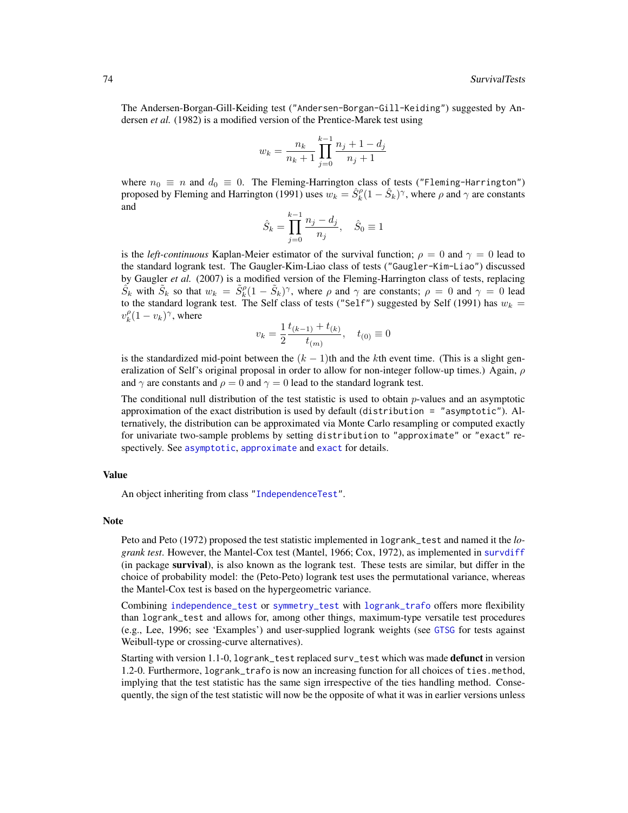<span id="page-73-0"></span>The Andersen-Borgan-Gill-Keiding test ("Andersen-Borgan-Gill-Keiding") suggested by Andersen *et al.* (1982) is a modified version of the Prentice-Marek test using

$$
w_k = \frac{n_k}{n_k + 1} \prod_{j=0}^{k-1} \frac{n_j + 1 - d_j}{n_j + 1}
$$

where  $n_0 \equiv n$  and  $d_0 \equiv 0$ . The Fleming-Harrington class of tests ("Fleming-Harrington") proposed by Fleming and Harrington (1991) uses  $w_k = \hat{S}_k^{\rho} (1 - \hat{S}_k)^{\gamma}$ , where  $\rho$  and  $\gamma$  are constants and

$$
\hat{S}_k = \prod_{j=0}^{k-1} \frac{n_j - d_j}{n_j}, \quad \hat{S}_0 \equiv 1
$$

is the *left-continuous* Kaplan-Meier estimator of the survival function;  $\rho = 0$  and  $\gamma = 0$  lead to the standard logrank test. The Gaugler-Kim-Liao class of tests ("Gaugler-Kim-Liao") discussed by Gaugler *et al.* (2007) is a modified version of the Fleming-Harrington class of tests, replacing  $\tilde{S}_k$  with  $\tilde{S}_k$  so that  $w_k = \tilde{S}_k^{\rho} (1 - \tilde{S}_k)^{\gamma}$ , where  $\rho$  and  $\gamma$  are constants;  $\rho = 0$  and  $\gamma = 0$  lead to the standard logrank test. The Self class of tests ("Self") suggested by Self (1991) has  $w_k =$  $v_k^{\rho} (1 - v_k)^{\gamma}$ , where

$$
v_k = \frac{1}{2} \frac{t_{(k-1)} + t_{(k)}}{t_{(m)}}, \quad t_{(0)} \equiv 0
$$

is the standardized mid-point between the  $(k - 1)$ th and the kth event time. (This is a slight generalization of Self's original proposal in order to allow for non-integer follow-up times.) Again,  $\rho$ and  $\gamma$  are constants and  $\rho = 0$  and  $\gamma = 0$  lead to the standard logrank test.

The conditional null distribution of the test statistic is used to obtain  $p$ -values and an asymptotic approximation of the exact distribution is used by default (distribution = "asymptotic"). Alternatively, the distribution can be approximated via Monte Carlo resampling or computed exactly for univariate two-sample problems by setting distribution to "approximate" or "exact" respectively. See [asymptotic](#page-50-0), [approximate](#page-50-0) and [exact](#page-50-0) for details.

### Value

An object inheriting from class ["IndependenceTest"](#page-28-0).

#### Note

Peto and Peto (1972) proposed the test statistic implemented in logrank\_test and named it the *logrank test*. However, the Mantel-Cox test (Mantel, 1966; Cox, 1972), as implemented in [survdiff](#page-0-0) (in package survival), is also known as the logrank test. These tests are similar, but differ in the choice of probability model: the (Peto-Peto) logrank test uses the permutational variance, whereas the Mantel-Cox test is based on the hypergeometric variance.

Combining [independence\\_test](#page-24-0) or [symmetry\\_test](#page-77-0) with [logrank\\_trafo](#page-85-0) offers more flexibility than logrank\_test and allows for, among other things, maximum-type versatile test procedures (e.g., Lee, 1996; see 'Examples') and user-supplied logrank weights (see [GTSG](#page-19-0) for tests against Weibull-type or crossing-curve alternatives).

Starting with version 1.1-0, logrank\_test replaced surv\_test which was made **defunct** in version 1.2-0. Furthermore, logrank\_trafo is now an increasing function for all choices of ties.method, implying that the test statistic has the same sign irrespective of the ties handling method. Consequently, the sign of the test statistic will now be the opposite of what it was in earlier versions unless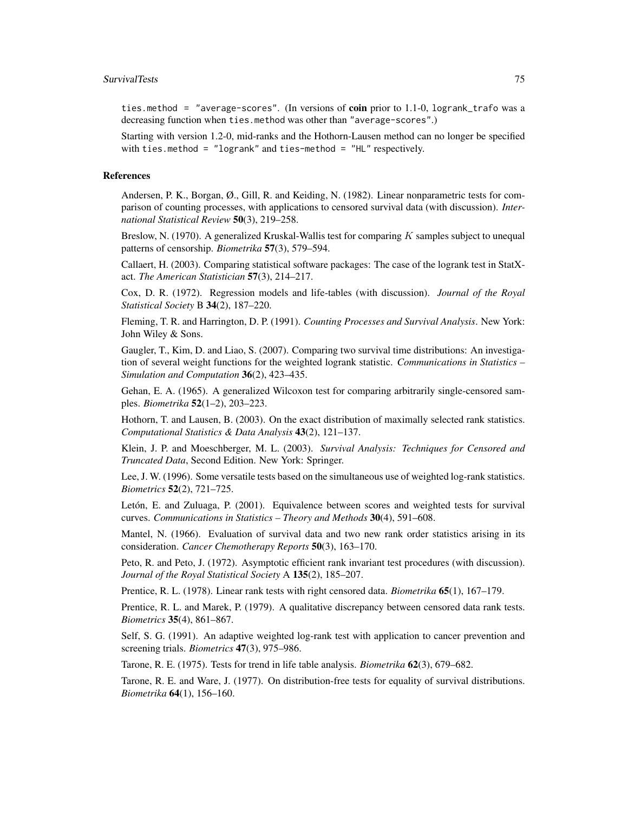ties.method = "average-scores". (In versions of coin prior to 1.1-0, logrank\_trafo was a decreasing function when ties.method was other than "average-scores".)

Starting with version 1.2-0, mid-ranks and the Hothorn-Lausen method can no longer be specified with ties.method = "logrank" and ties-method = "HL" respectively.

#### References

Andersen, P. K., Borgan, Ø., Gill, R. and Keiding, N. (1982). Linear nonparametric tests for comparison of counting processes, with applications to censored survival data (with discussion). *International Statistical Review* 50(3), 219–258.

Breslow, N. (1970). A generalized Kruskal-Wallis test for comparing K samples subject to unequal patterns of censorship. *Biometrika* 57(3), 579–594.

Callaert, H. (2003). Comparing statistical software packages: The case of the logrank test in StatXact. *The American Statistician* 57(3), 214–217.

Cox, D. R. (1972). Regression models and life-tables (with discussion). *Journal of the Royal Statistical Society* B 34(2), 187–220.

Fleming, T. R. and Harrington, D. P. (1991). *Counting Processes and Survival Analysis*. New York: John Wiley & Sons.

Gaugler, T., Kim, D. and Liao, S. (2007). Comparing two survival time distributions: An investigation of several weight functions for the weighted logrank statistic. *Communications in Statistics – Simulation and Computation* 36(2), 423–435.

Gehan, E. A. (1965). A generalized Wilcoxon test for comparing arbitrarily single-censored samples. *Biometrika* 52(1–2), 203–223.

Hothorn, T. and Lausen, B. (2003). On the exact distribution of maximally selected rank statistics. *Computational Statistics & Data Analysis* 43(2), 121–137.

Klein, J. P. and Moeschberger, M. L. (2003). *Survival Analysis: Techniques for Censored and Truncated Data*, Second Edition. New York: Springer.

Lee, J. W. (1996). Some versatile tests based on the simultaneous use of weighted log-rank statistics. *Biometrics* 52(2), 721–725.

Letón, E. and Zuluaga, P. (2001). Equivalence between scores and weighted tests for survival curves. *Communications in Statistics – Theory and Methods* 30(4), 591–608.

Mantel, N. (1966). Evaluation of survival data and two new rank order statistics arising in its consideration. *Cancer Chemotherapy Reports* 50(3), 163–170.

Peto, R. and Peto, J. (1972). Asymptotic efficient rank invariant test procedures (with discussion). *Journal of the Royal Statistical Society* A 135(2), 185–207.

Prentice, R. L. (1978). Linear rank tests with right censored data. *Biometrika* 65(1), 167–179.

Prentice, R. L. and Marek, P. (1979). A qualitative discrepancy between censored data rank tests. *Biometrics* 35(4), 861–867.

Self, S. G. (1991). An adaptive weighted log-rank test with application to cancer prevention and screening trials. *Biometrics* 47(3), 975–986.

Tarone, R. E. (1975). Tests for trend in life table analysis. *Biometrika* 62(3), 679–682.

Tarone, R. E. and Ware, J. (1977). On distribution-free tests for equality of survival distributions. *Biometrika* 64(1), 156–160.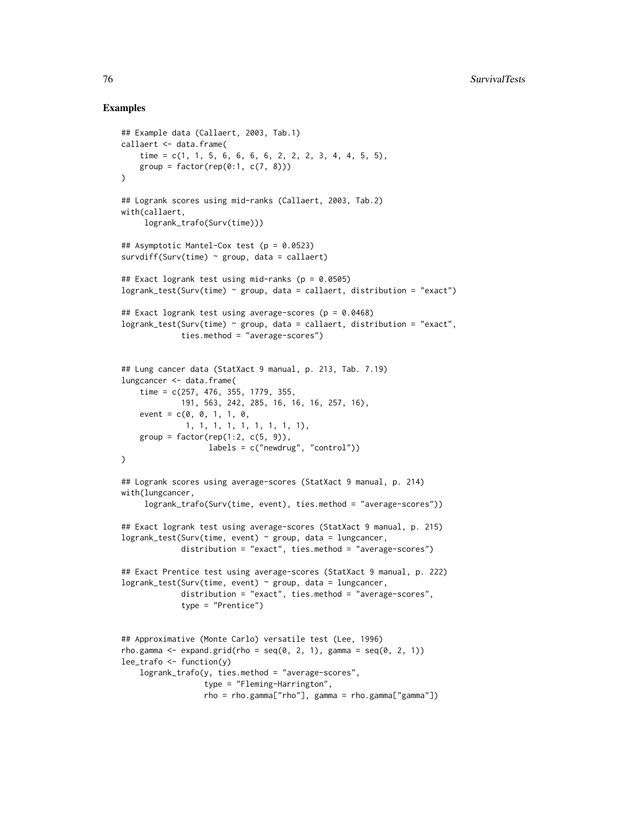# Examples

```
## Example data (Callaert, 2003, Tab.1)
callaert <- data.frame(
    time = c(1, 1, 5, 6, 6, 6, 6, 2, 2, 2, 3, 4, 4, 5, 5),
    group = factor(rep(0:1, c(7, 8))))
## Logrank scores using mid-ranks (Callaert, 2003, Tab.2)
with(callaert,
     logrank_trafo(Surv(time)))
## Asymptotic Mantel-Cox test (p = 0.0523)
survdiff(Surv(time) \sim group, data = callaert)
## Exact logrank test using mid-ranks (p = 0.0505)
logrank_test(Surv(time) ~ group, data = callaert, distribution = "exact")
## Exact logrank test using average-scores (p = 0.0468)
logrank\_test(Surv(time) \sim group, data = callaert, distribution = "exact",ties.method = "average-scores")
## Lung cancer data (StatXact 9 manual, p. 213, Tab. 7.19)
lungcancer <- data.frame(
    time = c(257, 476, 355, 1779, 355,
             191, 563, 242, 285, 16, 16, 16, 257, 16),
    event = c(0, 0, 1, 1, 0,1, 1, 1, 1, 1, 1, 1, 1, 1),
    group = factor(rep(1:2, c(5, 9)),labels = c("newdrug", "control"))
\lambda## Logrank scores using average-scores (StatXact 9 manual, p. 214)
with(lungcancer,
     logrank_trafo(Surv(time, event), ties.method = "average-scores"))
## Exact logrank test using average-scores (StatXact 9 manual, p. 215)
logrank_test(Surv(time, event) ~ group, data = lungcancer,
             distribution = "exact", ties.method = "average-scores")
## Exact Prentice test using average-scores (StatXact 9 manual, p. 222)
logrank\_test(Surv(time, event) \sim group, data = lungcancer,distribution = "exact", ties.method = "average-scores",
             type = "Prentice")
## Approximative (Monte Carlo) versatile test (Lee, 1996)
rho.gamma \leq expand.grid(rho = seq(0, 2, 1), gamma = seq(0, 2, 1))
lee_trafo <- function(y)
    logrank_trafo(y, ties.method = "average-scores",
                  type = "Fleming-Harrington",
                  rho = rho.gamma["rho"], gamma = rho.gamma["gamma"])
```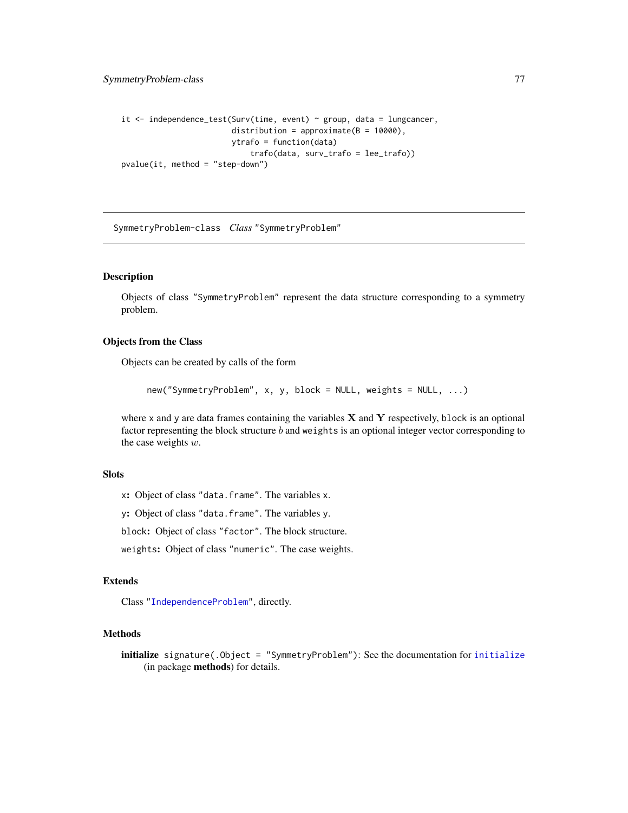```
it <- independence_test(Surv(time, event) ~ group, data = lungcancer,
                        distribution = approximate(B = 10000),
                        ytrafo = function(data)
                            trafo(data, surv_trafo = lee_trafo))
pvalue(it, method = "step-down")
```
<span id="page-76-0"></span>SymmetryProblem-class *Class* "SymmetryProblem"

# Description

Objects of class "SymmetryProblem" represent the data structure corresponding to a symmetry problem.

#### Objects from the Class

Objects can be created by calls of the form

new("SymmetryProblem", x, y, block = NULL, weights = NULL, ...)

where  $x$  and  $y$  are data frames containing the variables  $X$  and  $Y$  respectively, block is an optional factor representing the block structure  $b$  and weights is an optional integer vector corresponding to the case weights w.

# **Slots**

x: Object of class "data.frame". The variables x.

y: Object of class "data.frame". The variables y.

block: Object of class "factor". The block structure.

weights: Object of class "numeric". The case weights.

# Extends

Class ["IndependenceProblem"](#page-23-0), directly.

#### Methods

initialize signature(.Object = "SymmetryProblem"): See the documentation for [initialize](#page-0-0) (in package methods) for details.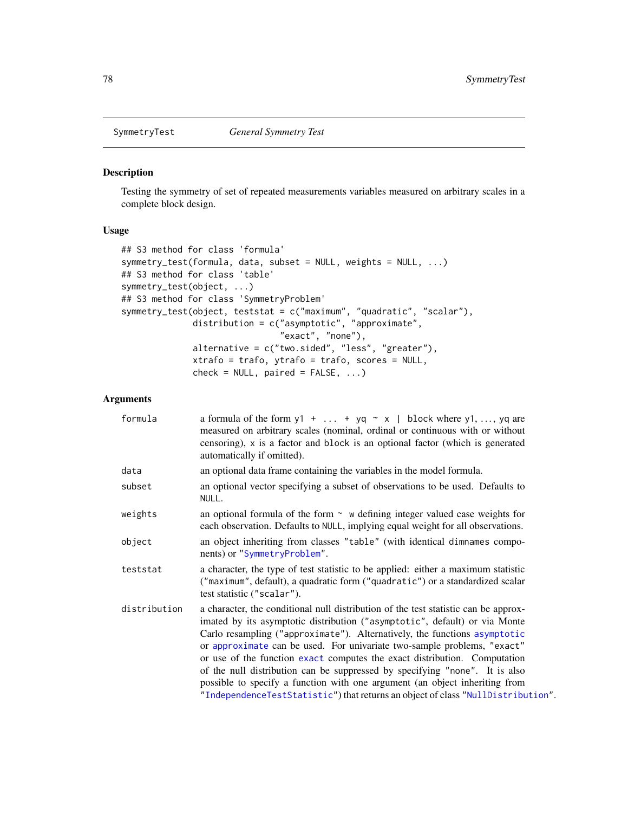<span id="page-77-1"></span>

#### <span id="page-77-0"></span>Description

Testing the symmetry of set of repeated measurements variables measured on arbitrary scales in a complete block design.

# Usage

```
## S3 method for class 'formula'
symmetry_test(formula, data, subset = NULL, weights = NULL, ...)
## S3 method for class 'table'
symmetry_test(object, ...)
## S3 method for class 'SymmetryProblem'
symmetry_test(object, teststat = c("maximum", "quadratic", "scalar"),
              distribution = c("asymptotic", "approximate",
                               "exact", "none"),
              alternative = c("two.sided", "less", "greater"),
              xtrafo = trafo, ytrafo = trafo, scores = NULL,
              check = NULL, paired = FALSE, ...)
```
# Arguments

| formula      | a formula of the form $y1 +  + yq \sim x$   block where $y1, , yq$ are<br>measured on arbitrary scales (nominal, ordinal or continuous with or without<br>censoring), x is a factor and block is an optional factor (which is generated<br>automatically if omitted).                                                                                                                                                                                                                                                                                                                                                                                    |
|--------------|----------------------------------------------------------------------------------------------------------------------------------------------------------------------------------------------------------------------------------------------------------------------------------------------------------------------------------------------------------------------------------------------------------------------------------------------------------------------------------------------------------------------------------------------------------------------------------------------------------------------------------------------------------|
| data         | an optional data frame containing the variables in the model formula.                                                                                                                                                                                                                                                                                                                                                                                                                                                                                                                                                                                    |
| subset       | an optional vector specifying a subset of observations to be used. Defaults to<br>NULL.                                                                                                                                                                                                                                                                                                                                                                                                                                                                                                                                                                  |
| weights      | an optional formula of the form $\sim$ w defining integer valued case weights for<br>each observation. Defaults to NULL, implying equal weight for all observations.                                                                                                                                                                                                                                                                                                                                                                                                                                                                                     |
| object       | an object inheriting from classes "table" (with identical dimnames compo-<br>nents) or "SymmetryProblem".                                                                                                                                                                                                                                                                                                                                                                                                                                                                                                                                                |
| teststat     | a character, the type of test statistic to be applied: either a maximum statistic<br>("maximum", default), a quadratic form ("quadratic") or a standardized scalar<br>test statistic ("scalar").                                                                                                                                                                                                                                                                                                                                                                                                                                                         |
| distribution | a character, the conditional null distribution of the test statistic can be approx-<br>imated by its asymptotic distribution ("asymptotic", default) or via Monte<br>Carlo resampling ("approximate"). Alternatively, the functions asymptotic<br>or approximate can be used. For univariate two-sample problems, "exact"<br>or use of the function exact computes the exact distribution. Computation<br>of the null distribution can be suppressed by specifying "none". It is also<br>possible to specify a function with one argument (an object inheriting from<br>"IndependenceTestStatistic") that returns an object of class "NullDistribution". |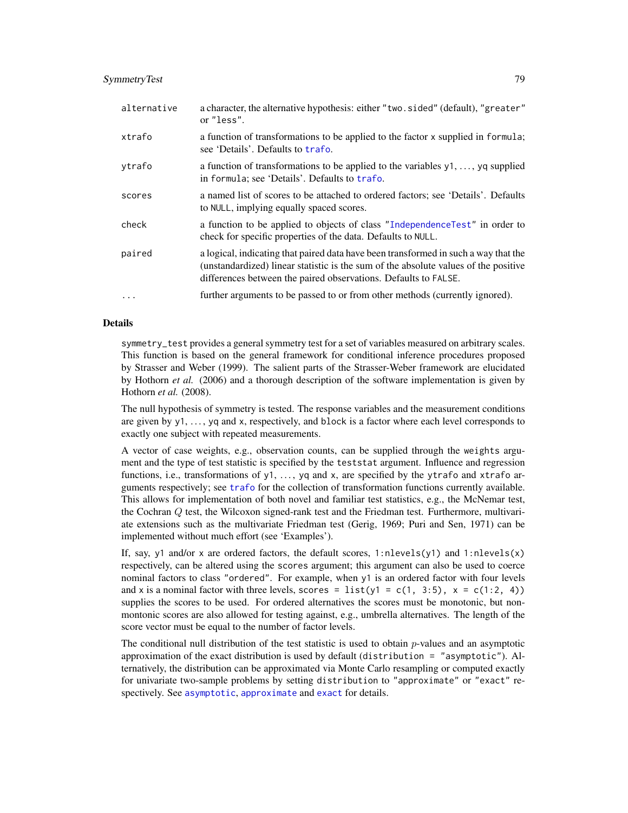# <span id="page-78-0"></span>SymmetryTest 79

| alternative | a character, the alternative hypothesis: either "two.sided" (default), "greater"<br>or "less".                                                                                                                                                |
|-------------|-----------------------------------------------------------------------------------------------------------------------------------------------------------------------------------------------------------------------------------------------|
| xtrafo      | a function of transformations to be applied to the factor x supplied in formula;<br>see 'Details'. Defaults to trafo.                                                                                                                         |
| vtrafo      | a function of transformations to be applied to the variables $y_1, \ldots, y_q$ supplied<br>in formula; see 'Details'. Defaults to trafo.                                                                                                     |
| scores      | a named list of scores to be attached to ordered factors; see 'Details'. Defaults<br>to NULL, implying equally spaced scores.                                                                                                                 |
| check       | a function to be applied to objects of class "IndependenceTest" in order to<br>check for specific properties of the data. Defaults to NULL.                                                                                                   |
| paired      | a logical, indicating that paired data have been transformed in such a way that the<br>(unstandardized) linear statistic is the sum of the absolute values of the positive<br>differences between the paired observations. Defaults to FALSE. |
| $\cdots$    | further arguments to be passed to or from other methods (currently ignored).                                                                                                                                                                  |

#### Details

symmetry\_test provides a general symmetry test for a set of variables measured on arbitrary scales. This function is based on the general framework for conditional inference procedures proposed by Strasser and Weber (1999). The salient parts of the Strasser-Weber framework are elucidated by Hothorn *et al.* (2006) and a thorough description of the software implementation is given by Hothorn *et al.* (2008).

The null hypothesis of symmetry is tested. The response variables and the measurement conditions are given by y1, ..., yq and x, respectively, and block is a factor where each level corresponds to exactly one subject with repeated measurements.

A vector of case weights, e.g., observation counts, can be supplied through the weights argument and the type of test statistic is specified by the teststat argument. Influence and regression functions, i.e., transformations of  $y1, \ldots, yq$  and x, are specified by the ytrafo and xtrafo arguments respectively; see [trafo](#page-85-0) for the collection of transformation functions currently available. This allows for implementation of both novel and familiar test statistics, e.g., the McNemar test, the Cochran Q test, the Wilcoxon signed-rank test and the Friedman test. Furthermore, multivariate extensions such as the multivariate Friedman test (Gerig, 1969; Puri and Sen, 1971) can be implemented without much effort (see 'Examples').

If, say, y1 and/or x are ordered factors, the default scores,  $1:nlevels(y1)$  and  $1:nlevels(x)$ respectively, can be altered using the scores argument; this argument can also be used to coerce nominal factors to class "ordered". For example, when y1 is an ordered factor with four levels and x is a nominal factor with three levels, scores = list(y1 = c(1, 3:5),  $x = c(1:2, 4)$ ) supplies the scores to be used. For ordered alternatives the scores must be monotonic, but nonmontonic scores are also allowed for testing against, e.g., umbrella alternatives. The length of the score vector must be equal to the number of factor levels.

The conditional null distribution of the test statistic is used to obtain  $p$ -values and an asymptotic approximation of the exact distribution is used by default (distribution = "asymptotic"). Alternatively, the distribution can be approximated via Monte Carlo resampling or computed exactly for univariate two-sample problems by setting distribution to "approximate" or "exact" respectively. See [asymptotic](#page-50-0), [approximate](#page-50-0) and [exact](#page-50-0) for details.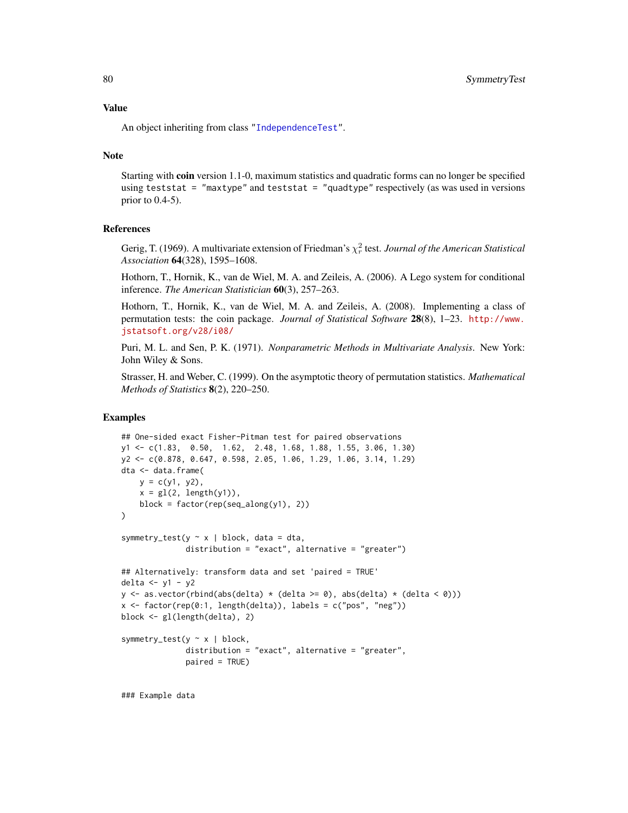<span id="page-79-0"></span>An object inheriting from class ["IndependenceTest"](#page-28-0).

#### Note

Starting with coin version 1.1-0, maximum statistics and quadratic forms can no longer be specified using teststat = "maxtype" and teststat = "quadtype" respectively (as was used in versions prior to  $0.4-5$ ).

#### **References**

Gerig, T. (1969). A multivariate extension of Friedman's  $\chi^2_r$  test. *Journal of the American Statistical Association* 64(328), 1595–1608.

Hothorn, T., Hornik, K., van de Wiel, M. A. and Zeileis, A. (2006). A Lego system for conditional inference. *The American Statistician* 60(3), 257–263.

Hothorn, T., Hornik, K., van de Wiel, M. A. and Zeileis, A. (2008). Implementing a class of permutation tests: the coin package. *Journal of Statistical Software* 28(8), 1–23. [http://www.](http://www.jstatsoft.org/v28/i08/) [jstatsoft.org/v28/i08/](http://www.jstatsoft.org/v28/i08/)

Puri, M. L. and Sen, P. K. (1971). *Nonparametric Methods in Multivariate Analysis*. New York: John Wiley & Sons.

Strasser, H. and Weber, C. (1999). On the asymptotic theory of permutation statistics. *Mathematical Methods of Statistics* 8(2), 220–250.

# Examples

```
## One-sided exact Fisher-Pitman test for paired observations
y1 <- c(1.83, 0.50, 1.62, 2.48, 1.68, 1.88, 1.55, 3.06, 1.30)
y2 <- c(0.878, 0.647, 0.598, 2.05, 1.06, 1.29, 1.06, 3.14, 1.29)
dta <- data.frame(
   y = c(y1, y2),
    x = gl(2, length(y1)),block = factor(rep(seq_along(y1), 2))
)
symmetry_test(y \sim x | block, data = dta,
              distribution = "exact", alternative = "greater")
## Alternatively: transform data and set 'paired = TRUE'
delta <- y1 - y2
y \leftarrow as.vector(rbind(abs(delta) * (delta >= 0), abs(delta) * (delta > 0)))x \le factor(rep(0:1, length(delta)), labels = c("pos", "neg"))
block <- gl(length(delta), 2)
symmetry_test(y \sim x | block,
              distribution = "exact", alternative = "greater",
              paired = TRUE)
```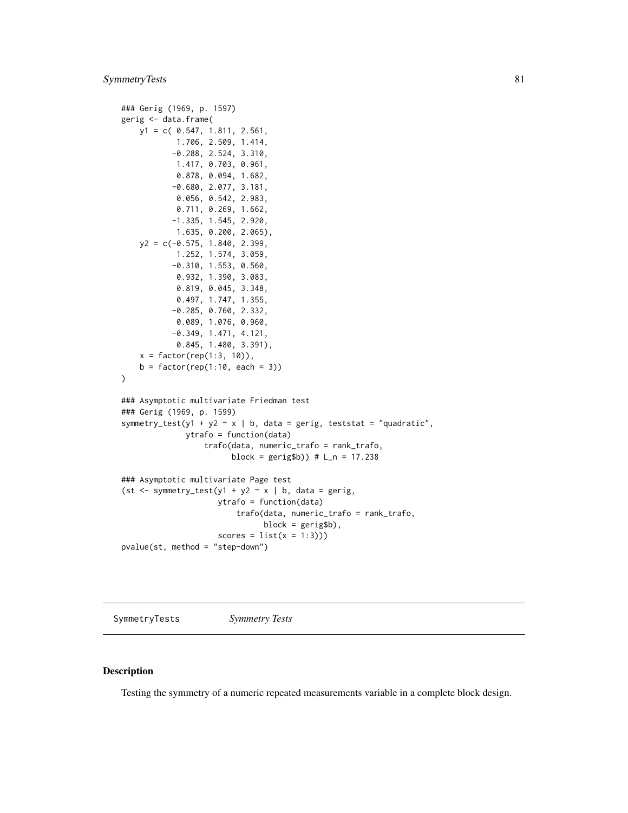# <span id="page-80-0"></span>SymmetryTests 81

```
### Gerig (1969, p. 1597)
gerig <- data.frame(
   y1 = c( 0.547, 1.811, 2.561,
            1.706, 2.509, 1.414,
           -0.288, 2.524, 3.310,
            1.417, 0.703, 0.961,
            0.878, 0.094, 1.682,
           -0.680, 2.077, 3.181,
            0.056, 0.542, 2.983,
            0.711, 0.269, 1.662,
           -1.335, 1.545, 2.920,
            1.635, 0.200, 2.065),
    y2 = c(-0.575, 1.840, 2.399,1.252, 1.574, 3.059,
           -0.310, 1.553, 0.560,
            0.932, 1.390, 3.083,
            0.819, 0.045, 3.348,
            0.497, 1.747, 1.355,
           -0.285, 0.760, 2.332,
            0.089, 1.076, 0.960,
           -0.349, 1.471, 4.121,
            0.845, 1.480, 3.391),
   x = factor(rep(1:3, 10)),
    b = factor(rep(1:10, each = 3))\mathcal{L}### Asymptotic multivariate Friedman test
### Gerig (1969, p. 1599)
symmetry_test(y1 + y2 \sim x | b, data = gerig, teststat = "quadratic",
              ytrafo = function(data)
                  trafo(data, numeric_trafo = rank_trafo,
                        block = gerig$b)) # L_n = 17.238
### Asymptotic multivariate Page test
(st \leq -symmetry_test(y1 + y2 \sim x \mid b, data = gerig,ytrafo = function(data)
                          trafo(data, numeric_trafo = rank_trafo,
                                block = gerig$b),
                     scores = list(x = 1:3))pvalue(st, method = "step-down")
```
SymmetryTests *Symmetry Tests*

#### Description

Testing the symmetry of a numeric repeated measurements variable in a complete block design.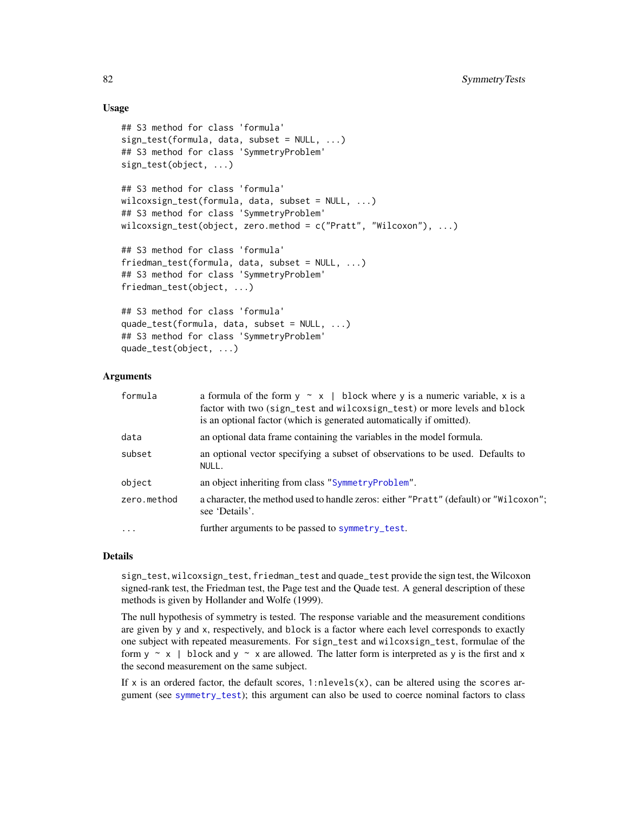# <span id="page-81-0"></span>Usage

```
## S3 method for class 'formula'
sign_test(formula, data, subset = NULL, ...)
## S3 method for class 'SymmetryProblem'
sign_test(object, ...)
## S3 method for class 'formula'
wilcoxsign_test(formula, data, subset = NULL, ...)
## S3 method for class 'SymmetryProblem'
wilcoxsign_test(object, zero.method = c("Pratt", "Wilcoxon"), ...)
## S3 method for class 'formula'
friedman_test(formula, data, subset = NULL, ...)## S3 method for class 'SymmetryProblem'
friedman_test(object, ...)
## S3 method for class 'formula'
quade_test(formula, data, subset = NULL, ...)
## S3 method for class 'SymmetryProblem'
quade_test(object, ...)
```
# Arguments

| formula     | a formula of the form $y \sim x$   block where y is a numeric variable, x is a<br>factor with two (sign_test and wilcoxsign_test) or more levels and block<br>is an optional factor (which is generated automatically if omitted). |
|-------------|------------------------------------------------------------------------------------------------------------------------------------------------------------------------------------------------------------------------------------|
| data        | an optional data frame containing the variables in the model formula.                                                                                                                                                              |
| subset      | an optional vector specifying a subset of observations to be used. Defaults to<br>NULL.                                                                                                                                            |
| object      | an object inheriting from class "SymmetryProblem".                                                                                                                                                                                 |
| zero.method | a character, the method used to handle zeros: either "Pratt" (default) or "Wilcoxon";<br>see 'Details'.                                                                                                                            |
| $\cdots$    | further arguments to be passed to symmetry_test.                                                                                                                                                                                   |

#### Details

sign\_test, wilcoxsign\_test, friedman\_test and quade\_test provide the sign test, the Wilcoxon signed-rank test, the Friedman test, the Page test and the Quade test. A general description of these methods is given by Hollander and Wolfe (1999).

The null hypothesis of symmetry is tested. The response variable and the measurement conditions are given by y and x, respectively, and block is a factor where each level corresponds to exactly one subject with repeated measurements. For sign\_test and wilcoxsign\_test, formulae of the form  $y \sim x$  | block and  $y \sim x$  are allowed. The latter form is interpreted as y is the first and x the second measurement on the same subject.

If x is an ordered factor, the default scores,  $1:$ nlevels $(x)$ , can be altered using the scores argument (see [symmetry\\_test](#page-77-0)); this argument can also be used to coerce nominal factors to class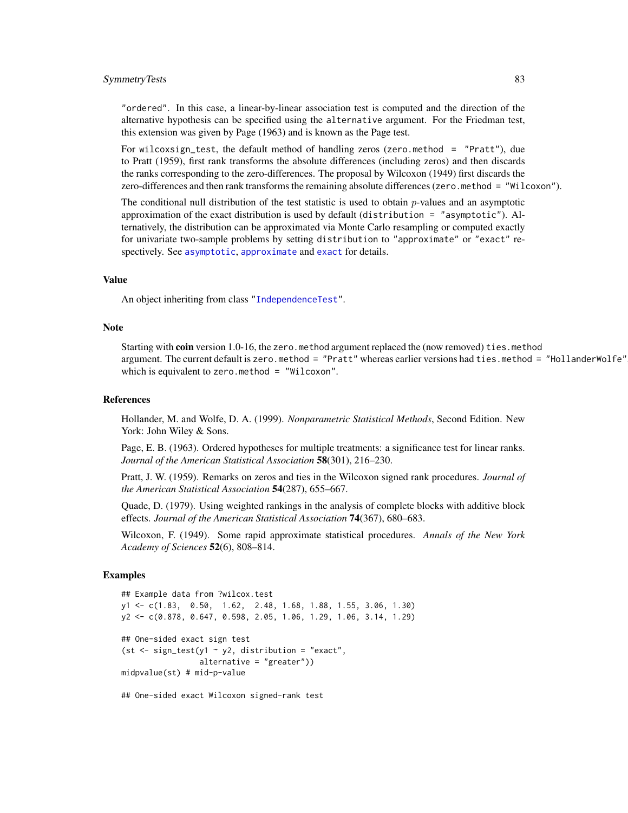#### <span id="page-82-0"></span>SymmetryTests 83

"ordered". In this case, a linear-by-linear association test is computed and the direction of the alternative hypothesis can be specified using the alternative argument. For the Friedman test, this extension was given by Page (1963) and is known as the Page test.

For wilcoxsign\_test, the default method of handling zeros (zero.method = "Pratt"), due to Pratt (1959), first rank transforms the absolute differences (including zeros) and then discards the ranks corresponding to the zero-differences. The proposal by Wilcoxon (1949) first discards the zero-differences and then rank transforms the remaining absolute differences (zero.method = "Wilcoxon").

The conditional null distribution of the test statistic is used to obtain  $p$ -values and an asymptotic approximation of the exact distribution is used by default (distribution = "asymptotic"). Alternatively, the distribution can be approximated via Monte Carlo resampling or computed exactly for univariate two-sample problems by setting distribution to "approximate" or "exact" respectively. See [asymptotic](#page-50-0), [approximate](#page-50-0) and [exact](#page-50-0) for details.

#### Value

An object inheriting from class ["IndependenceTest"](#page-28-0).

#### Note

Starting with coin version 1.0-16, the zero. method argument replaced the (now removed) ties. method argument. The current default is zero.method = "Pratt" whereas earlier versions had ties.method = "HollanderWolfe", which is equivalent to zero.method = "Wilcoxon".

#### References

Hollander, M. and Wolfe, D. A. (1999). *Nonparametric Statistical Methods*, Second Edition. New York: John Wiley & Sons.

Page, E. B. (1963). Ordered hypotheses for multiple treatments: a significance test for linear ranks. *Journal of the American Statistical Association* 58(301), 216–230.

Pratt, J. W. (1959). Remarks on zeros and ties in the Wilcoxon signed rank procedures. *Journal of the American Statistical Association* 54(287), 655–667.

Quade, D. (1979). Using weighted rankings in the analysis of complete blocks with additive block effects. *Journal of the American Statistical Association* 74(367), 680–683.

Wilcoxon, F. (1949). Some rapid approximate statistical procedures. *Annals of the New York Academy of Sciences* 52(6), 808–814.

### Examples

```
## Example data from ?wilcox.test
y1 <- c(1.83, 0.50, 1.62, 2.48, 1.68, 1.88, 1.55, 3.06, 1.30)
y2 <- c(0.878, 0.647, 0.598, 2.05, 1.06, 1.29, 1.06, 3.14, 1.29)
## One-sided exact sign test
(st \le sign_test(y1 \sim y2, distribution = "exact",
                 alternative = "greater"))
midpvalue(st) # mid-p-value
```
## One-sided exact Wilcoxon signed-rank test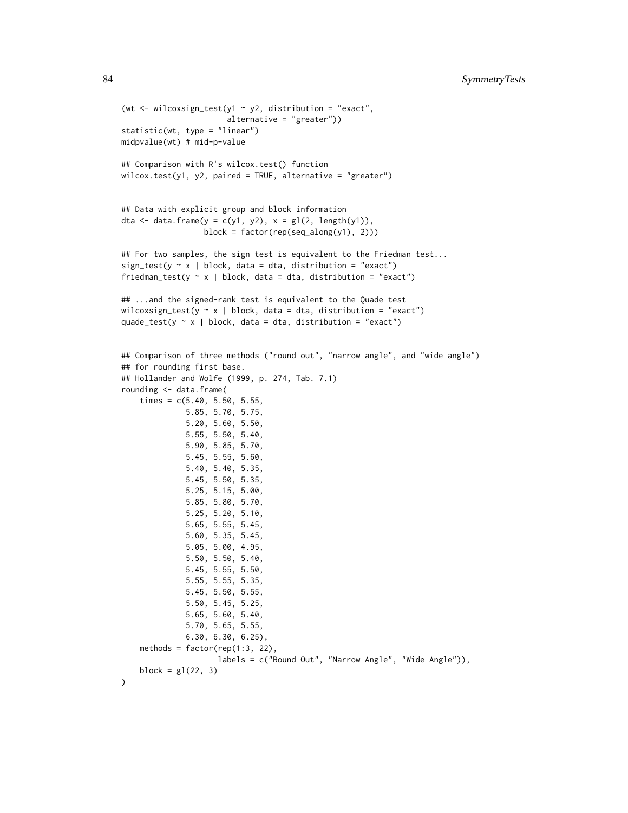```
(wt <- wilcoxsign_test(y1 \sim y2, distribution = "exact",
                       alternative = "greater"))
statistic(wt, type = "linear")
midpvalue(wt) # mid-p-value
## Comparison with R's wilcox.test() function
wilcox.test(y1, y2, paired = TRUE, alternative = "greater")
## Data with explicit group and block information
dta <- data.frame(y = c(y1, y2), x = gl(2, length(y1)),block = factor(rep(seq_along(y1), 2)))
## For two samples, the sign test is equivalent to the Friedman test...
sign_test(y \sim x | block, data = dta, distribution = "exact")
friedman_test(y \sim x | block, data = dta, distribution = "exact")
## ...and the signed-rank test is equivalent to the Quade test
wilcoxsign_test(y \sim x | block, data = dta, distribution = "exact")
quade_test(y \sim x | block, data = dta, distribution = "exact")
## Comparison of three methods ("round out", "narrow angle", and "wide angle")
## for rounding first base.
## Hollander and Wolfe (1999, p. 274, Tab. 7.1)
rounding <- data.frame(
    times = c(5.40, 5.50, 5.55,5.85, 5.70, 5.75,
              5.20, 5.60, 5.50,
              5.55, 5.50, 5.40,
              5.90, 5.85, 5.70,
              5.45, 5.55, 5.60,
              5.40, 5.40, 5.35,
              5.45, 5.50, 5.35,
              5.25, 5.15, 5.00,
              5.85, 5.80, 5.70,
              5.25, 5.20, 5.10,
              5.65, 5.55, 5.45,
              5.60, 5.35, 5.45,
              5.05, 5.00, 4.95,
              5.50, 5.50, 5.40,
              5.45, 5.55, 5.50,
              5.55, 5.55, 5.35,
              5.45, 5.50, 5.55,
              5.50, 5.45, 5.25,
              5.65, 5.60, 5.40,
              5.70, 5.65, 5.55,
              6.30, 6.30, 6.25),
    methods = factor(rep(1:3, 22)),
                     labels = c("Round Out", "Narrow Angle", "Wide Angle")),
    block = gl(22, 3))
```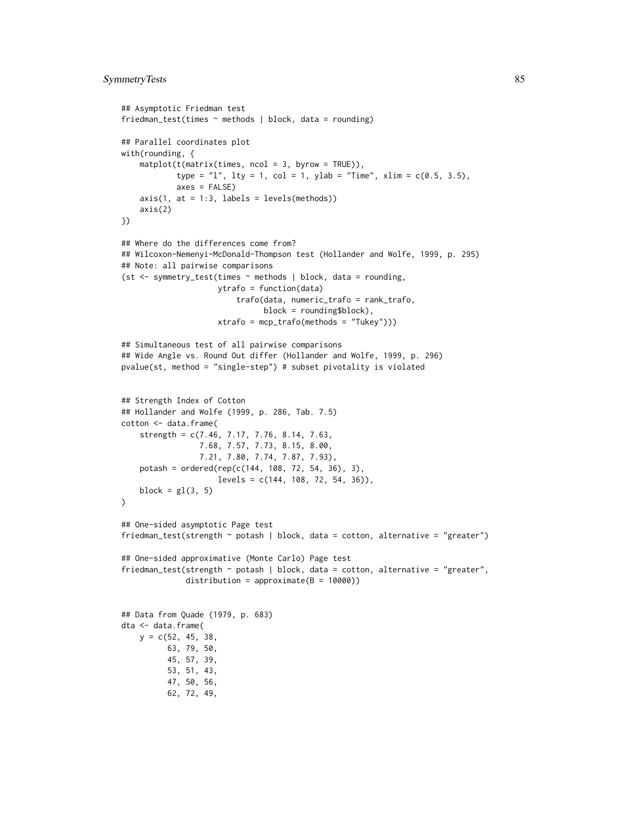# SymmetryTests 85

```
## Asymptotic Friedman test
friedman_test(times ~ methods | block, data = rounding)
## Parallel coordinates plot
with(rounding, {
    mathot(t(matrix(time, ncol = 3, byrow = TRUE)),type = "l", lty = 1, col = 1, ylab = "Time", xlim = c(0.5, 3.5),
            axes = FALSE)axis(1, at = 1:3, labels = levels(methods))axis(2)
})
## Where do the differences come from?
## Wilcoxon-Nemenyi-McDonald-Thompson test (Hollander and Wolfe, 1999, p. 295)
## Note: all pairwise comparisons
(st <- symmetry_test(times ~ methods | block, data = rounding,
                     ytrafo = function(data)
                         trafo(data, numeric_trafo = rank_trafo,
                               block = rounding$block),
                     xtrafo = mcp_trafo(methods = "Tukey")))
## Simultaneous test of all pairwise comparisons
## Wide Angle vs. Round Out differ (Hollander and Wolfe, 1999, p. 296)
pvalue(st, method = "single-step") # subset pivotality is violated
## Strength Index of Cotton
## Hollander and Wolfe (1999, p. 286, Tab. 7.5)
cotton <- data.frame(
    strength = c(7.46, 7.17, 7.76, 8.14, 7.63,
                 7.68, 7.57, 7.73, 8.15, 8.00,
                 7.21, 7.80, 7.74, 7.87, 7.93),
    potash = ordered(rep(c(144, 108, 72, 54, 36), 3),levels = c(144, 108, 72, 54, 36)),block = gl(3, 5)\lambda## One-sided asymptotic Page test
friedman_test(strength ~ potash | block, data = cotton, alternative = "greater")
## One-sided approximative (Monte Carlo) Page test
friedman_test(strength ~ potash | block, data = cotton, alternative = "greater",
              distribution = approximate(B = 10000))
## Data from Quade (1979, p. 683)
dta <- data.frame(
   y = c(52, 45, 38,63, 79, 50,
          45, 57, 39,
          53, 51, 43,
          47, 50, 56,
          62, 72, 49,
```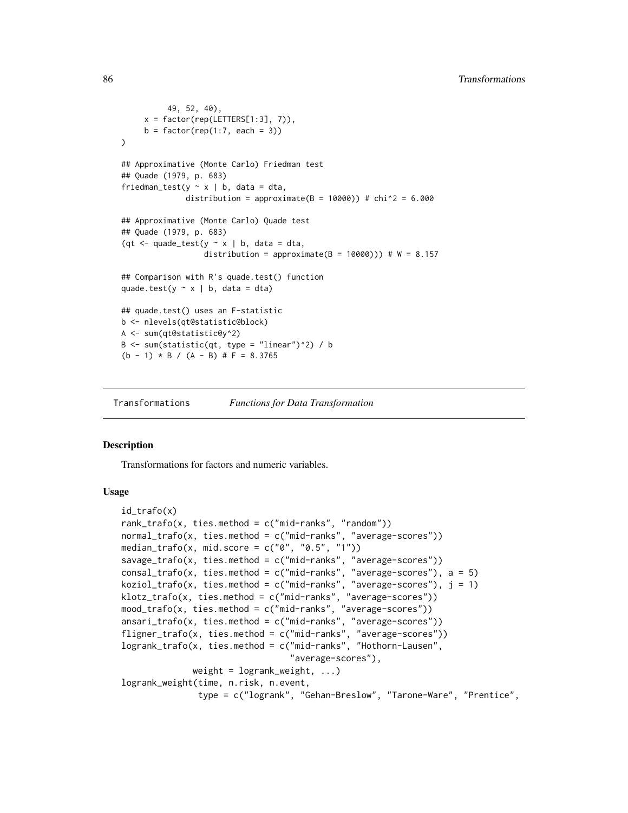```
49, 52, 40),
     x = factor(rep(LETTERS[1:3], 7)),b = factor(rep(1:7, each = 3))\lambda## Approximative (Monte Carlo) Friedman test
## Quade (1979, p. 683)
friedman_test(y \sim x | b, data = dta,
              distribution = approximate(B = 10000)) # chi^2 = 6.000
## Approximative (Monte Carlo) Quade test
## Quade (1979, p. 683)
(qt \leq quade_test(y \sim x | b, data = dta,
                   distribution = approximate(B = 10000))) # W = 8.157
## Comparison with R's quade.test() function
quade.test(y \sim x | b, data = dta)
## quade.test() uses an F-statistic
b <- nlevels(qt@statistic@block)
A <- sum(qt@statistic@y^2)
B \le -\text{ sum}(\text{statistic}(qt, type = "linear")^2) / b(b - 1) * B / (A - B) # F = 8.3765
```
Transformations *Functions for Data Transformation*

#### <span id="page-85-0"></span>Description

Transformations for factors and numeric variables.

# Usage

```
id_trafo(x)
rank_trafo(x, ties.method = c("mid-ranks", "random"))
normal_trafo(x, ties.method = c("mid-ranks", "average-scores"))
median_trafo(x, mid.score = c("0", "0.5", "1"))savage_trafo(x, ties.method = c("mid-ranks", "average-scores"))
consal_trafo(x, ties.method = c("mid-ranks", "average-scores"), a = 5)
koziol_trafo(x, ties.method = c("mid-ranks", "average-scores"), j = 1)klotz_trafo(x, ties.method = c("mid-ranks", "average-scores"))
mood_trafo(x, ties.method = c("mid-ranks", "average-scores"))
ansari_trafo(x, ties.method = c("mid-ranks", "average-scores"))
fligner_trafo(x, ties.method = c("mid-ranks", "average-scores"))
logrank_trafo(x, ties.method = c("mid-ranks", "Hothorn-Lausen",
                                 "average-scores"),
             weight = logrank\_weight, ...)logrank_weight(time, n.risk, n.event,
               type = c("logrank", "Gehan-Breslow", "Tarone-Ware", "Prentice",
```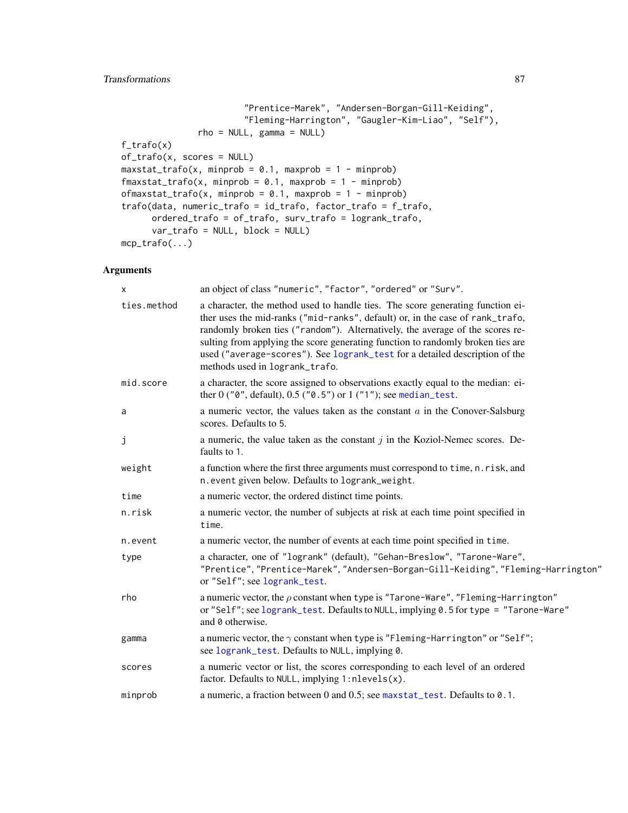# <span id="page-86-0"></span>Transformations 87

```
"Prentice-Marek", "Andersen-Borgan-Gill-Keiding",
                        "Fleming-Harrington", "Gaugler-Kim-Liao", "Self"),
               rho = NULL, gamma = NULL)f_{\text{trafo}}(x)of_trafo(x, scores = NULL)
maxstat\_trafo(x, minprob = 0.1, maxprob = 1 - minprob)fmaxstat_trafo(x, minprob = 0.1, maxprob = 1 - minprob)
ofmaxstat_trafo(x, minprob = 0.1, maxprob = 1 - minprob)
trafo(data, numeric_trafo = id_trafo, factor_trafo = f_trafo,
      ordered_trafo = of_trafo, surv_trafo = logrank_trafo,
      var_trafo = NULL, block = NULL)
mcp_trafo(...)
```
# Arguments

| Х           | an object of class "numeric", "factor", "ordered" or "Surv".                                                                                                                                                                                                                                                                                                                                                                                         |
|-------------|------------------------------------------------------------------------------------------------------------------------------------------------------------------------------------------------------------------------------------------------------------------------------------------------------------------------------------------------------------------------------------------------------------------------------------------------------|
| ties.method | a character, the method used to handle ties. The score generating function ei-<br>ther uses the mid-ranks ("mid-ranks", default) or, in the case of rank_trafo,<br>randomly broken ties ("random"). Alternatively, the average of the scores re-<br>sulting from applying the score generating function to randomly broken ties are<br>used ("average-scores"). See logrank_test for a detailed description of the<br>methods used in logrank_trafo. |
| mid.score   | a character, the score assigned to observations exactly equal to the median: ei-<br>ther $0$ (" $0$ ", default), $0.5$ (" $0.5$ ") or $1$ (" $1$ "); see median_test.                                                                                                                                                                                                                                                                                |
| a           | a numeric vector, the values taken as the constant $a$ in the Conover-Salsburg<br>scores. Defaults to 5.                                                                                                                                                                                                                                                                                                                                             |
| j           | a numeric, the value taken as the constant $j$ in the Koziol-Nemec scores. De-<br>faults to 1.                                                                                                                                                                                                                                                                                                                                                       |
| weight      | a function where the first three arguments must correspond to time, n.risk, and<br>n. event given below. Defaults to logrank_weight.                                                                                                                                                                                                                                                                                                                 |
| time        | a numeric vector, the ordered distinct time points.                                                                                                                                                                                                                                                                                                                                                                                                  |
| n.risk      | a numeric vector, the number of subjects at risk at each time point specified in<br>time.                                                                                                                                                                                                                                                                                                                                                            |
| n.event     | a numeric vector, the number of events at each time point specified in time.                                                                                                                                                                                                                                                                                                                                                                         |
| type        | a character, one of "logrank" (default), "Gehan-Breslow", "Tarone-Ware",<br>"Prentice", "Prentice-Marek", "Andersen-Borgan-Gill-Keiding", "Fleming-Harrington"<br>or "Self"; see logrank_test.                                                                                                                                                                                                                                                       |
| rho         | a numeric vector, the $\rho$ constant when type is "Tarone-Ware", "Fleming-Harrington"<br>or "Self"; see logrank_test. Defaults to NULL, implying 0.5 for type = "Tarone-Ware"<br>and 0 otherwise.                                                                                                                                                                                                                                                   |
| gamma       | a numeric vector, the $\gamma$ constant when type is "Fleming-Harrington" or "Self";<br>see logrank_test. Defaults to NULL, implying 0.                                                                                                                                                                                                                                                                                                              |
| scores      | a numeric vector or list, the scores corresponding to each level of an ordered<br>factor. Defaults to NULL, implying $1$ : nlevels $(x)$ .                                                                                                                                                                                                                                                                                                           |
| minprob     | a numeric, a fraction between 0 and 0.5; see maxstat_test. Defaults to 0.1.                                                                                                                                                                                                                                                                                                                                                                          |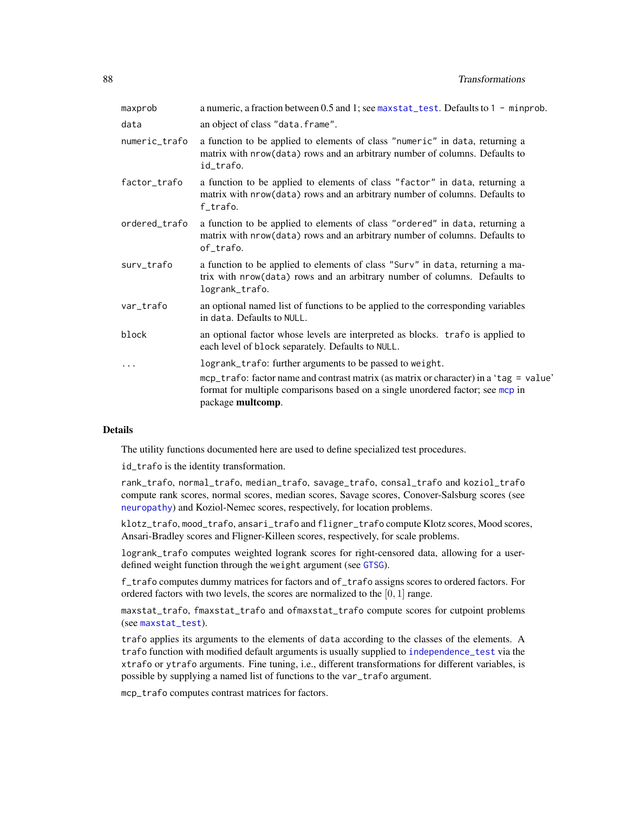<span id="page-87-0"></span>

| an object of class "data.frame".<br>data<br>a function to be applied to elements of class "numeric" in data, returning a<br>numeric_trafo<br>matrix with nrow(data) rows and an arbitrary number of columns. Defaults to<br>id_trafo.<br>factor_trafo<br>a function to be applied to elements of class "factor" in data, returning a<br>matrix with nrow(data) rows and an arbitrary number of columns. Defaults to<br>f_trafo.<br>ordered_trafo<br>a function to be applied to elements of class "ordered" in data, returning a<br>matrix with nrow(data) rows and an arbitrary number of columns. Defaults to<br>of_trafo.<br>a function to be applied to elements of class "Surv" in data, returning a ma-<br>surv_trafo<br>trix with nrow(data) rows and an arbitrary number of columns. Defaults to<br>logrank_trafo.<br>an optional named list of functions to be applied to the corresponding variables<br>var_trafo<br>in data. Defaults to NULL.<br>block<br>an optional factor whose levels are interpreted as blocks. trafo is applied to<br>each level of block separately. Defaults to NULL.<br>logrank_trafo: further arguments to be passed to weight.<br>$\ddots$<br>format for multiple comparisons based on a single unordered factor; see mcp in<br>package multcomp. | maxprob | a numeric, a fraction between 0.5 and 1; see maxstat_test. Defaults to $1 -$ minprob.  |
|------------------------------------------------------------------------------------------------------------------------------------------------------------------------------------------------------------------------------------------------------------------------------------------------------------------------------------------------------------------------------------------------------------------------------------------------------------------------------------------------------------------------------------------------------------------------------------------------------------------------------------------------------------------------------------------------------------------------------------------------------------------------------------------------------------------------------------------------------------------------------------------------------------------------------------------------------------------------------------------------------------------------------------------------------------------------------------------------------------------------------------------------------------------------------------------------------------------------------------------------------------------------------------------|---------|----------------------------------------------------------------------------------------|
|                                                                                                                                                                                                                                                                                                                                                                                                                                                                                                                                                                                                                                                                                                                                                                                                                                                                                                                                                                                                                                                                                                                                                                                                                                                                                          |         |                                                                                        |
|                                                                                                                                                                                                                                                                                                                                                                                                                                                                                                                                                                                                                                                                                                                                                                                                                                                                                                                                                                                                                                                                                                                                                                                                                                                                                          |         |                                                                                        |
|                                                                                                                                                                                                                                                                                                                                                                                                                                                                                                                                                                                                                                                                                                                                                                                                                                                                                                                                                                                                                                                                                                                                                                                                                                                                                          |         |                                                                                        |
|                                                                                                                                                                                                                                                                                                                                                                                                                                                                                                                                                                                                                                                                                                                                                                                                                                                                                                                                                                                                                                                                                                                                                                                                                                                                                          |         |                                                                                        |
|                                                                                                                                                                                                                                                                                                                                                                                                                                                                                                                                                                                                                                                                                                                                                                                                                                                                                                                                                                                                                                                                                                                                                                                                                                                                                          |         |                                                                                        |
|                                                                                                                                                                                                                                                                                                                                                                                                                                                                                                                                                                                                                                                                                                                                                                                                                                                                                                                                                                                                                                                                                                                                                                                                                                                                                          |         |                                                                                        |
|                                                                                                                                                                                                                                                                                                                                                                                                                                                                                                                                                                                                                                                                                                                                                                                                                                                                                                                                                                                                                                                                                                                                                                                                                                                                                          |         |                                                                                        |
|                                                                                                                                                                                                                                                                                                                                                                                                                                                                                                                                                                                                                                                                                                                                                                                                                                                                                                                                                                                                                                                                                                                                                                                                                                                                                          |         | mcp_trafo: factor name and contrast matrix (as matrix or character) in a 'tag = value' |

# Details

The utility functions documented here are used to define specialized test procedures.

id\_trafo is the identity transformation.

rank\_trafo, normal\_trafo, median\_trafo, savage\_trafo, consal\_trafo and koziol\_trafo compute rank scores, normal scores, median scores, Savage scores, Conover-Salsburg scores (see [neuropathy](#page-49-0)) and Koziol-Nemec scores, respectively, for location problems.

klotz\_trafo, mood\_trafo, ansari\_trafo and fligner\_trafo compute Klotz scores, Mood scores, Ansari-Bradley scores and Fligner-Killeen scores, respectively, for scale problems.

logrank\_trafo computes weighted logrank scores for right-censored data, allowing for a user-defined weight function through the weight argument (see [GTSG](#page-19-0)).

f\_trafo computes dummy matrices for factors and of\_trafo assigns scores to ordered factors. For ordered factors with two levels, the scores are normalized to the  $[0, 1]$  range.

maxstat\_trafo, fmaxstat\_trafo and ofmaxstat\_trafo compute scores for cutpoint problems (see [maxstat\\_test](#page-44-0)).

trafo applies its arguments to the elements of data according to the classes of the elements. A trafo function with modified default arguments is usually supplied to [independence\\_test](#page-24-0) via the xtrafo or ytrafo arguments. Fine tuning, i.e., different transformations for different variables, is possible by supplying a named list of functions to the var\_trafo argument.

mcp\_trafo computes contrast matrices for factors.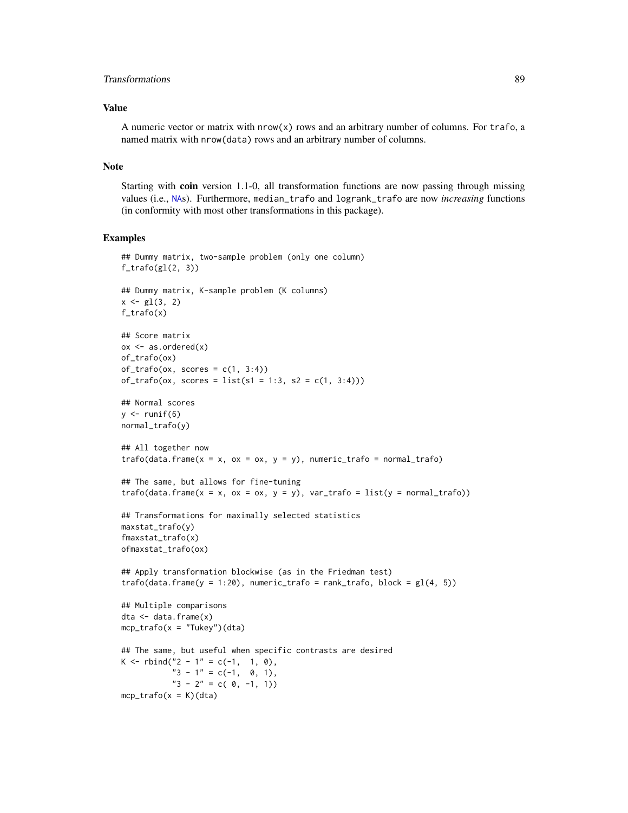# <span id="page-88-0"></span>Transformations 89

# Value

A numeric vector or matrix with nrow(x) rows and an arbitrary number of columns. For trafo, a named matrix with nrow(data) rows and an arbitrary number of columns.

# Note

Starting with coin version 1.1-0, all transformation functions are now passing through missing values (i.e., [NA](#page-0-0)s). Furthermore, median\_trafo and logrank\_trafo are now *increasing* functions (in conformity with most other transformations in this package).

#### Examples

```
## Dummy matrix, two-sample problem (only one column)
f_trafo(gl(2, 3))## Dummy matrix, K-sample problem (K columns)
x \leftarrow g1(3, 2)f_trafo(x)
## Score matrix
ox \leq -as.ordered(x)of_trafo(ox)
of\_trafo(ox, scores = c(1, 3:4))of\_trafo(ox, scores = list(s1 = 1:3, s2 = c(1, 3:4)))## Normal scores
y \leftarrow runif(6)normal_trafo(y)
## All together now
trafo(data.frame(x = x, ox = ox, y = y), numeric_trafo = normal_trafo)
## The same, but allows for fine-tuning
trafo(data.frame(x = x, ox = ox, y = y), var_trafo = list(y = normal_trafo))## Transformations for maximally selected statistics
maxstat_trafo(y)
fmaxstat_trafo(x)
ofmaxstat_trafo(ox)
## Apply transformation blockwise (as in the Friedman test)
trafo(data frame(y = 1:20), numeric_trafo = rank_trafo, block = gl(4, 5))
## Multiple comparisons
dta <- data.frame(x)
mcp\_trafo(x = "Tukey")(dta)
## The same, but useful when specific contrasts are desired
K <- rbind("2 - 1" = c(-1, 1, 0),
           "3 - 1" = c(-1, 0, 1),"3 - 2" = c(0, -1, 1))mcp\_trafo(x = K)(dta)
```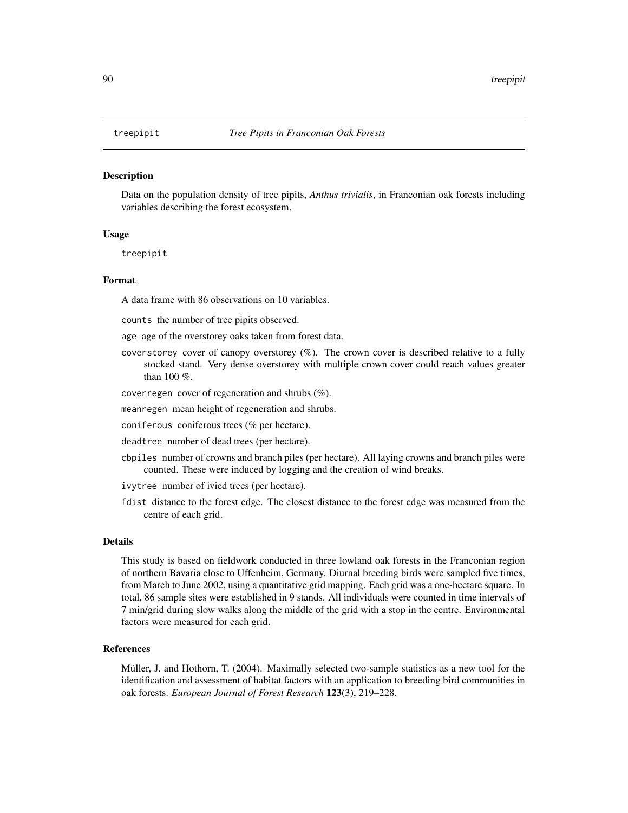#### <span id="page-89-0"></span>Description

Data on the population density of tree pipits, *Anthus trivialis*, in Franconian oak forests including variables describing the forest ecosystem.

#### Usage

treepipit

#### Format

A data frame with 86 observations on 10 variables.

counts the number of tree pipits observed.

age age of the overstorey oaks taken from forest data.

- coverstorey cover of canopy overstorey  $(\%)$ . The crown cover is described relative to a fully stocked stand. Very dense overstorey with multiple crown cover could reach values greater than 100 %.
- coverregen cover of regeneration and shrubs (%).
- meanregen mean height of regeneration and shrubs.
- coniferous coniferous trees (% per hectare).
- deadtree number of dead trees (per hectare).
- cbpiles number of crowns and branch piles (per hectare). All laying crowns and branch piles were counted. These were induced by logging and the creation of wind breaks.
- ivytree number of ivied trees (per hectare).
- fdist distance to the forest edge. The closest distance to the forest edge was measured from the centre of each grid.

#### Details

This study is based on fieldwork conducted in three lowland oak forests in the Franconian region of northern Bavaria close to Uffenheim, Germany. Diurnal breeding birds were sampled five times, from March to June 2002, using a quantitative grid mapping. Each grid was a one-hectare square. In total, 86 sample sites were established in 9 stands. All individuals were counted in time intervals of 7 min/grid during slow walks along the middle of the grid with a stop in the centre. Environmental factors were measured for each grid.

### References

Müller, J. and Hothorn, T. (2004). Maximally selected two-sample statistics as a new tool for the identification and assessment of habitat factors with an application to breeding bird communities in oak forests. *European Journal of Forest Research* 123(3), 219–228.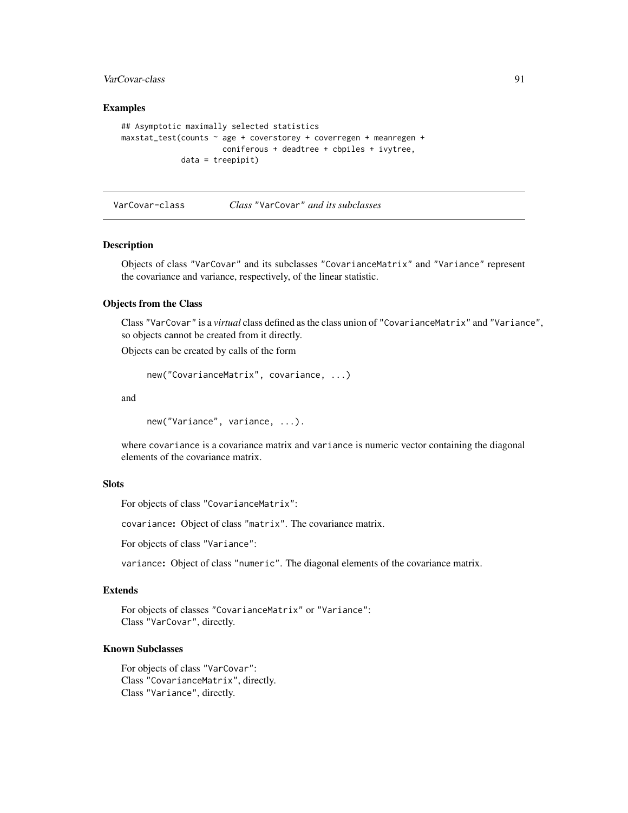# <span id="page-90-0"></span>VarCovar-class 91

# Examples

```
## Asymptotic maximally selected statistics
maxstat_test(counts ~ age + coverstorey + coverregen + meanregen +
                     coniferous + deadtree + cbpiles + ivytree,
            data = treepipit)
```

```
VarCovar-class Class "VarCovar" and its subclasses
```
# Description

Objects of class "VarCovar" and its subclasses "CovarianceMatrix" and "Variance" represent the covariance and variance, respectively, of the linear statistic.

# Objects from the Class

Class "VarCovar" is a *virtual* class defined as the class union of "CovarianceMatrix" and "Variance", so objects cannot be created from it directly.

Objects can be created by calls of the form

```
new("CovarianceMatrix", covariance, ...)
```
and

new("Variance", variance, ...).

where covariance is a covariance matrix and variance is numeric vector containing the diagonal elements of the covariance matrix.

# **Slots**

```
For objects of class "CovarianceMatrix":
```
covariance: Object of class "matrix". The covariance matrix.

For objects of class "Variance":

variance: Object of class "numeric". The diagonal elements of the covariance matrix.

#### Extends

For objects of classes "CovarianceMatrix" or "Variance": Class "VarCovar", directly.

# Known Subclasses

For objects of class "VarCovar": Class "CovarianceMatrix", directly. Class "Variance", directly.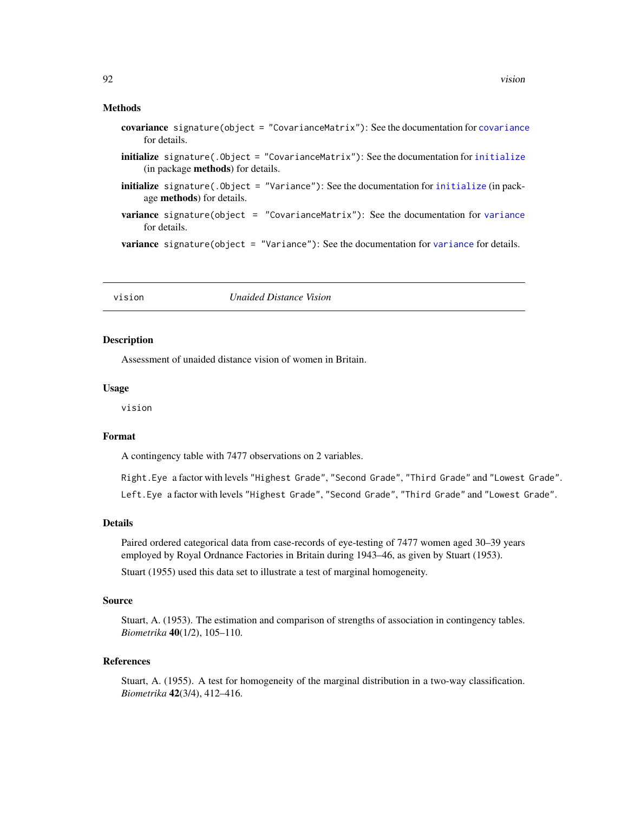### <span id="page-91-0"></span>Methods

- covariance signature(object = "CovarianceMatrix"): See the documentation for [covariance](#page-15-0) for details.
- $initialize$  signature(.Object = "CovarianceMatrix"): See the documentation for initialize (in package methods) for details.
- [initialize](#page-0-0) signature(.Object = "Variance"): See the documentation for initialize (in package methods) for details.
- [variance](#page-15-0) signature(object = "CovarianceMatrix"): See the documentation for variance for details.

[variance](#page-15-0) signature(object = "Variance"): See the documentation for variance for details.

vision *Unaided Distance Vision*

#### **Description**

Assessment of unaided distance vision of women in Britain.

# Usage

vision

### Format

A contingency table with 7477 observations on 2 variables.

Right.Eye a factor with levels "Highest Grade", "Second Grade", "Third Grade" and "Lowest Grade". Left. Eye a factor with levels "Highest Grade", "Second Grade", "Third Grade" and "Lowest Grade".

#### Details

Paired ordered categorical data from case-records of eye-testing of 7477 women aged 30–39 years employed by Royal Ordnance Factories in Britain during 1943–46, as given by Stuart (1953).

Stuart (1955) used this data set to illustrate a test of marginal homogeneity.

#### Source

Stuart, A. (1953). The estimation and comparison of strengths of association in contingency tables. *Biometrika* 40(1/2), 105–110.

#### References

Stuart, A. (1955). A test for homogeneity of the marginal distribution in a two-way classification. *Biometrika* 42(3/4), 412–416.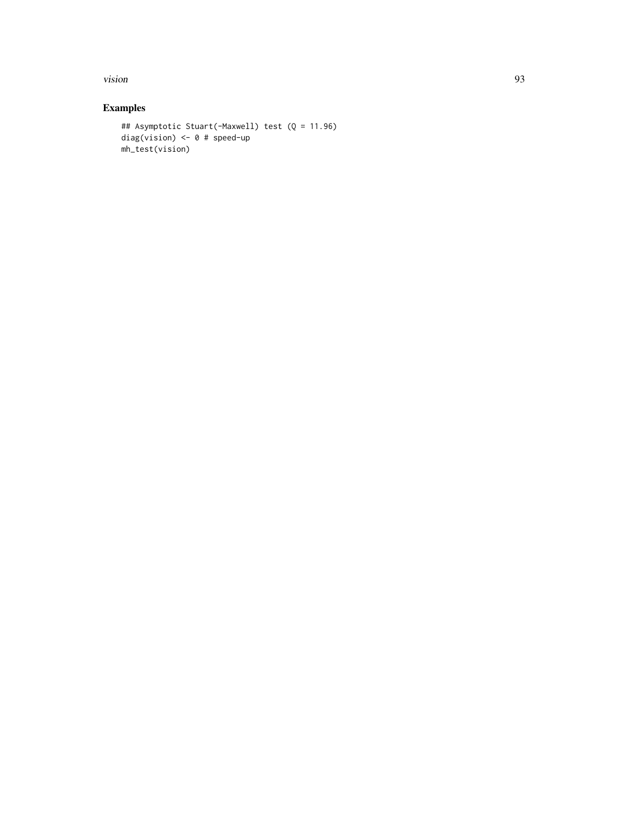vision 93

# Examples

```
## Asymptotic Stuart(-Maxwell) test (Q = 11.96)
diag(vision) <- 0 # speed-up
mh_test(vision)
```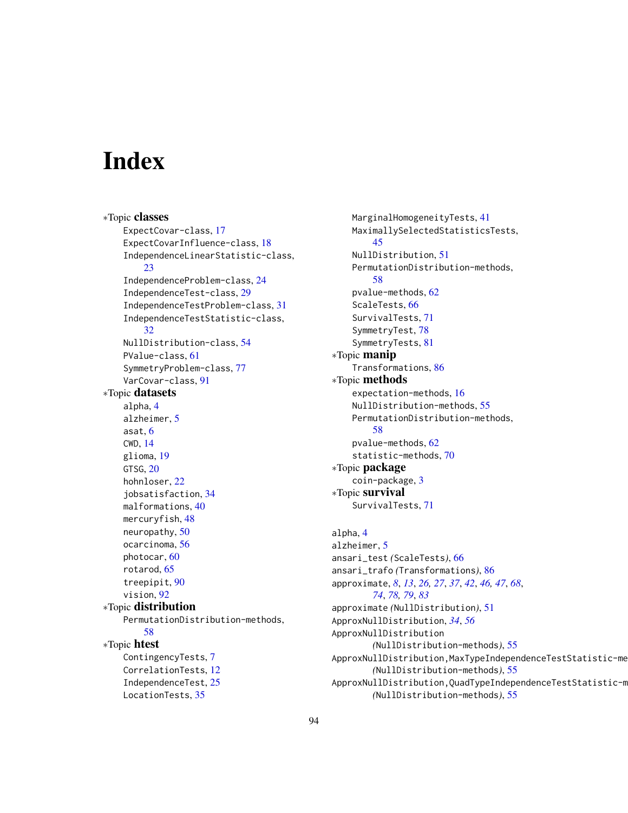# **Index**

∗Topic classes ExpectCovar-class, [17](#page-16-0) ExpectCovarInfluence-class, [18](#page-17-0) IndependenceLinearStatistic-class, [23](#page-22-0) IndependenceProblem-class, [24](#page-23-1) IndependenceTest-class, [29](#page-28-1) IndependenceTestProblem-class, [31](#page-30-0) IndependenceTestStatistic-class, [32](#page-31-1) NullDistribution-class, [54](#page-53-1) PValue-class, [61](#page-60-0) SymmetryProblem-class, [77](#page-76-1) VarCovar-class, [91](#page-90-0) ∗Topic datasets alpha, [4](#page-3-0) alzheimer, [5](#page-4-0) asat, [6](#page-5-0) CWD, [14](#page-13-0) glioma, [19](#page-18-0) GTSG, [20](#page-19-1) hohnloser, [22](#page-21-0) jobsatisfaction, [34](#page-33-0) malformations, [40](#page-39-0) mercuryfish, [48](#page-47-0) neuropathy, [50](#page-49-1) ocarcinoma, [56](#page-55-0) photocar, [60](#page-59-0) rotarod, [65](#page-64-0) treepipit, [90](#page-89-0) vision, [92](#page-91-0) ∗Topic distribution PermutationDistribution-methods, [58](#page-57-0) ∗Topic htest ContingencyTests, [7](#page-6-0) CorrelationTests, [12](#page-11-0) IndependenceTest, [25](#page-24-1) LocationTests, [35](#page-34-1)

MarginalHomogeneityTests, [41](#page-40-0) MaximallySelectedStatisticsTests, [45](#page-44-1) NullDistribution, [51](#page-50-1) PermutationDistribution-methods, [58](#page-57-0) pvalue-methods, [62](#page-61-0) ScaleTests, [66](#page-65-0) SurvivalTests, [71](#page-70-1) SymmetryTest, [78](#page-77-1) SymmetryTests, [81](#page-80-0) ∗Topic manip Transformations, [86](#page-85-1) ∗Topic methods expectation-methods, [16](#page-15-1) NullDistribution-methods, [55](#page-54-0) PermutationDistribution-methods, [58](#page-57-0) pvalue-methods, [62](#page-61-0) statistic-methods, [70](#page-69-0) ∗Topic package coin-package, [3](#page-2-0) ∗Topic survival SurvivalTests, [71](#page-70-1) alpha, [4](#page-3-0) alzheimer, [5](#page-4-0) ansari\_test *(*ScaleTests*)*, [66](#page-65-0) ansari\_trafo *(*Transformations*)*, [86](#page-85-1) approximate, *[8](#page-7-0)*, *[13](#page-12-0)*, *[26,](#page-25-0) [27](#page-26-0)*, *[37](#page-36-0)*, *[42](#page-41-0)*, *[46,](#page-45-0) [47](#page-46-0)*, *[68](#page-67-0)*, *[74](#page-73-0)*, *[78,](#page-77-1) [79](#page-78-0)*, *[83](#page-82-0)* approximate *(*NullDistribution*)*, [51](#page-50-1)

ApproxNullDistribution, *[34](#page-33-0)*, *[56](#page-55-0)* ApproxNullDistribution

*(*NullDistribution-methods*)*, [55](#page-54-0)

*(*NullDistribution-methods*)*, [55](#page-54-0)

*(*NullDistribution-methods*)*, [55](#page-54-0)

ApproxNullDistribution,MaxTypeIndependenceTestStatistic-method

ApproxNullDistribution, QuadTypeIndependenceTestStatistic-m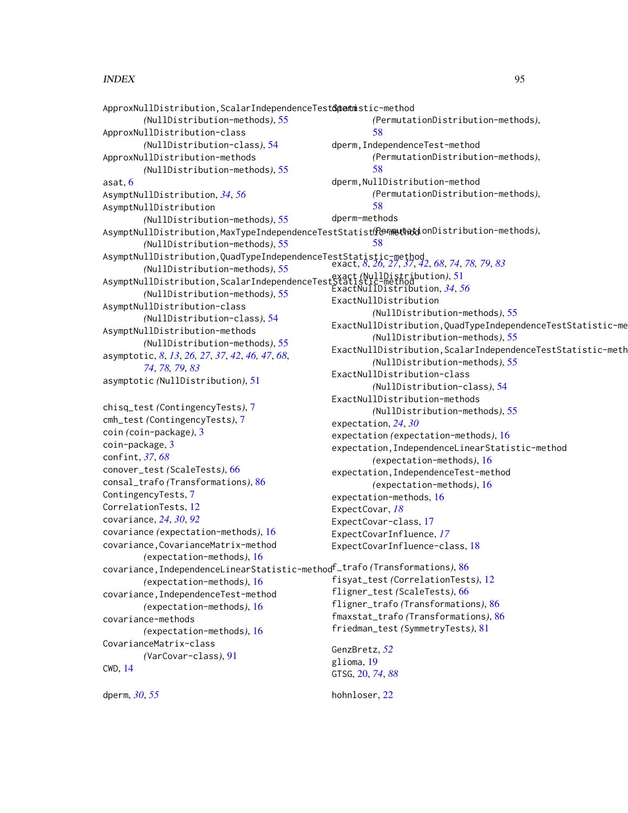# INDEX 95

```
ApproxNullDistribution, ScalarIndependenceTest&ptentmistic-method
        (NullDistribution-methods), 55
ApproxNullDistribution-class
        (NullDistribution-class), 54
ApproxNullDistribution-methods
        (NullDistribution-methods), 55
asat, 6
AsymptNullDistribution, 34, 56
AsymptNullDistribution
        (NullDistribution-methods), 55
AsymptNullDistribution,MaxTypeIndependenceTestStatistic-method
(PermutationDistribution-methods),
        (NullDistribution-methods), 55
AsymptNullDistribution,QuadTypeIndependenceTestStatistic-method
exact, 8, 26, 27, 37, 42, 68, 74, 78, 79, 83
        (NullDistribution-methods), 55
AsymptNullDistribution,ScalarIndependenceTestStatistic-method
exact (NullDistribution), 51
        (NullDistribution-methods), 55
AsymptNullDistribution-class
        (NullDistribution-class), 54
AsymptNullDistribution-methods
        (NullDistribution-methods), 55
asymptotic, 8, 13, 26, 27, 37, 42, 46, 47, 68,
        74, 78, 79, 83
asymptotic (NullDistribution), 51
chisq_test (ContingencyTests), 7
cmh_test (ContingencyTests), 7
coin (coin-package), 3
coin-package, 3
confint, 37, 68
conover_test (ScaleTests), 66
consal_trafo (Transformations), 86
ContingencyTests, 7
CorrelationTests, 12
covariance, 24, 30, 92
covariance (expectation-methods), 16
covariance,CovarianceMatrix-method
        (expectation-methods), 16
covariance,IndependenceLinearStatistic-method
f_trafo (Transformations), 86
        (expectation-methods), 16
covariance,IndependenceTest-method
        (expectation-methods), 16
covariance-methods
        (expectation-methods), 16
CovarianceMatrix-class
        (VarCovar-class), 91
CWD, 14
dperm, 30, 55
                                                         (PermutationDistribution-methods),
                                                         58
                                                 dperm,IndependenceTest-method
                                                         (PermutationDistribution-methods),
                                                         58
                                                 dperm,NullDistribution-method
                                                         (PermutationDistribution-methods),
                                                         58
                                                 dperm-methods
                                                         58
                                                 ExactNullDistribution, 34, 56
                                                ExactNullDistribution
                                                         (NullDistribution-methods), 55
                                                ExactNullDistribution,QuadTypeIndependenceTestStatistic-method
                                                         (NullDistribution-methods), 55
                                                ExactNullDistribution, ScalarIndependenceTestStatistic-meth
                                                         (NullDistribution-methods), 55
                                                ExactNullDistribution-class
                                                         (NullDistribution-class), 54
                                                ExactNullDistribution-methods
                                                         (NullDistribution-methods), 55
                                                expectation, 24, 30
                                                expectation (expectation-methods), 16
                                                expectation,IndependenceLinearStatistic-method
                                                         (expectation-methods), 16
                                                 expectation,IndependenceTest-method
                                                         (expectation-methods), 16
                                                 expectation-methods, 16
                                                ExpectCovar, 18
                                                ExpectCovar-class, 17
                                                ExpectCovarInfluence, 17
                                                ExpectCovarInfluence-class, 18
                                                fisyat_test (CorrelationTests), 12
                                                fligner_test (ScaleTests), 66
                                                 fligner_trafo (Transformations), 86
                                                 fmaxstat_trafo (Transformations), 86
                                                friedman_test (SymmetryTests), 81
                                                GenzBretz, 52
                                                glioma, 19
                                                GTSG, 20, 74, 88
                                                hohnloser, 22
```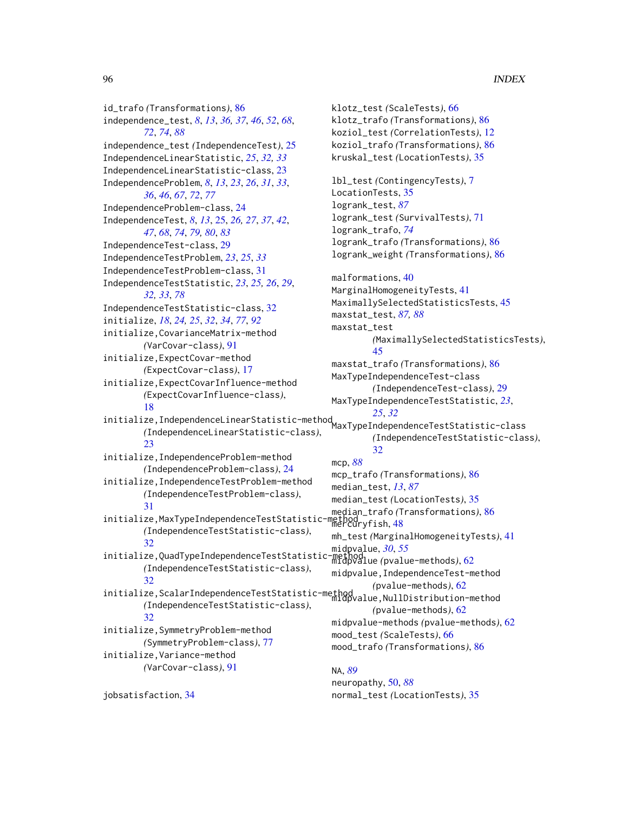id\_trafo *(*Transformations*)*, [86](#page-85-1) independence\_test, *[8](#page-7-0)*, *[13](#page-12-0)*, *[36,](#page-35-0) [37](#page-36-0)*, *[46](#page-45-0)*, *[52](#page-51-0)*, *[68](#page-67-0)*, *[72](#page-71-0)*, *[74](#page-73-0)*, *[88](#page-87-0)* independence\_test *(*IndependenceTest*)*, [25](#page-24-1) IndependenceLinearStatistic, *[25](#page-24-1)*, *[32,](#page-31-1) [33](#page-32-0)* IndependenceLinearStatistic-class, [23](#page-22-0) IndependenceProblem, *[8](#page-7-0)*, *[13](#page-12-0)*, *[23](#page-22-0)*, *[26](#page-25-0)*, *[31](#page-30-0)*, *[33](#page-32-0)*, *[36](#page-35-0)*, *[46](#page-45-0)*, *[67](#page-66-0)*, *[72](#page-71-0)*, *[77](#page-76-1)* IndependenceProblem-class, [24](#page-23-1) IndependenceTest, *[8](#page-7-0)*, *[13](#page-12-0)*, [25,](#page-24-1) *[26,](#page-25-0) [27](#page-26-0)*, *[37](#page-36-0)*, *[42](#page-41-0)*, *[47](#page-46-0)*, *[68](#page-67-0)*, *[74](#page-73-0)*, *[79,](#page-78-0) [80](#page-79-0)*, *[83](#page-82-0)* IndependenceTest-class, [29](#page-28-1) IndependenceTestProblem, *[23](#page-22-0)*, *[25](#page-24-1)*, *[33](#page-32-0)* IndependenceTestProblem-class, [31](#page-30-0) IndependenceTestStatistic, *[23](#page-22-0)*, *[25,](#page-24-1) [26](#page-25-0)*, *[29](#page-28-1)*, *[32,](#page-31-1) [33](#page-32-0)*, *[78](#page-77-1)* IndependenceTestStatistic-class, [32](#page-31-1) initialize, *[18](#page-17-0)*, *[24,](#page-23-1) [25](#page-24-1)*, *[32](#page-31-1)*, *[34](#page-33-0)*, *[77](#page-76-1)*, *[92](#page-91-0)* initialize,CovarianceMatrix-method *(*VarCovar-class*)*, [91](#page-90-0) initialize,ExpectCovar-method *(*ExpectCovar-class*)*, [17](#page-16-0) initialize,ExpectCovarInfluence-method *(*ExpectCovarInfluence-class*)*, [18](#page-17-0) initialize,IndependenceLinearStatistic-method *[25](#page-24-1)*, *[32](#page-31-1) (*IndependenceLinearStatistic-class*)*, [23](#page-22-0) initialize,IndependenceProblem-method *(*IndependenceProblem-class*)*, [24](#page-23-1) initialize,IndependenceTestProblem-method *(*IndependenceTestProblem-class*)*, [31](#page-30-0) initialize, MaxTypeIndependenceTestStatistic-*(*IndependenceTestStatistic-class*)*, [32](#page-31-1) initialize,QuadTypeIndependenceTestStatistic-method midpvalue, *[30](#page-29-0)*, *[55](#page-54-0) (*IndependenceTestStatistic-class*)*, [32](#page-31-1) initialize,ScalarIndependenceTestStatistic-method<br>midpvalue,NullDistribution-method *(*IndependenceTestStatistic-class*)*, [32](#page-31-1) initialize,SymmetryProblem-method *(*SymmetryProblem-class*)*, [77](#page-76-1) initialize,Variance-method *(*VarCovar-class*)*, [91](#page-90-0)

jobsatisfaction, [34](#page-33-0)

klotz\_test *(*ScaleTests*)*, [66](#page-65-0) klotz\_trafo *(*Transformations*)*, [86](#page-85-1) koziol\_test *(*CorrelationTests*)*, [12](#page-11-0) koziol\_trafo *(*Transformations*)*, [86](#page-85-1) kruskal\_test *(*LocationTests*)*, [35](#page-34-1) lbl\_test *(*ContingencyTests*)*, [7](#page-6-0) LocationTests, [35](#page-34-1) logrank\_test, *[87](#page-86-0)* logrank\_test *(*SurvivalTests*)*, [71](#page-70-1) logrank\_trafo, *[74](#page-73-0)* logrank\_trafo *(*Transformations*)*, [86](#page-85-1) logrank\_weight *(*Transformations*)*, [86](#page-85-1) malformations, [40](#page-39-0) MarginalHomogeneityTests, [41](#page-40-0) MaximallySelectedStatisticsTests, [45](#page-44-1) maxstat\_test, *[87,](#page-86-0) [88](#page-87-0)* maxstat\_test *(*MaximallySelectedStatisticsTests*)*, [45](#page-44-1) maxstat\_trafo *(*Transformations*)*, [86](#page-85-1) MaxTypeIndependenceTest-class *(*IndependenceTest-class*)*, [29](#page-28-1) MaxTypeIndependenceTestStatistic, *[23](#page-22-0)*, MaxTypeIndependenceTestStatistic-class *(*IndependenceTestStatistic-class*)*, [32](#page-31-1) mcp, *[88](#page-87-0)* mcp\_trafo *(*Transformations*)*, [86](#page-85-1) median\_test, *[13](#page-12-0)*, *[87](#page-86-0)* median\_test *(*LocationTests*)*, [35](#page-34-1) median\_trafo *(*Transformations*)*, [86](#page-85-1) metnog<br>mercuryfish,[48](#page-47-0) mh\_test *(*MarginalHomogeneityTests*)*, [41](#page-40-0) midpvalue *(*pvalue-methods*)*, [62](#page-61-0) midpvalue,IndependenceTest-method *(*pvalue-methods*)*, [62](#page-61-0) *(*pvalue-methods*)*, [62](#page-61-0) midpvalue-methods *(*pvalue-methods*)*, [62](#page-61-0) mood\_test *(*ScaleTests*)*, [66](#page-65-0) mood\_trafo *(*Transformations*)*, [86](#page-85-1)

# NA, *[89](#page-88-0)* neuropathy, [50,](#page-49-1) *[88](#page-87-0)* normal\_test *(*LocationTests*)*, [35](#page-34-1)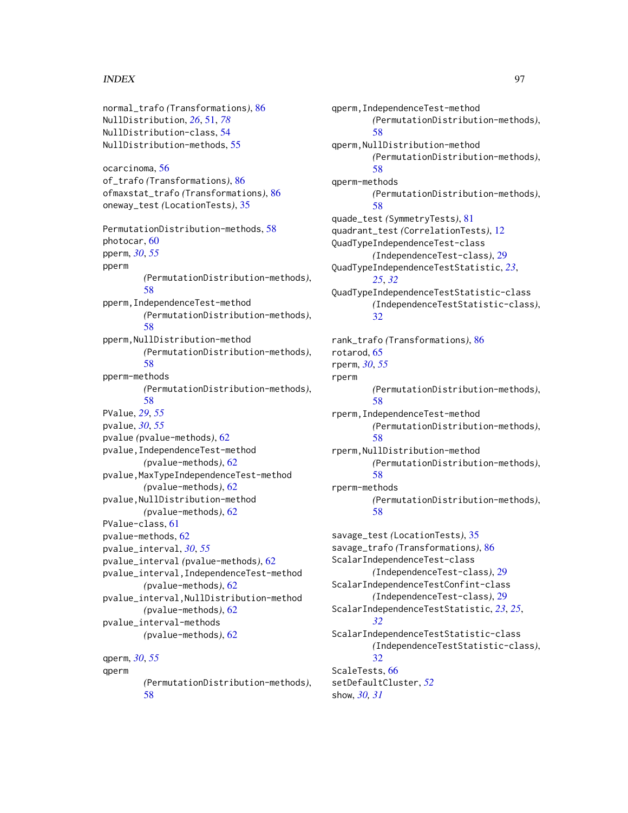# INDEX 97

normal\_trafo *(*Transformations*)*, [86](#page-85-1) NullDistribution, *[26](#page-25-0)*, [51,](#page-50-1) *[78](#page-77-1)* NullDistribution-class, [54](#page-53-1) NullDistribution-methods, [55](#page-54-0) ocarcinoma, [56](#page-55-0) of\_trafo *(*Transformations*)*, [86](#page-85-1) ofmaxstat\_trafo *(*Transformations*)*, [86](#page-85-1) oneway\_test *(*LocationTests*)*, [35](#page-34-1) PermutationDistribution-methods, [58](#page-57-0) photocar, [60](#page-59-0) pperm, *[30](#page-29-0)*, *[55](#page-54-0)* pperm *(*PermutationDistribution-methods*)*, [58](#page-57-0) pperm,IndependenceTest-method *(*PermutationDistribution-methods*)*, [58](#page-57-0) pperm,NullDistribution-method *(*PermutationDistribution-methods*)*, [58](#page-57-0) pperm-methods *(*PermutationDistribution-methods*)*, [58](#page-57-0) PValue, *[29](#page-28-1)*, *[55](#page-54-0)* pvalue, *[30](#page-29-0)*, *[55](#page-54-0)* pvalue *(*pvalue-methods*)*, [62](#page-61-0) pvalue,IndependenceTest-method *(*pvalue-methods*)*, [62](#page-61-0) pvalue,MaxTypeIndependenceTest-method *(*pvalue-methods*)*, [62](#page-61-0) pvalue,NullDistribution-method *(*pvalue-methods*)*, [62](#page-61-0) PValue-class, [61](#page-60-0) pvalue-methods, [62](#page-61-0) pvalue\_interval, *[30](#page-29-0)*, *[55](#page-54-0)* pvalue\_interval *(*pvalue-methods*)*, [62](#page-61-0) pvalue\_interval,IndependenceTest-method *(*pvalue-methods*)*, [62](#page-61-0) pvalue\_interval,NullDistribution-method *(*pvalue-methods*)*, [62](#page-61-0) pvalue\_interval-methods *(*pvalue-methods*)*, [62](#page-61-0) qperm, *[30](#page-29-0)*, *[55](#page-54-0)* qperm *(*PermutationDistribution-methods*)*,

[58](#page-57-0)

qperm,IndependenceTest-method *(*PermutationDistribution-methods*)*, [58](#page-57-0) qperm,NullDistribution-method *(*PermutationDistribution-methods*)*, [58](#page-57-0) qperm-methods *(*PermutationDistribution-methods*)*, [58](#page-57-0) quade\_test *(*SymmetryTests*)*, [81](#page-80-0) quadrant\_test *(*CorrelationTests*)*, [12](#page-11-0) QuadTypeIndependenceTest-class *(*IndependenceTest-class*)*, [29](#page-28-1) QuadTypeIndependenceTestStatistic, *[23](#page-22-0)*, *[25](#page-24-1)*, *[32](#page-31-1)* QuadTypeIndependenceTestStatistic-class *(*IndependenceTestStatistic-class*)*, [32](#page-31-1) rank\_trafo *(*Transformations*)*, [86](#page-85-1) rotarod, [65](#page-64-0) rperm, *[30](#page-29-0)*, *[55](#page-54-0)* rperm *(*PermutationDistribution-methods*)*, [58](#page-57-0) rperm,IndependenceTest-method *(*PermutationDistribution-methods*)*, [58](#page-57-0) rperm,NullDistribution-method *(*PermutationDistribution-methods*)*, [58](#page-57-0) rperm-methods *(*PermutationDistribution-methods*)*, [58](#page-57-0) savage\_test *(*LocationTests*)*, [35](#page-34-1) savage\_trafo *(*Transformations*)*, [86](#page-85-1) ScalarIndependenceTest-class *(*IndependenceTest-class*)*, [29](#page-28-1) ScalarIndependenceTestConfint-class *(*IndependenceTest-class*)*, [29](#page-28-1) ScalarIndependenceTestStatistic, *[23](#page-22-0)*, *[25](#page-24-1)*, *[32](#page-31-1)* ScalarIndependenceTestStatistic-class *(*IndependenceTestStatistic-class*)*, [32](#page-31-1) ScaleTests, [66](#page-65-0) setDefaultCluster, *[52](#page-51-0)*

show, *[30,](#page-29-0) [31](#page-30-0)*